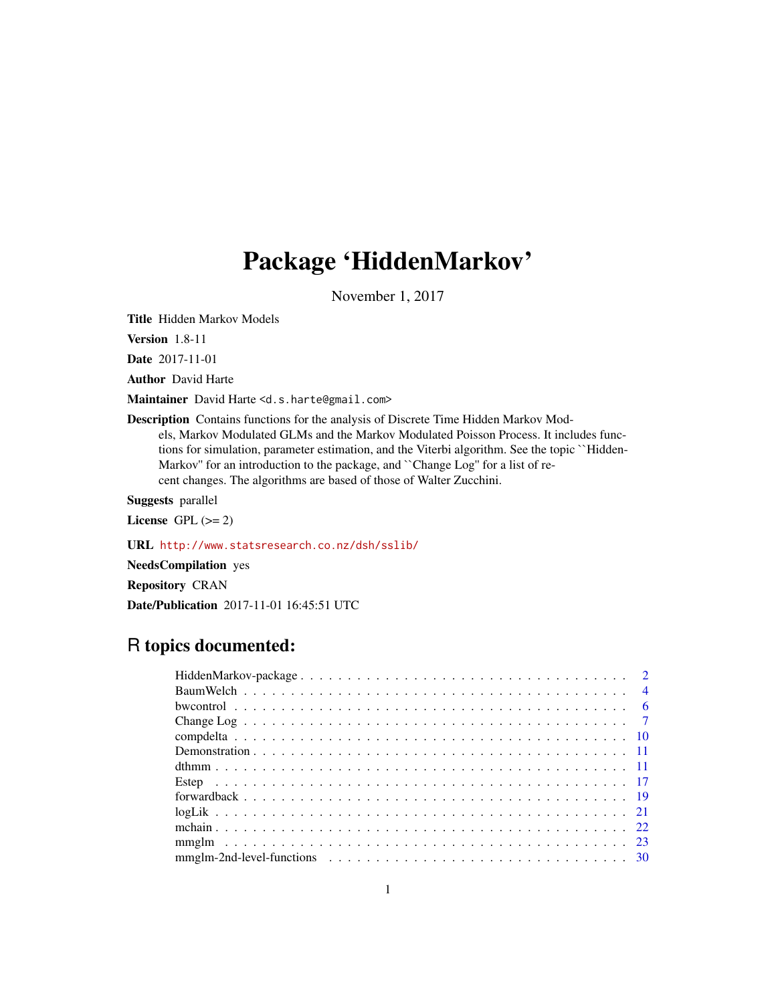# Package 'HiddenMarkov'

November 1, 2017

<span id="page-0-0"></span>Title Hidden Markov Models

Version 1.8-11

Date 2017-11-01

Author David Harte

Maintainer David Harte <d.s.harte@gmail.com>

Description Contains functions for the analysis of Discrete Time Hidden Markov Models, Markov Modulated GLMs and the Markov Modulated Poisson Process. It includes functions for simulation, parameter estimation, and the Viterbi algorithm. See the topic ``Hidden-Markov'' for an introduction to the package, and ``Change Log'' for a list of recent changes. The algorithms are based of those of Walter Zucchini.

Suggests parallel

License GPL  $(>= 2)$ 

URL <http://www.statsresearch.co.nz/dsh/sslib/>

NeedsCompilation yes

Repository CRAN

Date/Publication 2017-11-01 16:45:51 UTC

# R topics documented: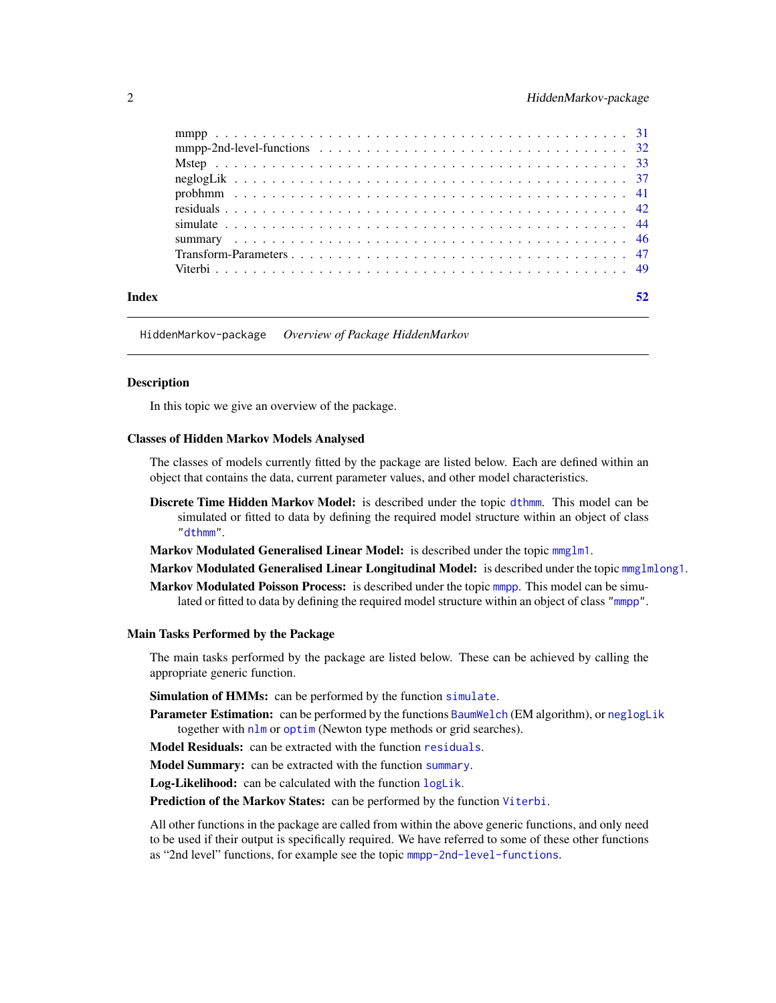<span id="page-1-0"></span>

| Index |  |
|-------|--|

HiddenMarkov-package *Overview of Package HiddenMarkov*

# <span id="page-1-1"></span>Description

In this topic we give an overview of the package.

# Classes of Hidden Markov Models Analysed

The classes of models currently fitted by the package are listed below. Each are defined within an object that contains the data, current parameter values, and other model characteristics.

Discrete Time Hidden Markov Model: is described under the topic [dthmm](#page-10-1). This model can be simulated or fitted to data by defining the required model structure within an object of class ["dthmm"](#page-10-1).

Markov Modulated Generalised Linear Model: is described under the topic [mmglm1](#page-22-1).

Markov Modulated Generalised Linear Longitudinal Model: is described under the topic [mmglmlong1](#page-22-1).

Markov Modulated Poisson Process: is described under the topic [mmpp](#page-30-1). This model can be simulated or fitted to data by defining the required model structure within an object of class ["mmpp"](#page-30-1).

# Main Tasks Performed by the Package

The main tasks performed by the package are listed below. These can be achieved by calling the appropriate generic function.

Simulation of HMMs: can be performed by the function [simulate](#page-43-1).

Parameter Estimation: can be performed by the functions [BaumWelch](#page-3-1) (EM algorithm), or [neglogLik](#page-36-1) together with [nlm](#page-0-0) or [optim](#page-0-0) (Newton type methods or grid searches).

Model Residuals: can be extracted with the function [residuals](#page-41-1).

Model Summary: can be extracted with the function [summary](#page-45-1).

Log-Likelihood: can be calculated with the function [logLik](#page-20-1).

Prediction of the Markov States: can be performed by the function [Viterbi](#page-48-1).

All other functions in the package are called from within the above generic functions, and only need to be used if their output is specifically required. We have referred to some of these other functions as "2nd level" functions, for example see the topic [mmpp-2nd-level-functions](#page-31-1).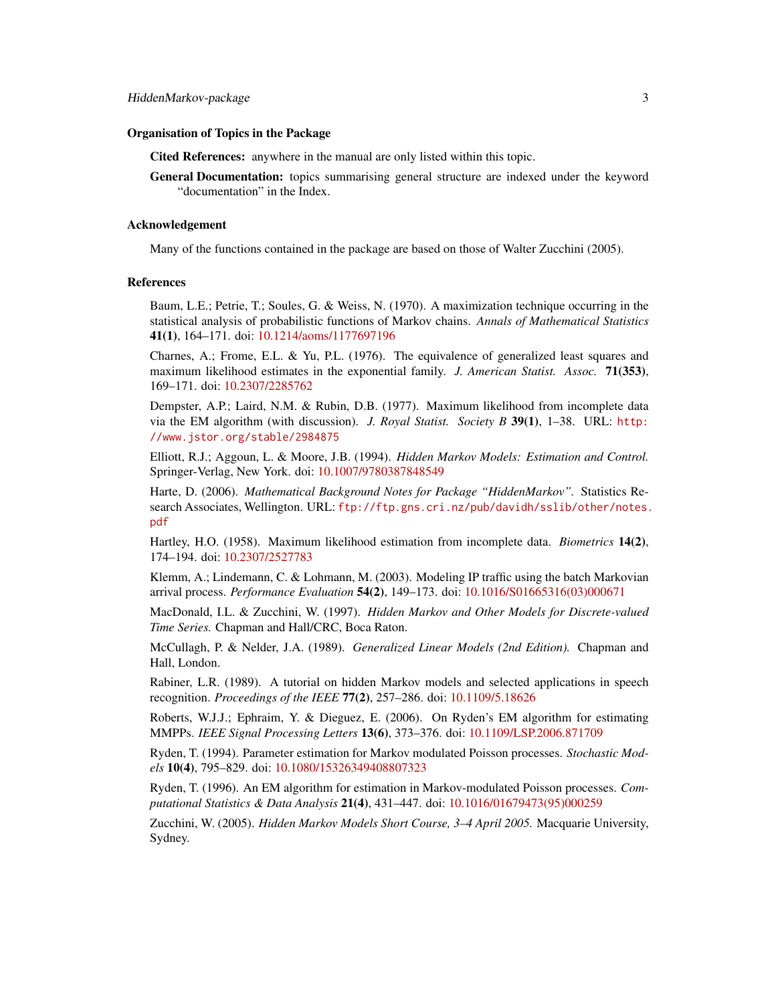# Organisation of Topics in the Package

Cited References: anywhere in the manual are only listed within this topic.

General Documentation: topics summarising general structure are indexed under the keyword "documentation" in the Index.

#### Acknowledgement

Many of the functions contained in the package are based on those of Walter Zucchini (2005).

# **References**

Baum, L.E.; Petrie, T.; Soules, G. & Weiss, N. (1970). A maximization technique occurring in the statistical analysis of probabilistic functions of Markov chains. *Annals of Mathematical Statistics* 41(1), 164–171. doi: [10.1214/aoms/1177697196](http://doi.org/10.1214/aoms/1177697196)

Charnes, A.; Frome, E.L. & Yu, P.L.  $(1976)$ . The equivalence of generalized least squares and maximum likelihood estimates in the exponential family. *J. American Statist. Assoc.* 71(353), 169–171. doi: [10.2307/2285762](http://doi.org/10.2307/2285762)

Dempster, A.P.; Laird, N.M. & Rubin, D.B. (1977). Maximum likelihood from incomplete data via the EM algorithm (with discussion). *J. Royal Statist. Society B* 39(1), 1–38. URL: [http:](http://www.jstor.org/stable/2984875) [//www.jstor.org/stable/2984875](http://www.jstor.org/stable/2984875)

Elliott, R.J.; Aggoun, L. & Moore, J.B. (1994). *Hidden Markov Models: Estimation and Control.* Springer-Verlag, New York. doi: [10.1007/9780387848549](http://doi.org/10.1007/978-0-387-84854-9)

Harte, D. (2006). *Mathematical Background Notes for Package "HiddenMarkov".* Statistics Research Associates, Wellington. URL: [ftp://ftp.gns.cri.nz/pub/davidh/sslib/other/notes.](ftp://ftp.gns.cri.nz/pub/davidh/sslib/other/notes.pdf) [pdf](ftp://ftp.gns.cri.nz/pub/davidh/sslib/other/notes.pdf)

Hartley, H.O. (1958). Maximum likelihood estimation from incomplete data. *Biometrics* 14(2), 174–194. doi: [10.2307/2527783](http://doi.org/10.2307/2527783)

Klemm, A.; Lindemann, C. & Lohmann, M. (2003). Modeling IP traffic using the batch Markovian arrival process. *Performance Evaluation* 54(2), 149–173. doi: [10.1016/S01665316\(03\)000671](http://doi.org/10.1016/S0166-5316(03)00067-1)

MacDonald, I.L. & Zucchini, W. (1997). *Hidden Markov and Other Models for Discrete-valued Time Series.* Chapman and Hall/CRC, Boca Raton.

McCullagh, P. & Nelder, J.A. (1989). *Generalized Linear Models (2nd Edition).* Chapman and Hall, London.

Rabiner, L.R. (1989). A tutorial on hidden Markov models and selected applications in speech recognition. *Proceedings of the IEEE* 77(2), 257–286. doi: [10.1109/5.18626](http://doi.org/10.1109/5.18626)

Roberts, W.J.J.; Ephraim, Y. & Dieguez, E. (2006). On Ryden's EM algorithm for estimating MMPPs. *IEEE Signal Processing Letters* 13(6), 373–376. doi: [10.1109/LSP.2006.871709](http://doi.org/10.1109/LSP.2006.871709)

Ryden, T. (1994). Parameter estimation for Markov modulated Poisson processes. *Stochastic Models* 10(4), 795–829. doi: [10.1080/15326349408807323](http://doi.org/10.1080/15326349408807323)

Ryden, T. (1996). An EM algorithm for estimation in Markov-modulated Poisson processes. *Computational Statistics & Data Analysis* 21(4), 431–447. doi: [10.1016/01679473\(95\)000259](http://doi.org/10.1016/0167-9473(95)00025-9)

Zucchini, W. (2005). *Hidden Markov Models Short Course, 3–4 April 2005.* Macquarie University, Sydney.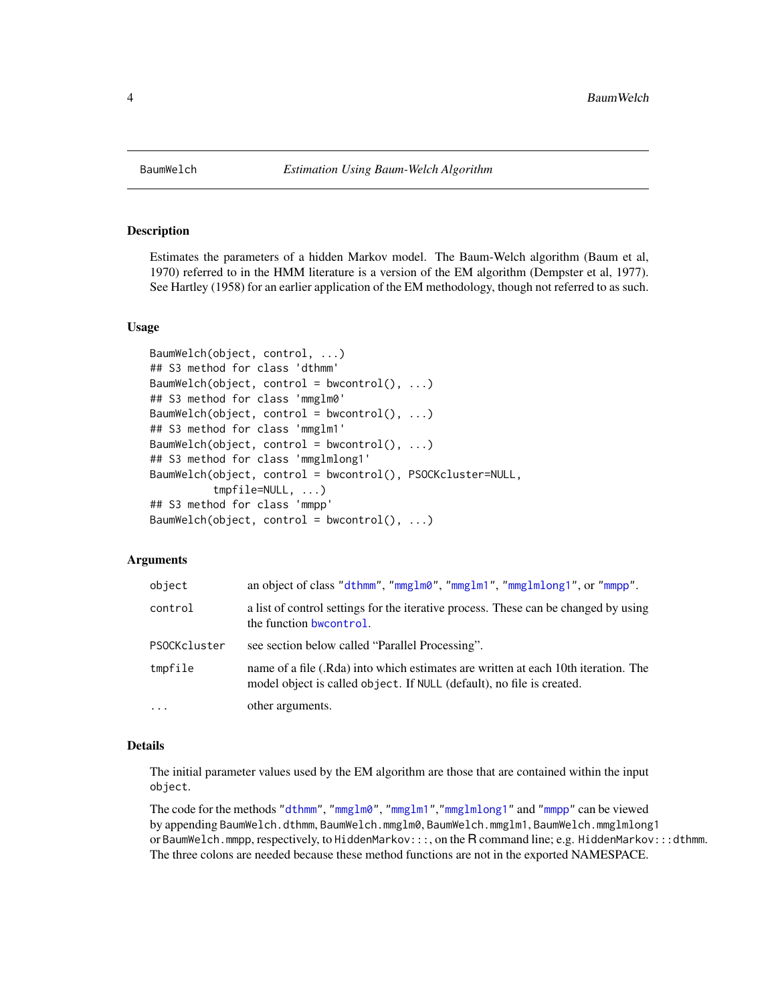<span id="page-3-1"></span><span id="page-3-0"></span>

# <span id="page-3-2"></span>Description

Estimates the parameters of a hidden Markov model. The Baum-Welch algorithm (Baum et al, 1970) referred to in the HMM literature is a version of the EM algorithm (Dempster et al, 1977). See Hartley (1958) for an earlier application of the EM methodology, though not referred to as such.

# Usage

```
BaumWelch(object, control, ...)
## S3 method for class 'dthmm'
BaumWelch(object, control = bwcontrol(), \dots)
## S3 method for class 'mmglm0'
BaumWelch(object, control = bwcontrol(), ...)## S3 method for class 'mmglm1'
BaumWelch(object, control = bwcontrol(), ...)## S3 method for class 'mmglmlong1'
BaumWelch(object, control = bwcontrol(), PSOCKcluster=NULL,
          tmpfile=NULL, ...)
## S3 method for class 'mmpp'
BaumWelch(object, control = bwcontrol(), ...)
```
# Arguments

| object       | an object of class "dthmm", "mmglm0", "mmglm1", "mmglmlong1", or "mmpp".                                                                                    |
|--------------|-------------------------------------------------------------------------------------------------------------------------------------------------------------|
| control      | a list of control settings for the iterative process. These can be changed by using<br>the function bwcontrol.                                              |
| PSOCKcluster | see section below called "Parallel Processing".                                                                                                             |
| tmpfile      | name of a file (.Rda) into which estimates are written at each 10th iteration. The<br>model object is called object. If NULL (default), no file is created. |
| $\ddots$     | other arguments.                                                                                                                                            |

# Details

The initial parameter values used by the EM algorithm are those that are contained within the input object.

The code for the methods ["dthmm"](#page-10-1), ["mmglm0"](#page-22-1), ["mmglm1"](#page-22-1),["mmglmlong1"](#page-22-1) and ["mmpp"](#page-30-1) can be viewed by appending BaumWelch.dthmm, BaumWelch.mmglm0, BaumWelch.mmglm1, BaumWelch.mmglmlong1 or BaumWelch.mmpp, respectively, to HiddenMarkov:::, on the R command line; e.g. HiddenMarkov:::dthmm. The three colons are needed because these method functions are not in the exported NAMESPACE.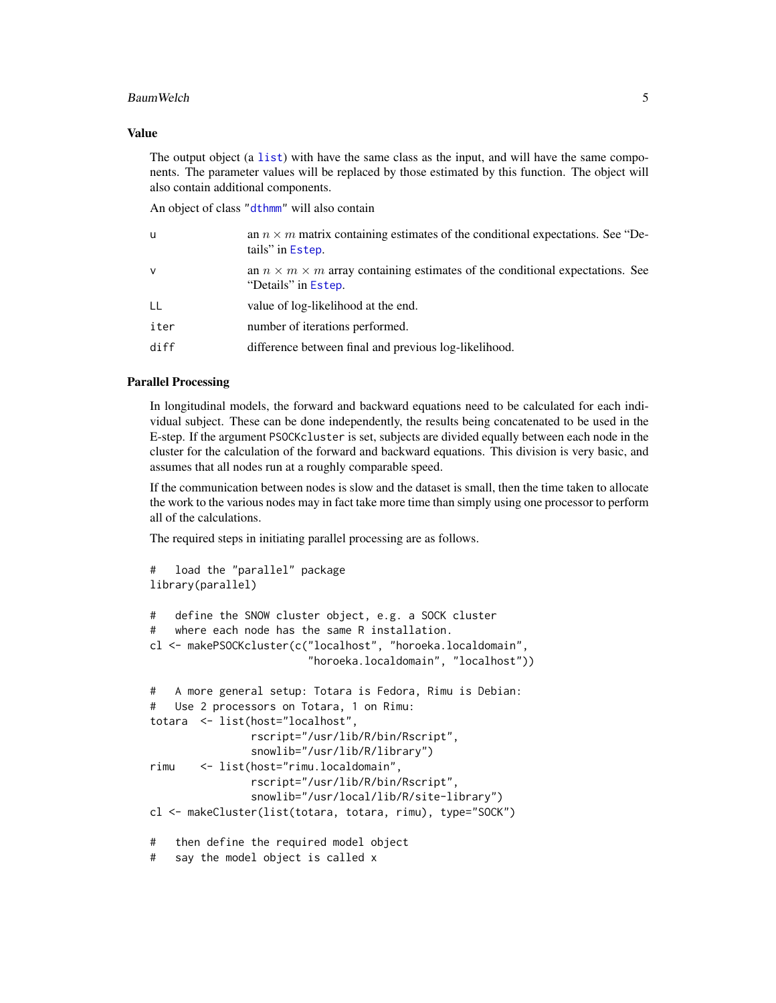# <span id="page-4-0"></span>BaumWelch 55 Street and the state of the state of the state of the state of the state of the state of the state of the state of the state of the state of the state of the state of the state of the state of the state of the

# Value

The output object (a [list](#page-0-0)) with have the same class as the input, and will have the same components. The parameter values will be replaced by those estimated by this function. The object will also contain additional components.

An object of class ["dthmm"](#page-10-1) will also contain

| u            | an $n \times m$ matrix containing estimates of the conditional expectations. See "De-<br>tails" in Estep.       |
|--------------|-----------------------------------------------------------------------------------------------------------------|
| $\mathsf{v}$ | an $n \times m \times m$ array containing estimates of the conditional expectations. See<br>"Details" in Estep. |
| LL           | value of log-likelihood at the end.                                                                             |
| iter         | number of iterations performed.                                                                                 |
| diff         | difference between final and previous log-likelihood.                                                           |

# Parallel Processing

In longitudinal models, the forward and backward equations need to be calculated for each individual subject. These can be done independently, the results being concatenated to be used in the E-step. If the argument PSOCKcluster is set, subjects are divided equally between each node in the cluster for the calculation of the forward and backward equations. This division is very basic, and assumes that all nodes run at a roughly comparable speed.

If the communication between nodes is slow and the dataset is small, then the time taken to allocate the work to the various nodes may in fact take more time than simply using one processor to perform all of the calculations.

The required steps in initiating parallel processing are as follows.

```
# load the "parallel" package
library(parallel)
# define the SNOW cluster object, e.g. a SOCK cluster
# where each node has the same R installation.
cl <- makePSOCKcluster(c("localhost", "horoeka.localdomain",
                        "horoeka.localdomain", "localhost"))
# A more general setup: Totara is Fedora, Rimu is Debian:
# Use 2 processors on Totara, 1 on Rimu:
totara <- list(host="localhost",
               rscript="/usr/lib/R/bin/Rscript",
               snowlib="/usr/lib/R/library")
rimu <- list(host="rimu.localdomain",
               rscript="/usr/lib/R/bin/Rscript",
               snowlib="/usr/local/lib/R/site-library")
cl <- makeCluster(list(totara, totara, rimu), type="SOCK")
# then define the required model object
# say the model object is called x
```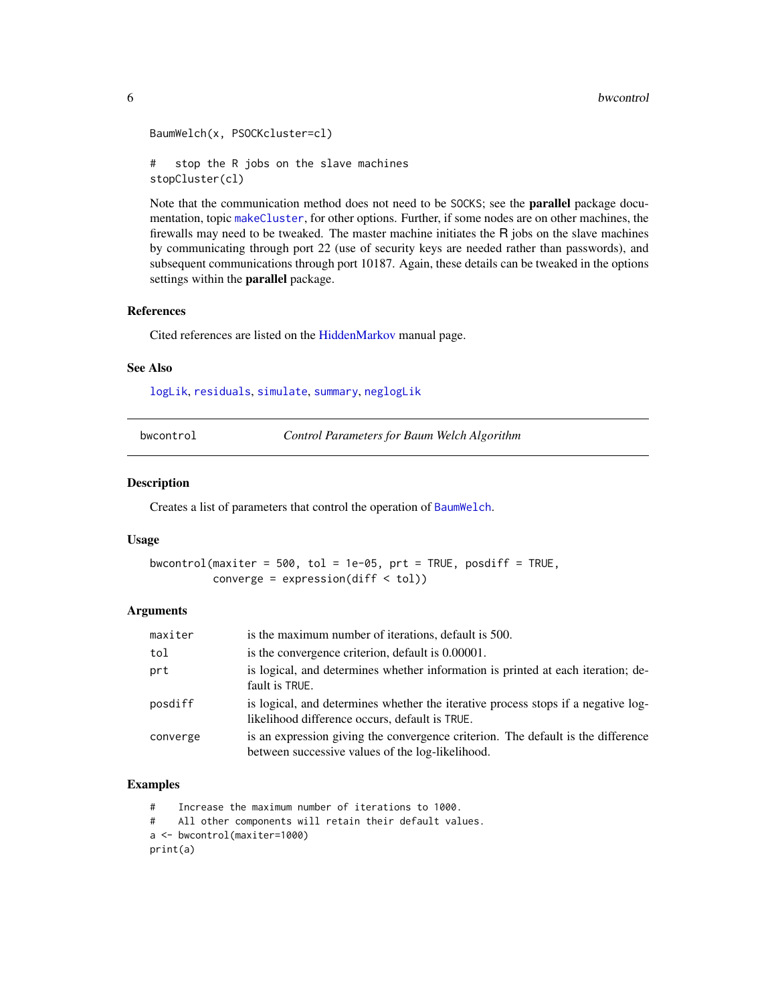```
BaumWelch(x, PSOCKcluster=cl)
# stop the R jobs on the slave machines
stopCluster(cl)
```
Note that the communication method does not need to be SOCKS; see the parallel package documentation, topic [makeCluster](#page-0-0), for other options. Further, if some nodes are on other machines, the firewalls may need to be tweaked. The master machine initiates the R jobs on the slave machines by communicating through port 22 (use of security keys are needed rather than passwords), and subsequent communications through port 10187. Again, these details can be tweaked in the options settings within the **parallel** package.

# References

Cited references are listed on the [HiddenMarkov](#page-1-1) manual page.

# See Also

[logLik](#page-20-1), [residuals](#page-41-1), [simulate](#page-43-1), [summary](#page-45-1), [neglogLik](#page-36-1)

<span id="page-5-1"></span>

| bwcontrol |  |  |
|-----------|--|--|
|           |  |  |

**Control Parameters for Baum Welch Algorithm** 

#### Description

Creates a list of parameters that control the operation of [BaumWelch](#page-3-1).

# Usage

bwcontrol(maxiter =  $500$ , tol =  $1e-05$ , prt = TRUE, posdiff = TRUE, converge = expression(diff < tol))

# Arguments

| maxiter  | is the maximum number of iterations, default is 500.                                                                                 |
|----------|--------------------------------------------------------------------------------------------------------------------------------------|
| tol      | is the convergence criterion, default is 0.00001.                                                                                    |
| prt      | is logical, and determines whether information is printed at each iteration; de-<br>fault is TRUE.                                   |
| posdiff  | is logical, and determines whether the iterative process stops if a negative log-<br>likelihood difference occurs, default is TRUE.  |
| converge | is an expression giving the convergence criterion. The default is the difference<br>between successive values of the log-likelihood. |

# Examples

# Increase the maximum number of iterations to 1000.

# All other components will retain their default values. a <- bwcontrol(maxiter=1000)

print(a)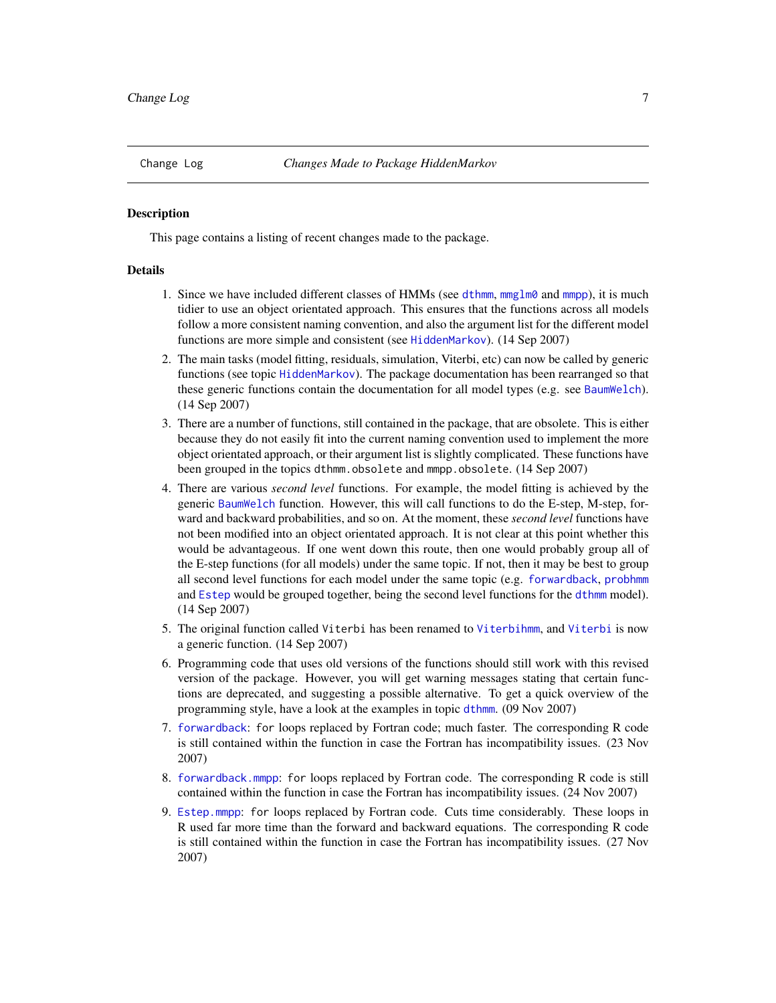<span id="page-6-0"></span>

#### **Description**

This page contains a listing of recent changes made to the package.

# Details

- 1. Since we have included different classes of HMMs (see [dthmm](#page-10-1), [mmglm0](#page-22-1) and [mmpp](#page-30-1)), it is much tidier to use an object orientated approach. This ensures that the functions across all models follow a more consistent naming convention, and also the argument list for the different model functions are more simple and consistent (see [HiddenMarkov](#page-1-1)). (14 Sep 2007)
- 2. The main tasks (model fitting, residuals, simulation, Viterbi, etc) can now be called by generic functions (see topic [HiddenMarkov](#page-1-1)). The package documentation has been rearranged so that these generic functions contain the documentation for all model types (e.g. see [BaumWelch](#page-3-1)). (14 Sep 2007)
- 3. There are a number of functions, still contained in the package, that are obsolete. This is either because they do not easily fit into the current naming convention used to implement the more object orientated approach, or their argument list is slightly complicated. These functions have been grouped in the topics dthmm.obsolete and mmpp.obsolete. (14 Sep 2007)
- 4. There are various *second level* functions. For example, the model fitting is achieved by the generic [BaumWelch](#page-3-1) function. However, this will call functions to do the E-step, M-step, forward and backward probabilities, and so on. At the moment, these *second level* functions have not been modified into an object orientated approach. It is not clear at this point whether this would be advantageous. If one went down this route, then one would probably group all of the E-step functions (for all models) under the same topic. If not, then it may be best to group all second level functions for each model under the same topic (e.g. [forwardback](#page-18-1), [probhmm](#page-40-1) and [Estep](#page-16-1) would be grouped together, being the second level functions for the [dthmm](#page-10-1) model). (14 Sep 2007)
- 5. The original function called Viterbi has been renamed to [Viterbihmm](#page-0-0), and [Viterbi](#page-48-1) is now a generic function. (14 Sep 2007)
- 6. Programming code that uses old versions of the functions should still work with this revised version of the package. However, you will get warning messages stating that certain functions are deprecated, and suggesting a possible alternative. To get a quick overview of the programming style, have a look at the examples in topic [dthmm](#page-10-1). (09 Nov 2007)
- 7. [forwardback](#page-18-1): for loops replaced by Fortran code; much faster. The corresponding R code is still contained within the function in case the Fortran has incompatibility issues. (23 Nov 2007)
- 8. [forwardback.mmpp](#page-31-2): for loops replaced by Fortran code. The corresponding R code is still contained within the function in case the Fortran has incompatibility issues. (24 Nov 2007)
- 9. [Estep.mmpp](#page-31-2): for loops replaced by Fortran code. Cuts time considerably. These loops in R used far more time than the forward and backward equations. The corresponding R code is still contained within the function in case the Fortran has incompatibility issues. (27 Nov 2007)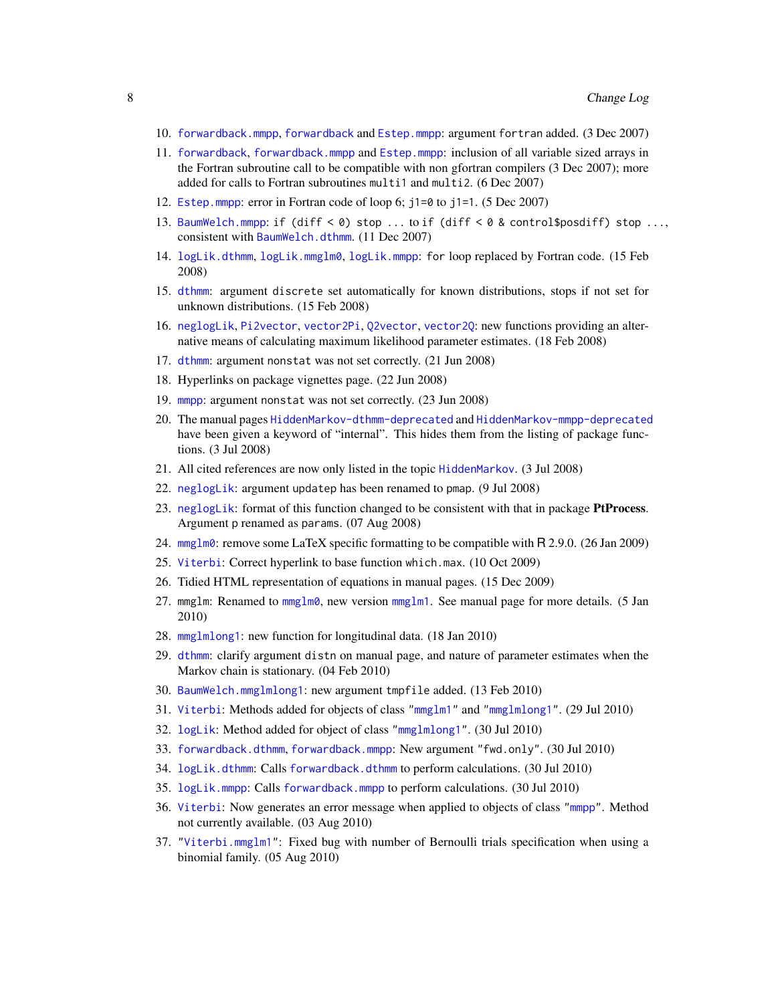- <span id="page-7-0"></span>10. [forwardback.mmpp](#page-31-2), [forwardback](#page-18-1) and [Estep.mmpp](#page-31-2): argument fortran added. (3 Dec 2007)
- 11. [forwardback](#page-18-1), [forwardback.mmpp](#page-31-2) and [Estep.mmpp](#page-31-2): inclusion of all variable sized arrays in the Fortran subroutine call to be compatible with non gfortran compilers (3 Dec 2007); more added for calls to Fortran subroutines multi1 and multi2. (6 Dec 2007)
- 12. [Estep.mmpp](#page-31-2): error in Fortran code of loop 6; j1=0 to j1=1. (5 Dec 2007)
- 13. [BaumWelch.mmpp](#page-3-2): if (diff < 0) stop ... to if (diff < 0 & control\$posdiff) stop ..., consistent with [BaumWelch.dthmm](#page-3-2). (11 Dec 2007)
- 14. [logLik.dthmm](#page-20-2), [logLik.mmglm0](#page-20-2), [logLik.mmpp](#page-20-2): for loop replaced by Fortran code. (15 Feb 2008)
- 15. [dthmm](#page-10-1): argument discrete set automatically for known distributions, stops if not set for unknown distributions. (15 Feb 2008)
- 16. [neglogLik](#page-36-1), [Pi2vector](#page-46-1), [vector2Pi](#page-46-1), [Q2vector](#page-46-1), [vector2Q](#page-46-1): new functions providing an alternative means of calculating maximum likelihood parameter estimates. (18 Feb 2008)
- 17. [dthmm](#page-10-1): argument nonstat was not set correctly. (21 Jun 2008)
- 18. Hyperlinks on package vignettes page. (22 Jun 2008)
- 19. [mmpp](#page-30-1): argument nonstat was not set correctly. (23 Jun 2008)
- 20. The manual pages [HiddenMarkov-dthmm-deprecated](#page-0-0) and [HiddenMarkov-mmpp-deprecated](#page-0-0) have been given a keyword of "internal". This hides them from the listing of package functions. (3 Jul 2008)
- 21. All cited references are now only listed in the topic [HiddenMarkov](#page-1-1). (3 Jul 2008)
- 22. [neglogLik](#page-36-1): argument updatep has been renamed to pmap. (9 Jul 2008)
- 23. [neglogLik](#page-36-1): format of this function changed to be consistent with that in package **PtProcess**. Argument p renamed as params. (07 Aug 2008)
- 24. [mmglm0](#page-22-1): remove some LaTeX specific formatting to be compatible with R 2.9.0. (26 Jan 2009)
- 25. [Viterbi](#page-48-1): Correct hyperlink to base function which.max. (10 Oct 2009)
- 26. Tidied HTML representation of equations in manual pages. (15 Dec 2009)
- 27. mmglm: Renamed to [mmglm0](#page-22-1), new version [mmglm1](#page-22-1). See manual page for more details. (5 Jan 2010)
- 28. [mmglmlong1](#page-22-1): new function for longitudinal data. (18 Jan 2010)
- 29. [dthmm](#page-10-1): clarify argument distn on manual page, and nature of parameter estimates when the Markov chain is stationary. (04 Feb 2010)
- 30. [BaumWelch.mmglmlong1](#page-3-2): new argument tmpfile added. (13 Feb 2010)
- 31. [Viterbi](#page-48-1): Methods added for objects of class ["mmglm1"](#page-22-1) and ["mmglmlong1"](#page-22-1). (29 Jul 2010)
- 32. [logLik](#page-20-1): Method added for object of class ["mmglmlong1"](#page-22-1). (30 Jul 2010)
- 33. [forwardback.dthmm](#page-18-2), [forwardback.mmpp](#page-31-2): New argument "fwd.only". (30 Jul 2010)
- 34. [logLik.dthmm](#page-20-2): Calls [forwardback.dthmm](#page-18-2) to perform calculations. (30 Jul 2010)
- 35. [logLik.mmpp](#page-20-2): Calls [forwardback.mmpp](#page-31-2) to perform calculations. (30 Jul 2010)
- 36. [Viterbi](#page-48-1): Now generates an error message when applied to objects of class ["mmpp"](#page-30-1). Method not currently available. (03 Aug 2010)
- 37. ["Viterbi.mmglm1"](#page-48-2): Fixed bug with number of Bernoulli trials specification when using a binomial family. (05 Aug 2010)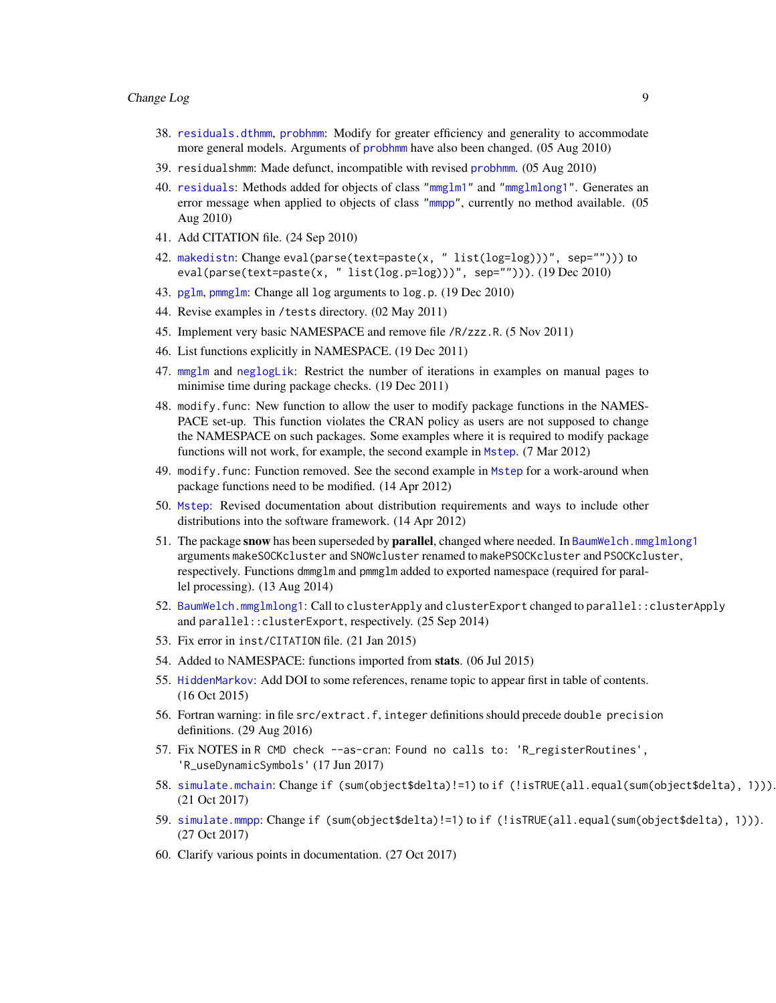# <span id="page-8-0"></span>Change Log 9

- 38. [residuals.dthmm](#page-41-2), [probhmm](#page-40-1): Modify for greater efficiency and generality to accommodate more general models. Arguments of [probhmm](#page-40-1) have also been changed. (05 Aug 2010)
- 39. residualshmm: Made defunct, incompatible with revised [probhmm](#page-40-1). (05 Aug 2010)
- 40. [residuals](#page-41-1): Methods added for objects of class ["mmglm1"](#page-22-1) and ["mmglmlong1"](#page-22-1). Generates an error message when applied to objects of class ["mmpp"](#page-30-1), currently no method available. (05 Aug 2010)
- 41. Add CITATION file. (24 Sep 2010)
- 42. [makedistn](#page-0-0): Change eval(parse(text=paste(x, " list(log=log)))", sep=""))) to eval(parse(text=paste(x, " list(log.p=log)))", sep=""))).  $(19 \text{ Dec } 2010)$
- 43. [pglm](#page-0-0), [pmmglm](#page-0-0): Change all log arguments to log.p. (19 Dec 2010)
- 44. Revise examples in /tests directory. (02 May 2011)
- 45. Implement very basic NAMESPACE and remove file /R/zzz.R. (5 Nov 2011)
- 46. List functions explicitly in NAMESPACE. (19 Dec 2011)
- 47. [mmglm](#page-22-2) and [neglogLik](#page-36-1): Restrict the number of iterations in examples on manual pages to minimise time during package checks. (19 Dec 2011)
- 48. modify.func: New function to allow the user to modify package functions in the NAMES-PACE set-up. This function violates the CRAN policy as users are not supposed to change the NAMESPACE on such packages. Some examples where it is required to modify package functions will not work, for example, the second example in [Mstep](#page-32-1). (7 Mar 2012)
- 49. modify. func: Function removed. See the second example in [Mstep](#page-32-1) for a work-around when package functions need to be modified. (14 Apr 2012)
- 50. [Mstep](#page-32-1): Revised documentation about distribution requirements and ways to include other distributions into the software framework. (14 Apr 2012)
- 51. The package snow has been superseded by parallel, changed where needed. In [BaumWelch.mmglmlong1](#page-3-2) arguments makeSOCKcluster and SNOWcluster renamed to makePSOCKcluster and PSOCKcluster, respectively. Functions dmmglm and pmmglm added to exported namespace (required for parallel processing). (13 Aug 2014)
- 52. [BaumWelch.mmglmlong1](#page-3-2): Call to clusterApply and clusterExport changed to parallel::clusterApply and parallel::clusterExport, respectively. (25 Sep 2014)
- 53. Fix error in inst/CITATION file. (21 Jan 2015)
- 54. Added to NAMESPACE: functions imported from stats. (06 Jul 2015)
- 55. [HiddenMarkov](#page-1-1): Add DOI to some references, rename topic to appear first in table of contents. (16 Oct 2015)
- 56. Fortran warning: in file src/extract.f, integer definitions should precede double precision definitions. (29 Aug 2016)
- 57. Fix NOTES in R CMD check --as-cran: Found no calls to: 'R\_registerRoutines', 'R\_useDynamicSymbols' (17 Jun 2017)
- 58. [simulate.mchain](#page-44-0): Change if (sum(object\$delta)!=1) to if (!isTRUE(all.equal(sum(object\$delta), 1))). (21 Oct 2017)
- 59. [simulate.mmpp](#page-44-0): Change if (sum(object\$delta)!=1) to if (!isTRUE(all.equal(sum(object\$delta), 1))). (27 Oct 2017)
- 60. Clarify various points in documentation. (27 Oct 2017)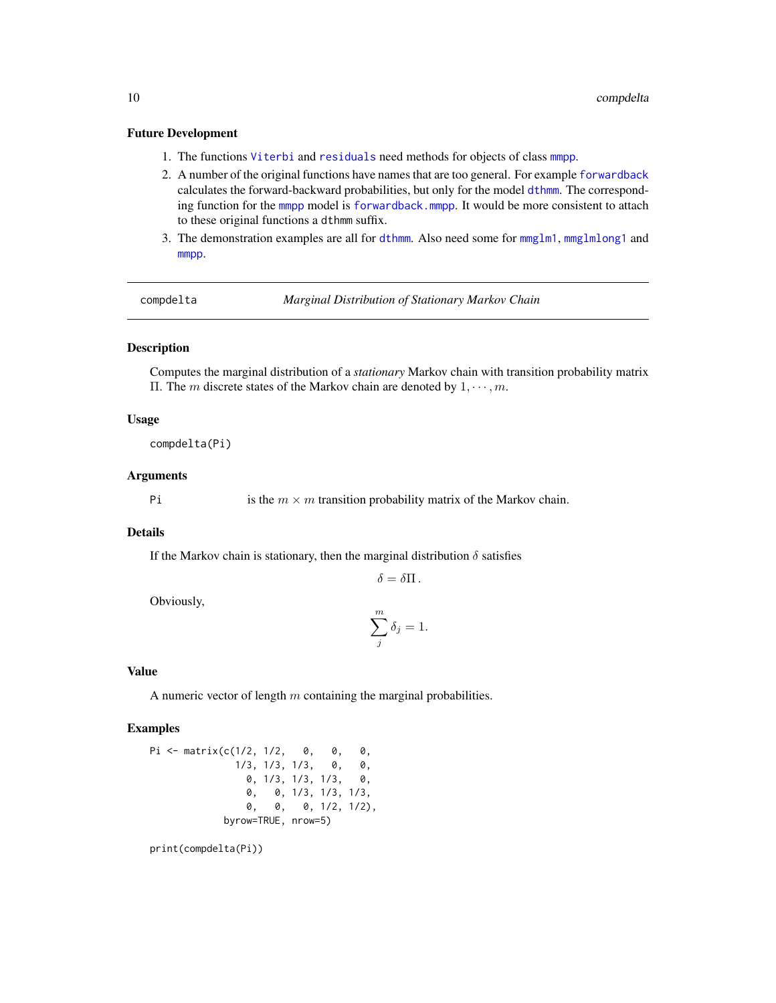#### <span id="page-9-0"></span>Future Development

- 1. The functions [Viterbi](#page-48-1) and [residuals](#page-41-1) need methods for objects of class [mmpp](#page-30-1).
- 2. A number of the original functions have names that are too general. For example [forwardback](#page-18-1) calculates the forward-backward probabilities, but only for the model [dthmm](#page-10-1). The corresponding function for the [mmpp](#page-30-1) model is [forwardback.mmpp](#page-31-2). It would be more consistent to attach to these original functions a dthmm suffix.
- 3. The demonstration examples are all for [dthmm](#page-10-1). Also need some for [mmglm1](#page-22-1), [mmglmlong1](#page-22-1) and [mmpp](#page-30-1).

<span id="page-9-1"></span>compdelta *Marginal Distribution of Stationary Markov Chain*

# Description

Computes the marginal distribution of a *stationary* Markov chain with transition probability matrix Π. The *m* discrete states of the Markov chain are denoted by  $1, \dots, m$ .

# Usage

compdelta(Pi)

# **Arguments**

Pi is the  $m \times m$  transition probability matrix of the Markov chain.

# **Details**

If the Markov chain is stationary, then the marginal distribution  $\delta$  satisfies

 $\delta = \delta \Pi$ .

Obviously,

$$
\sum_{j}^{m} \delta_{j} = 1.
$$

#### Value

A numeric vector of length  $m$  containing the marginal probabilities.

# Examples

Pi <- matrix(c(1/2, 1/2, 0, 0, 0, 1/3, 1/3, 1/3, 0, 0, 0, 1/3, 1/3, 1/3, 0, 0, 0, 1/3, 1/3, 1/3, 0, 0, 0, 1/2, 1/2), byrow=TRUE, nrow=5)

print(compdelta(Pi))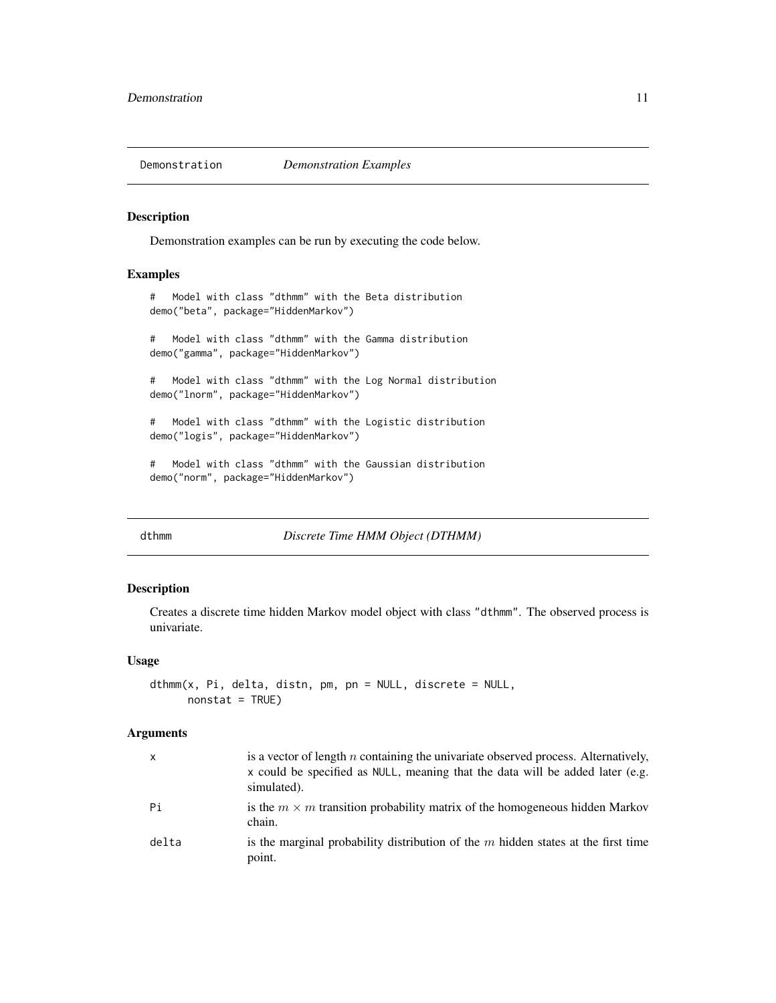<span id="page-10-0"></span>

# Description

Demonstration examples can be run by executing the code below.

# Examples

```
# Model with class "dthmm" with the Beta distribution
demo("beta", package="HiddenMarkov")
# Model with class "dthmm" with the Gamma distribution
demo("gamma", package="HiddenMarkov")
# Model with class "dthmm" with the Log Normal distribution
demo("lnorm", package="HiddenMarkov")
# Model with class "dthmm" with the Logistic distribution
demo("logis", package="HiddenMarkov")
# Model with class "dthmm" with the Gaussian distribution
demo("norm", package="HiddenMarkov")
```
<span id="page-10-1"></span>dthmm *Discrete Time HMM Object (DTHMM)*

#### Description

Creates a discrete time hidden Markov model object with class "dthmm". The observed process is univariate.

# Usage

```
dthmm(x, Pi, delta, distn, pm, pn = NULL, discrete = NULL,
     nonstat = TRUE)
```
# Arguments

| $\mathsf{x}$ | is a vector of length $n$ containing the univariate observed process. Alternatively,<br>x could be specified as NULL, meaning that the data will be added later (e.g.<br>simulated). |
|--------------|--------------------------------------------------------------------------------------------------------------------------------------------------------------------------------------|
| Pi           | is the $m \times m$ transition probability matrix of the homogeneous hidden Markov<br>chain.                                                                                         |
| delta        | is the marginal probability distribution of the $m$ hidden states at the first time<br>point.                                                                                        |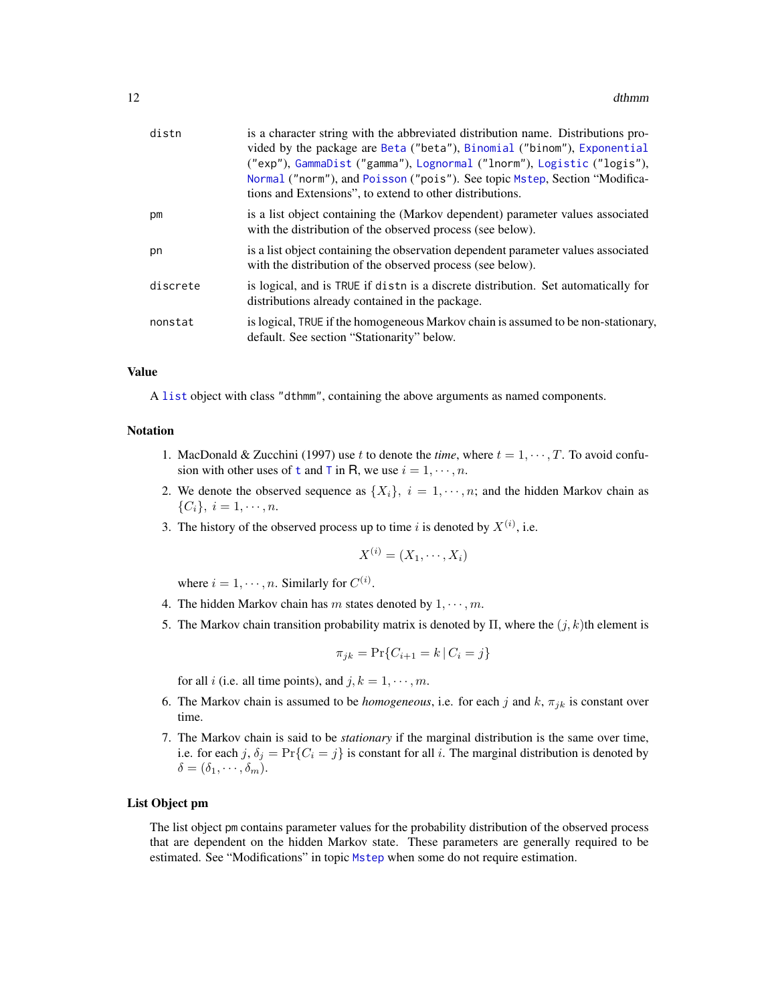<span id="page-11-0"></span>

| distn    | is a character string with the abbreviated distribution name. Distributions pro-<br>vided by the package are Beta ("beta"), Binomial ("binom"), Exponential<br>("exp"), GammaDist ("gamma"), Lognormal ("lnorm"), Logistic ("logis"),<br>Normal ("norm"), and Poisson ("pois"). See topic Mstep, Section "Modifica-<br>tions and Extensions", to extend to other distributions. |
|----------|---------------------------------------------------------------------------------------------------------------------------------------------------------------------------------------------------------------------------------------------------------------------------------------------------------------------------------------------------------------------------------|
| pm       | is a list object containing the (Markov dependent) parameter values associated<br>with the distribution of the observed process (see below).                                                                                                                                                                                                                                    |
| pn       | is a list object containing the observation dependent parameter values associated<br>with the distribution of the observed process (see below).                                                                                                                                                                                                                                 |
| discrete | is logical, and is TRUE if distn is a discrete distribution. Set automatically for<br>distributions already contained in the package.                                                                                                                                                                                                                                           |
| nonstat  | is logical, TRUE if the homogeneous Markov chain is assumed to be non-stationary,<br>default. See section "Stationarity" below.                                                                                                                                                                                                                                                 |

# Value

A [list](#page-0-0) object with class "dthmm", containing the above arguments as named components.

# Notation

- 1. MacDonald & Zucchini (1997) use t to denote the *time*, where  $t = 1, \dots, T$ . To avoid confusion wi[t](#page-0-0)h other uses of t and [T](#page-0-0) in R, we use  $i = 1, \dots, n$ .
- 2. We denote the observed sequence as  $\{X_i\}, i = 1, \dots, n$ ; and the hidden Markov chain as  $\{C_i\}, i = 1, \cdots, n.$
- 3. The history of the observed process up to time i is denoted by  $X^{(i)}$ , i.e.

$$
X^{(i)} = (X_1, \cdots, X_i)
$$

where  $i = 1, \dots, n$ . Similarly for  $C^{(i)}$ .

- 4. The hidden Markov chain has m states denoted by  $1, \dots, m$ .
- 5. The Markov chain transition probability matrix is denoted by  $\Pi$ , where the  $(j, k)$ th element is

$$
\pi_{jk} = \Pr\{C_{i+1} = k \,|\, C_i = j\}
$$

for all *i* (i.e. all time points), and  $j, k = 1, \dots, m$ .

- 6. The Markov chain is assumed to be *homogeneous*, i.e. for each j and  $k$ ,  $\pi_{jk}$  is constant over time.
- 7. The Markov chain is said to be *stationary* if the marginal distribution is the same over time, i.e. for each j,  $\delta_j = \Pr\{C_i = j\}$  is constant for all i. The marginal distribution is denoted by  $\delta = (\delta_1, \cdots, \delta_m).$

## List Object pm

The list object pm contains parameter values for the probability distribution of the observed process that are dependent on the hidden Markov state. These parameters are generally required to be estimated. See "Modifications" in topic [Mstep](#page-32-1) when some do not require estimation.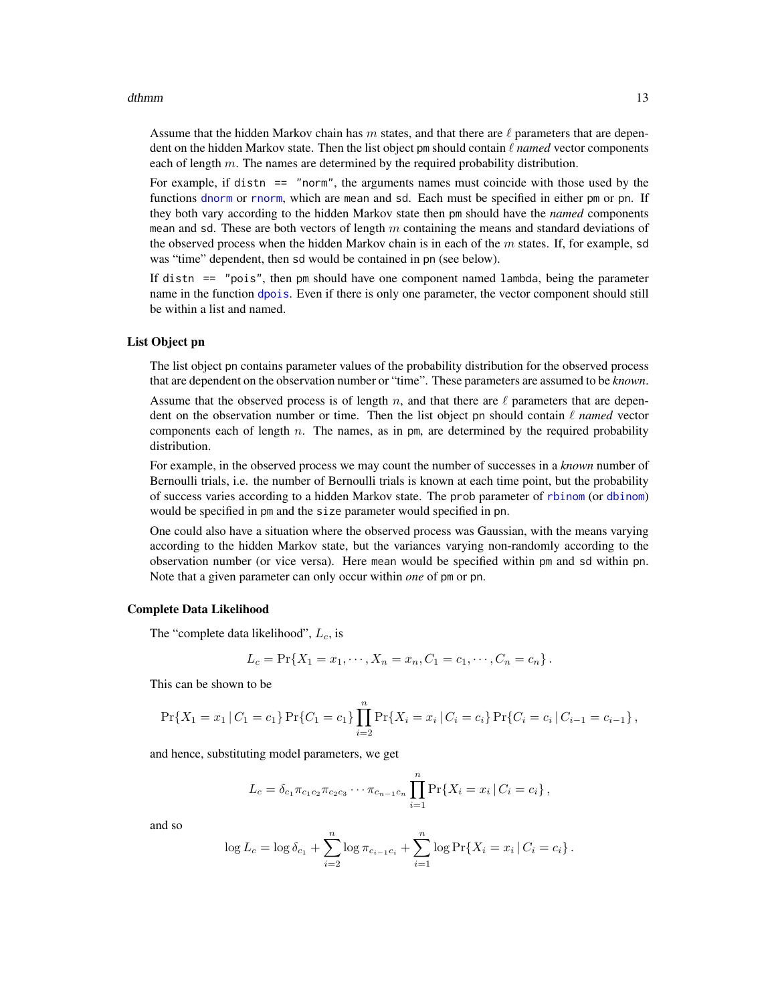#### <span id="page-12-0"></span>dthmm and the contract of the contract of the contract of the contract of the contract of the contract of the contract of the contract of the contract of the contract of the contract of the contract of the contract of the

Assume that the hidden Markov chain has m states, and that there are  $\ell$  parameters that are dependent on the hidden Markov state. Then the list object pm should contain  $\ell$  *named* vector components each of length  $m$ . The names are determined by the required probability distribution.

For example, if distn == "norm", the arguments names must coincide with those used by the functions [dnorm](#page-0-0) or [rnorm](#page-0-0), which are mean and sd. Each must be specified in either pm or pn. If they both vary according to the hidden Markov state then pm should have the *named* components mean and sd. These are both vectors of length  $m$  containing the means and standard deviations of the observed process when the hidden Markov chain is in each of the  $m$  states. If, for example, sd was "time" dependent, then sd would be contained in pn (see below).

If distn == "pois", then pm should have one component named lambda, being the parameter name in the function [dpois](#page-0-0). Even if there is only one parameter, the vector component should still be within a list and named.

# List Object pn

The list object pn contains parameter values of the probability distribution for the observed process that are dependent on the observation number or "time". These parameters are assumed to be *known*.

Assume that the observed process is of length n, and that there are  $\ell$  parameters that are dependent on the observation number or time. Then the list object pn should contain  $\ell$  *named* vector components each of length  $n$ . The names, as in pm, are determined by the required probability distribution.

For example, in the observed process we may count the number of successes in a *known* number of Bernoulli trials, i.e. the number of Bernoulli trials is known at each time point, but the probability of success varies according to a hidden Markov state. The prob parameter of [rbinom](#page-0-0) (or [dbinom](#page-0-0)) would be specified in pm and the size parameter would specified in pn.

One could also have a situation where the observed process was Gaussian, with the means varying according to the hidden Markov state, but the variances varying non-randomly according to the observation number (or vice versa). Here mean would be specified within pm and sd within pn. Note that a given parameter can only occur within *one* of pm or pn.

# Complete Data Likelihood

The "complete data likelihood",  $L_c$ , is

$$
L_c = \Pr\{X_1 = x_1, \cdots, X_n = x_n, C_1 = c_1, \cdots, C_n = c_n\}.
$$

This can be shown to be

$$
\Pr\{X_1 = x_1 | C_1 = c_1\} \Pr\{C_1 = c_1\} \prod_{i=2}^n \Pr\{X_i = x_i | C_i = c_i\} \Pr\{C_i = c_i | C_{i-1} = c_{i-1}\},\
$$

and hence, substituting model parameters, we get

$$
L_c = \delta_{c_1} \pi_{c_1 c_2} \pi_{c_2 c_3} \cdots \pi_{c_{n-1} c_n} \prod_{i=1}^n \Pr\{X_i = x_i | C_i = c_i\},\,
$$

and so

$$
\log L_c = \log \delta_{c_1} + \sum_{i=2}^n \log \pi_{c_{i-1}c_i} + \sum_{i=1}^n \log \Pr\{X_i = x_i \,|\, C_i = c_i\}.
$$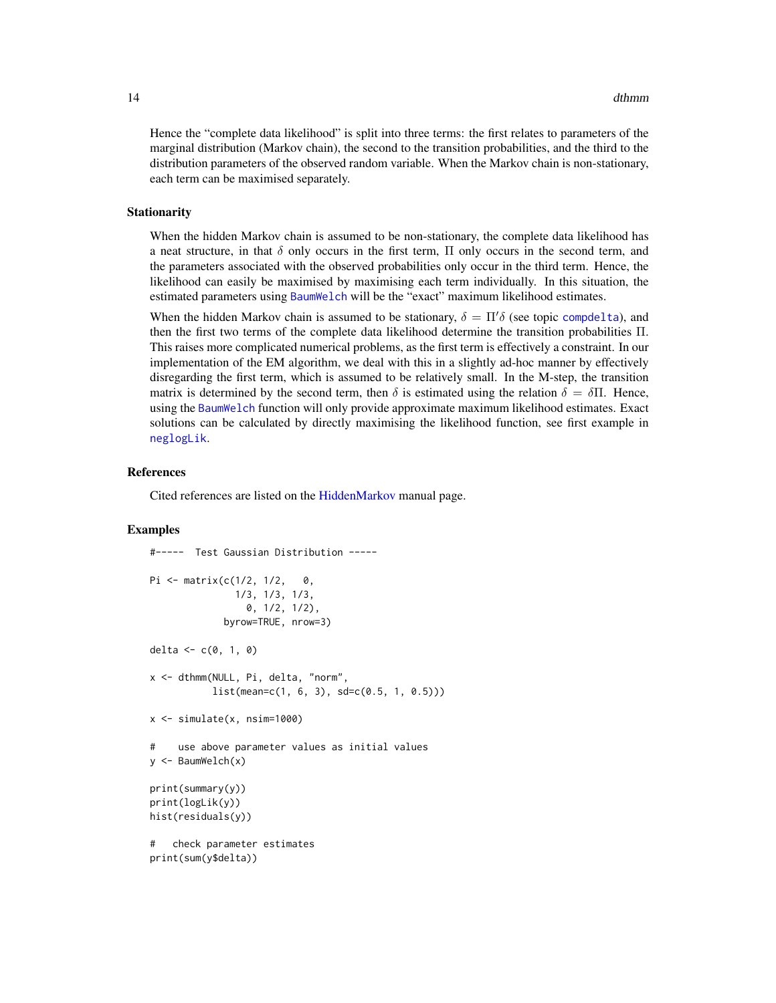<span id="page-13-0"></span>Hence the "complete data likelihood" is split into three terms: the first relates to parameters of the marginal distribution (Markov chain), the second to the transition probabilities, and the third to the distribution parameters of the observed random variable. When the Markov chain is non-stationary, each term can be maximised separately.

#### Stationarity

When the hidden Markov chain is assumed to be non-stationary, the complete data likelihood has a neat structure, in that  $\delta$  only occurs in the first term,  $\Pi$  only occurs in the second term, and the parameters associated with the observed probabilities only occur in the third term. Hence, the likelihood can easily be maximised by maximising each term individually. In this situation, the estimated parameters using [BaumWelch](#page-3-1) will be the "exact" maximum likelihood estimates.

When the hidden Markov chain is assumed to be stationary,  $\delta = \Pi' \delta$  (see topic [compdelta](#page-9-1)), and then the first two terms of the complete data likelihood determine the transition probabilities Π. This raises more complicated numerical problems, as the first term is effectively a constraint. In our implementation of the EM algorithm, we deal with this in a slightly ad-hoc manner by effectively disregarding the first term, which is assumed to be relatively small. In the M-step, the transition matrix is determined by the second term, then  $\delta$  is estimated using the relation  $\delta = \delta \Pi$ . Hence, using the [BaumWelch](#page-3-1) function will only provide approximate maximum likelihood estimates. Exact solutions can be calculated by directly maximising the likelihood function, see first example in [neglogLik](#page-36-1).

# References

Cited references are listed on the [HiddenMarkov](#page-1-1) manual page.

# Examples

```
#----- Test Gaussian Distribution -----
Pi \leq matrix(c(1/2, 1/2, 0,
               1/3, 1/3, 1/3,
                 0, 1/2, 1/2),
             byrow=TRUE, nrow=3)
delta <-c(0, 1, 0)x <- dthmm(NULL, Pi, delta, "norm",
           list(mean=c(1, 6, 3), sd=c(0.5, 1, 0.5)))x \le -\sin(1) simulate(x, nsim=1000)
# use above parameter values as initial values
y <- BaumWelch(x)
print(summary(y))
print(logLik(y))
hist(residuals(y))
# check parameter estimates
print(sum(y$delta))
```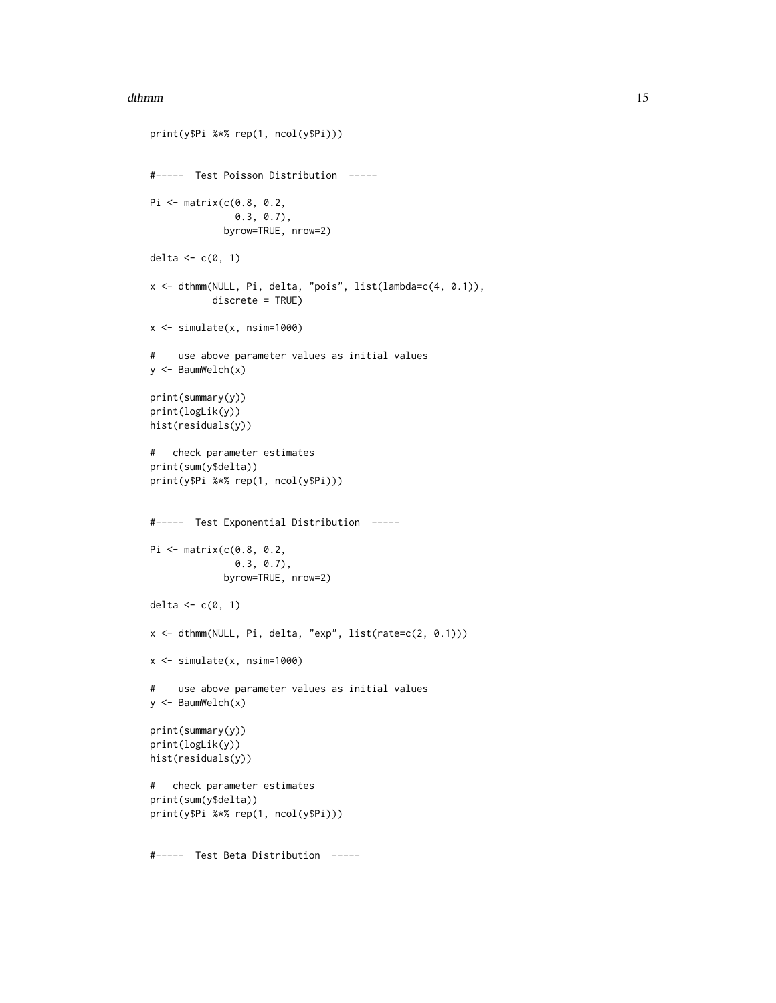#### dthmm and the control of the control of the control of the control of the control of the control of the control of the control of the control of the control of the control of the control of the control of the control of th

```
print(y$Pi %*% rep(1, ncol(y$Pi)))
#----- Test Poisson Distribution -----
Pi <- matrix(c(0.8, 0.2,
               0.3, 0.7),
             byrow=TRUE, nrow=2)
delta \leq c(0, 1)x <- dthmm(NULL, Pi, delta, "pois", list(lambda=c(4, 0.1)),
           discrete = TRUE)
x \leftarrow simulate(x, nsim=1000)
# use above parameter values as initial values
y <- BaumWelch(x)
print(summary(y))
print(logLik(y))
hist(residuals(y))
# check parameter estimates
print(sum(y$delta))
print(y$Pi %*% rep(1, ncol(y$Pi)))
#----- Test Exponential Distribution -----
Pi <- matrix(c(0.8, 0.2,
               0.3, 0.7),
             byrow=TRUE, nrow=2)
delta \leq c(0, 1)x <- dthmm(NULL, Pi, delta, "exp", list(rate=c(2, 0.1)))
x <- simulate(x, nsim=1000)
# use above parameter values as initial values
y <- BaumWelch(x)
print(summary(y))
print(logLik(y))
hist(residuals(y))
# check parameter estimates
print(sum(y$delta))
print(y$Pi %*% rep(1, ncol(y$Pi)))
```
#----- Test Beta Distribution -----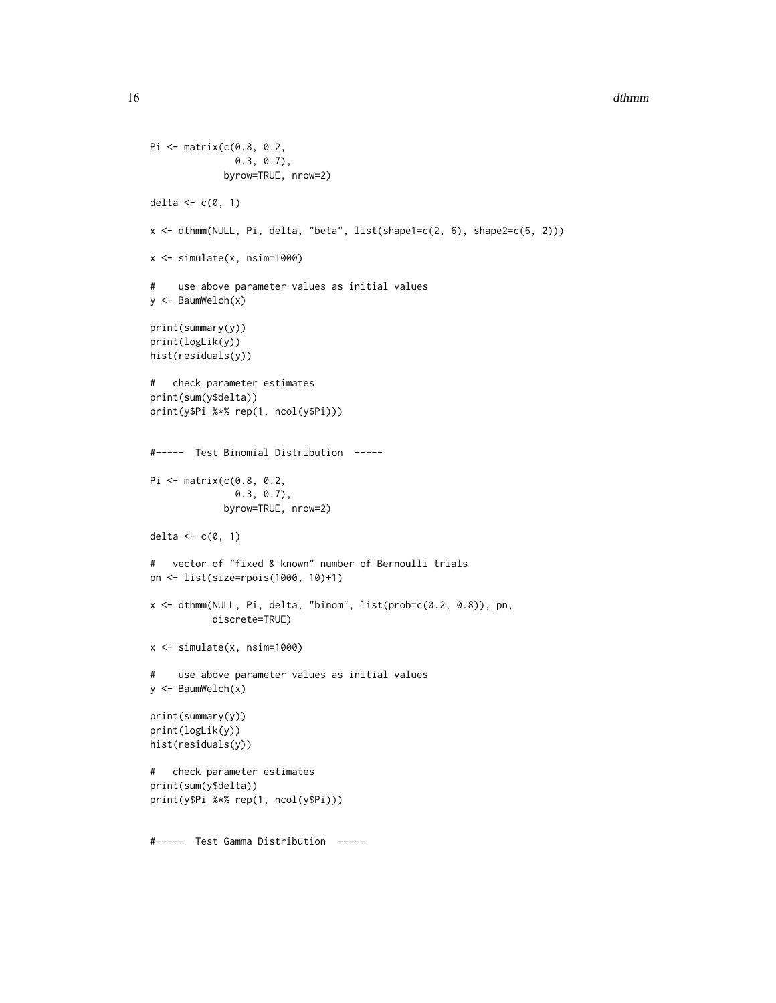#### 16 dthmm and the state of the state of the state of the state of the state of the state of the state of the state of the state of the state of the state of the state of the state of the state of the state of the state of t

```
Pi <- matrix(c(0.8, 0.2,
               0.3, 0.7),
             byrow=TRUE, nrow=2)
delta \leftarrow c(0, 1)x <- dthmm(NULL, Pi, delta, "beta", list(shape1=c(2, 6), shape2=c(6, 2)))
x \leftarrow simulate(x, nsim=1000)
# use above parameter values as initial values
y <- BaumWelch(x)
print(summary(y))
print(logLik(y))
hist(residuals(y))
# check parameter estimates
print(sum(y$delta))
print(y$Pi %*% rep(1, ncol(y$Pi)))
#----- Test Binomial Distribution -----
Pi <- matrix(c(0.8, 0.2,
               0.3, 0.7),
             byrow=TRUE, nrow=2)
delta \leftarrow c(0, 1)
# vector of "fixed & known" number of Bernoulli trials
pn <- list(size=rpois(1000, 10)+1)
x <- dthmm(NULL, Pi, delta, "binom", list(prob=c(0.2, 0.8)), pn,
           discrete=TRUE)
x \leftarrow simulate(x, nsim=1000)
# use above parameter values as initial values
y <- BaumWelch(x)
print(summary(y))
print(logLik(y))
hist(residuals(y))
# check parameter estimates
print(sum(y$delta))
print(y$Pi %*% rep(1, ncol(y$Pi)))
#----- Test Gamma Distribution -----
```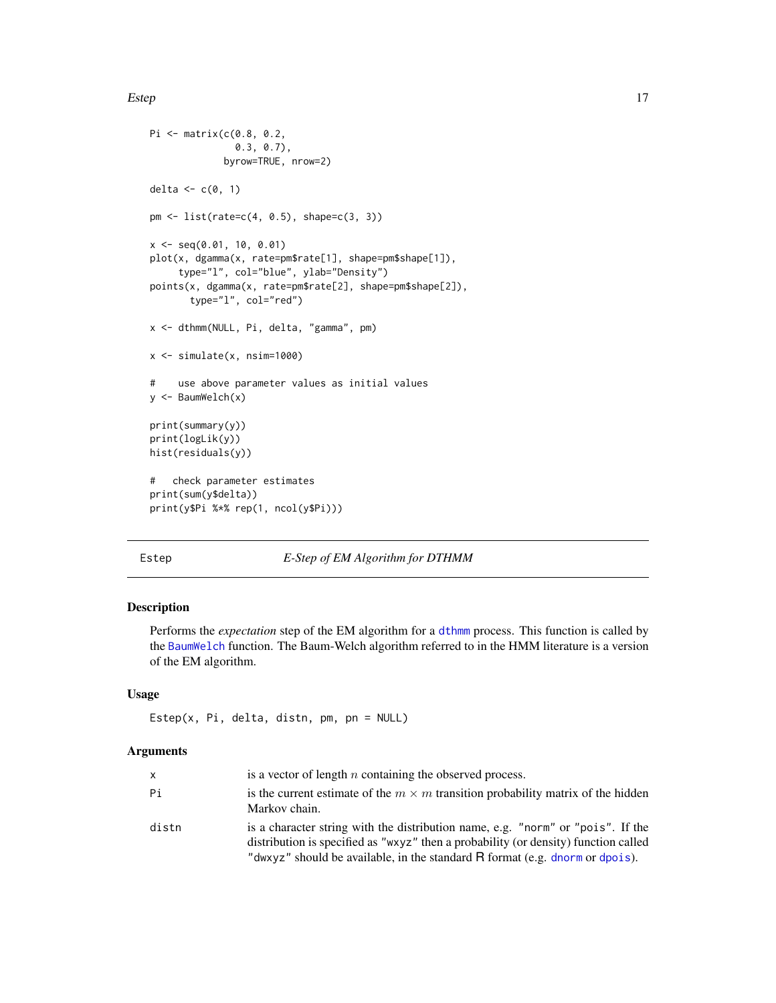<span id="page-16-0"></span>Estep 17

```
Pi <- matrix(c(0.8, 0.2,
               0.3, 0.7),
             byrow=TRUE, nrow=2)
delta <-c(0, 1)pm <- list(rate=c(4, 0.5), shape=c(3, 3))
x \leq -\text{seq}(0.01, 10, 0.01)plot(x, dgamma(x, rate=pm$rate[1], shape=pm$shape[1]),
     type="l", col="blue", ylab="Density")
points(x, dgamma(x, rate=pm$rate[2], shape=pm$shape[2]),
       type="l", col="red")
x <- dthmm(NULL, Pi, delta, "gamma", pm)
x \leftarrow simulate(x, nsim=1000)
# use above parameter values as initial values
y <- BaumWelch(x)
print(summary(y))
print(logLik(y))
hist(residuals(y))
# check parameter estimates
print(sum(y$delta))
print(y$Pi %*% rep(1, ncol(y$Pi)))
```
# <span id="page-16-1"></span>Estep *E-Step of EM Algorithm for DTHMM*

# Description

Performs the *expectation* step of the EM algorithm for a [dthmm](#page-10-1) process. This function is called by the [BaumWelch](#page-3-1) function. The Baum-Welch algorithm referred to in the HMM literature is a version of the EM algorithm.

# Usage

```
Estep(x, Pi, delta, distn, pm, pn = NULL)
```
# Arguments

| <b>x</b> | is a vector of length $n$ containing the observed process.                                                                                                                                                                                             |
|----------|--------------------------------------------------------------------------------------------------------------------------------------------------------------------------------------------------------------------------------------------------------|
| Рi       | is the current estimate of the $m \times m$ transition probability matrix of the hidden<br>Markov chain.                                                                                                                                               |
| distn    | is a character string with the distribution name, e.g. "norm" or "pois". If the<br>distribution is specified as "wxyz" then a probability (or density) function called<br>"dwxyz" should be available, in the standard R format (e.g. dnorm or dpois). |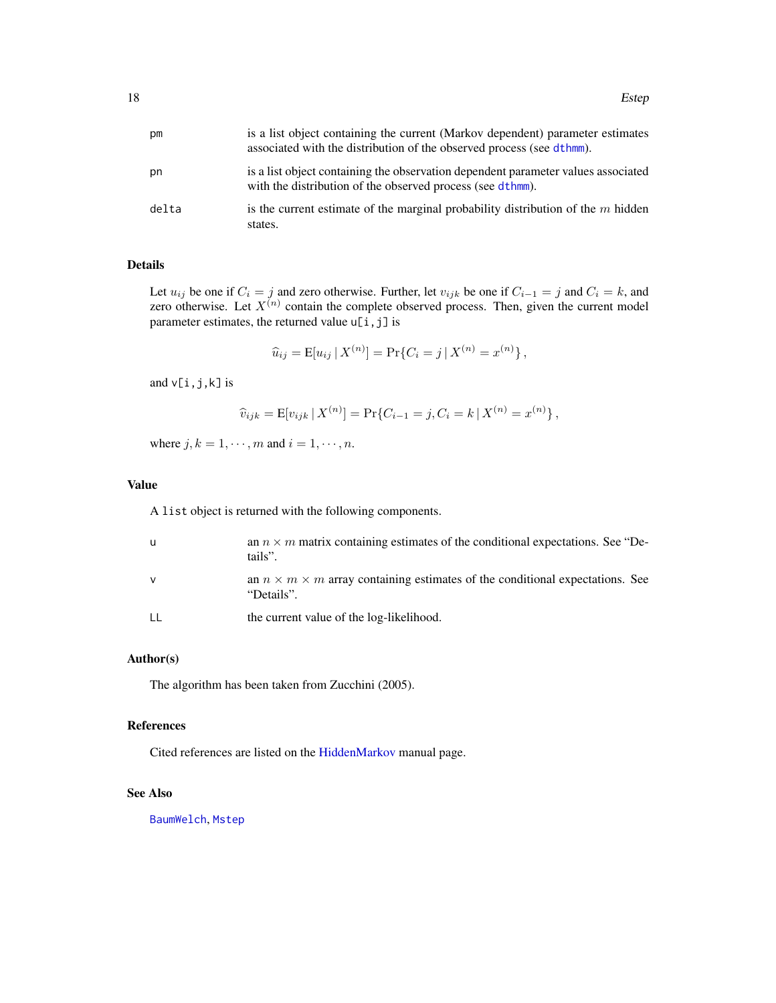<span id="page-17-0"></span>

| рm    | is a list object containing the current (Markov dependent) parameter estimates<br>associated with the distribution of the observed process (see dthmm). |
|-------|---------------------------------------------------------------------------------------------------------------------------------------------------------|
| pn    | is a list object containing the observation dependent parameter values associated<br>with the distribution of the observed process (see dthmm).         |
| delta | is the current estimate of the marginal probability distribution of the $m$ hidden<br>states.                                                           |

# Details

Let  $u_{ij}$  be one if  $C_i = j$  and zero otherwise. Further, let  $v_{ijk}$  be one if  $C_{i-1} = j$  and  $C_i = k$ , and zero otherwise. Let  $X^{(n)}$  contain the complete observed process. Then, given the current model parameter estimates, the returned value  $u[i, j]$  is

$$
\widehat{u}_{ij} = \mathbb{E}[u_{ij} | X^{(n)}] = \Pr\{C_i = j | X^{(n)} = x^{(n)}\},\
$$

and  $v[i,j,k]$  is

$$
\widehat{v}_{ijk} = \mathbb{E}[v_{ijk} | X^{(n)}] = \Pr\{C_{i-1} = j, C_i = k | X^{(n)} = x^{(n)}\},\
$$

where  $j, k = 1, \dots, m$  and  $i = 1, \dots, n$ .

# Value

A list object is returned with the following components.

| u  | an $n \times m$ matrix containing estimates of the conditional expectations. See "De-<br>tails".       |
|----|--------------------------------------------------------------------------------------------------------|
| ν  | an $n \times m \times m$ array containing estimates of the conditional expectations. See<br>"Details". |
| LL | the current value of the log-likelihood.                                                               |

# Author(s)

The algorithm has been taken from Zucchini (2005).

## References

Cited references are listed on the [HiddenMarkov](#page-1-1) manual page.

# See Also

[BaumWelch](#page-3-1), [Mstep](#page-32-1)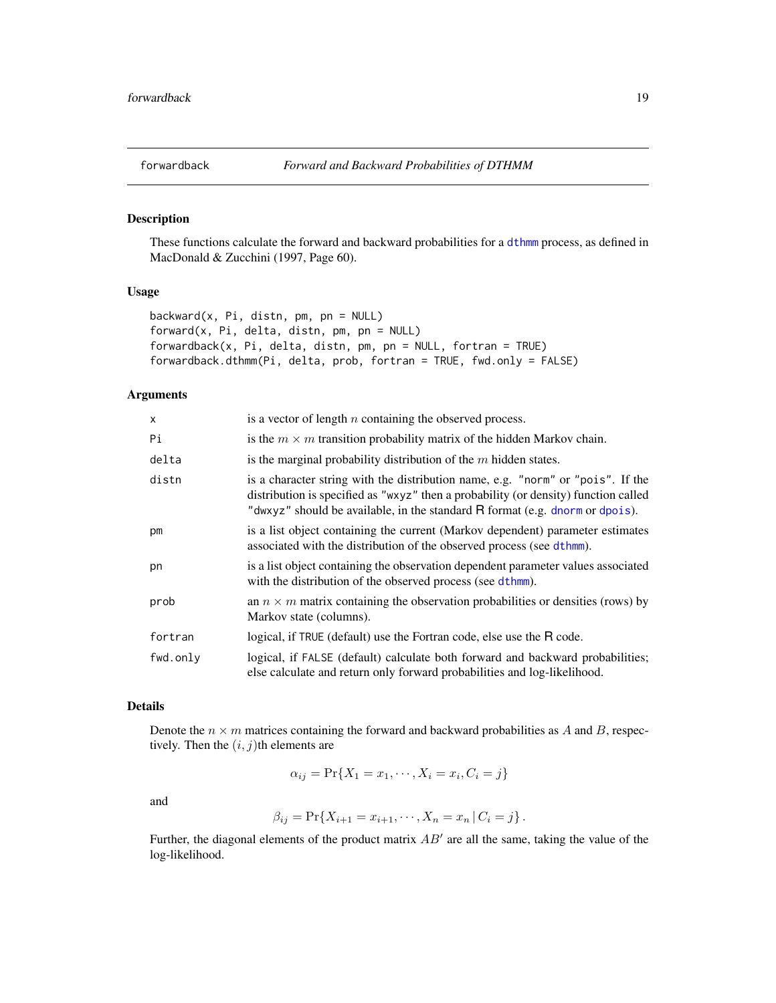<span id="page-18-1"></span><span id="page-18-0"></span>

# <span id="page-18-2"></span>Description

These functions calculate the forward and backward probabilities for a [dthmm](#page-10-1) process, as defined in MacDonald & Zucchini (1997, Page 60).

# Usage

```
backward(x, Pi, distn, pm, pn = NULL)
forward(x, Pi, delta, distn, pm, pn = NULL)
forwardback(x, Pi, delta, distn, pm, pn = NULL, fortran = TRUE)
forwardback.dthmm(Pi, delta, prob, fortran = TRUE, fwd.only = FALSE)
```
# Arguments

| $\boldsymbol{\mathsf{x}}$ | is a vector of length $n$ containing the observed process.                                                                                                                                                                                             |
|---------------------------|--------------------------------------------------------------------------------------------------------------------------------------------------------------------------------------------------------------------------------------------------------|
| Pi                        | is the $m \times m$ transition probability matrix of the hidden Markov chain.                                                                                                                                                                          |
| delta                     | is the marginal probability distribution of the $m$ hidden states.                                                                                                                                                                                     |
| distn                     | is a character string with the distribution name, e.g. "norm" or "pois". If the<br>distribution is specified as "wxyz" then a probability (or density) function called<br>"dwxyz" should be available, in the standard R format (e.g. dnorm or dpois). |
| pm                        | is a list object containing the current (Markov dependent) parameter estimates<br>associated with the distribution of the observed process (see dthmm).                                                                                                |
| pn                        | is a list object containing the observation dependent parameter values associated<br>with the distribution of the observed process (see dthmm).                                                                                                        |
| prob                      | an $n \times m$ matrix containing the observation probabilities or densities (rows) by<br>Markov state (columns).                                                                                                                                      |
| fortran                   | logical, if TRUE (default) use the Fortran code, else use the R code.                                                                                                                                                                                  |
| fwd.only                  | logical, if FALSE (default) calculate both forward and backward probabilities;<br>else calculate and return only forward probabilities and log-likelihood.                                                                                             |

# Details

Denote the  $n \times m$  matrices containing the forward and backward probabilities as A and B, respectively. Then the  $(i, j)$ th elements are

$$
\alpha_{ij} = \Pr\{X_1 = x_1, \cdots, X_i = x_i, C_i = j\}
$$

and

$$
\beta_{ij} = \Pr\{X_{i+1} = x_{i+1}, \cdots, X_n = x_n | C_i = j\}.
$$

Further, the diagonal elements of the product matrix  $AB'$  are all the same, taking the value of the log-likelihood.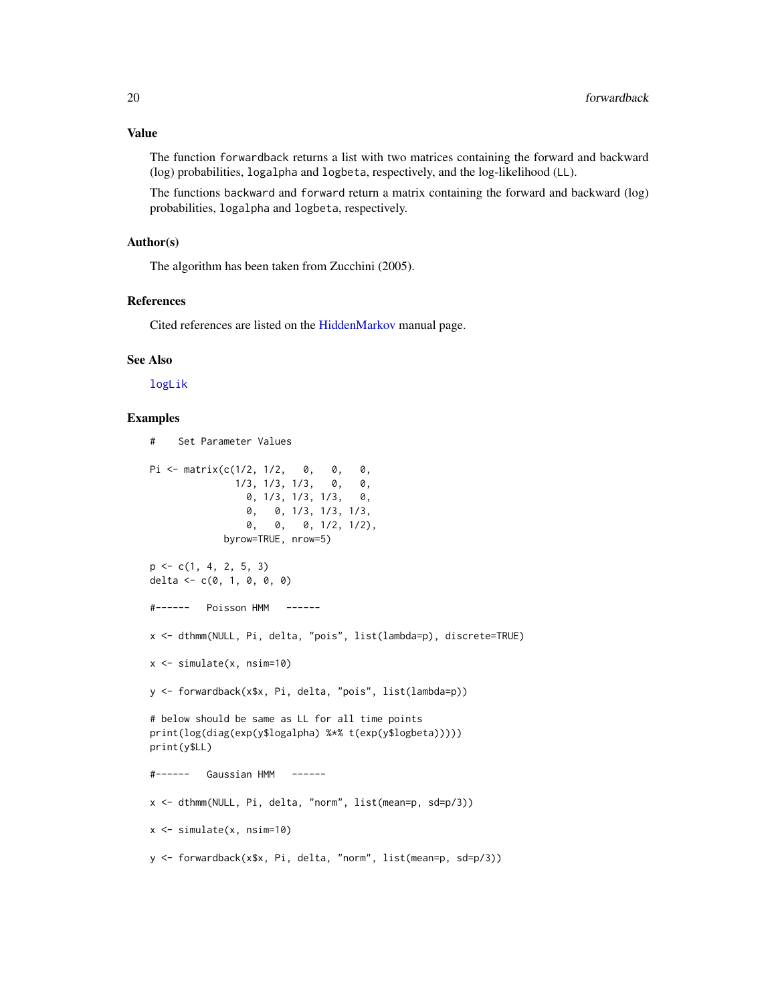<span id="page-19-0"></span>Value

The function forwardback returns a list with two matrices containing the forward and backward (log) probabilities, logalpha and logbeta, respectively, and the log-likelihood (LL).

The functions backward and forward return a matrix containing the forward and backward (log) probabilities, logalpha and logbeta, respectively.

# Author(s)

The algorithm has been taken from Zucchini (2005).

# References

Cited references are listed on the [HiddenMarkov](#page-1-1) manual page.

# See Also

[logLik](#page-20-1)

# Examples

```
# Set Parameter Values
Pi <- matrix(c(1/2, 1/2, 0, 0, 0,
              1/3, 1/3, 1/3, 0, 0,
                0, 1/3, 1/3, 1/3, 0,
                0, 0, 1/3, 1/3, 1/3,
                0, 0, 0, 1/2, 1/2),
            byrow=TRUE, nrow=5)
p \leftarrow c(1, 4, 2, 5, 3)delta <- c(0, 1, 0, 0, 0)
#------ Poisson HMM ------
x <- dthmm(NULL, Pi, delta, "pois", list(lambda=p), discrete=TRUE)
x <- simulate(x, nsim=10)
y <- forwardback(x$x, Pi, delta, "pois", list(lambda=p))
# below should be same as LL for all time points
print(log(diag(exp(y$logalpha) %*% t(exp(y$logbeta)))))
print(y$LL)
#------ Gaussian HMM ------
x <- dthmm(NULL, Pi, delta, "norm", list(mean=p, sd=p/3))
x <- simulate(x, nsim=10)
y <- forwardback(x$x, Pi, delta, "norm", list(mean=p, sd=p/3))
```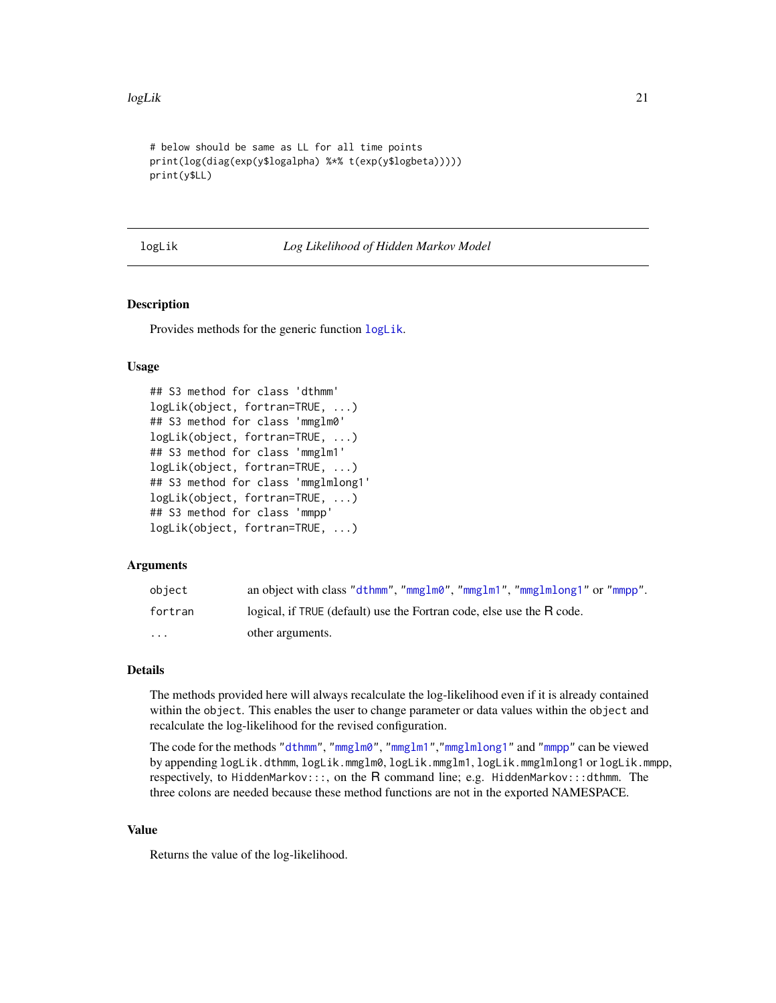```
# below should be same as LL for all time points
print(log(diag(exp(y$logalpha) %*% t(exp(y$logbeta)))))
print(y$LL)
```
<span id="page-20-1"></span>

logLik *Log Likelihood of Hidden Markov Model*

# <span id="page-20-2"></span>Description

Provides methods for the generic function [logLik](#page-20-1).

# Usage

```
## S3 method for class 'dthmm'
logLik(object, fortran=TRUE, ...)
## S3 method for class 'mmglm0'
logLik(object, fortran=TRUE, ...)
## S3 method for class 'mmglm1'
logLik(object, fortran=TRUE, ...)
## S3 method for class 'mmglmlong1'
logLik(object, fortran=TRUE, ...)
## S3 method for class 'mmpp'
logLik(object, fortran=TRUE, ...)
```
# Arguments

| object   | an object with class "dthmm", "mmglm0", "mmglm1", "mmglmlong1" or "mmpp". |
|----------|---------------------------------------------------------------------------|
| fortran  | logical, if TRUE (default) use the Fortran code, else use the R code.     |
| $\cdots$ | other arguments.                                                          |

# Details

The methods provided here will always recalculate the log-likelihood even if it is already contained within the object. This enables the user to change parameter or data values within the object and recalculate the log-likelihood for the revised configuration.

The code for the methods ["dthmm"](#page-10-1), ["mmglm0"](#page-22-1), ["mmglm1"](#page-22-1),["mmglmlong1"](#page-22-1) and ["mmpp"](#page-30-1) can be viewed by appending logLik.dthmm, logLik.mmglm0, logLik.mmglm1, logLik.mmglmlong1 or logLik.mmpp, respectively, to HiddenMarkov:::, on the R command line; e.g. HiddenMarkov:::dthmm. The three colons are needed because these method functions are not in the exported NAMESPACE.

# Value

Returns the value of the log-likelihood.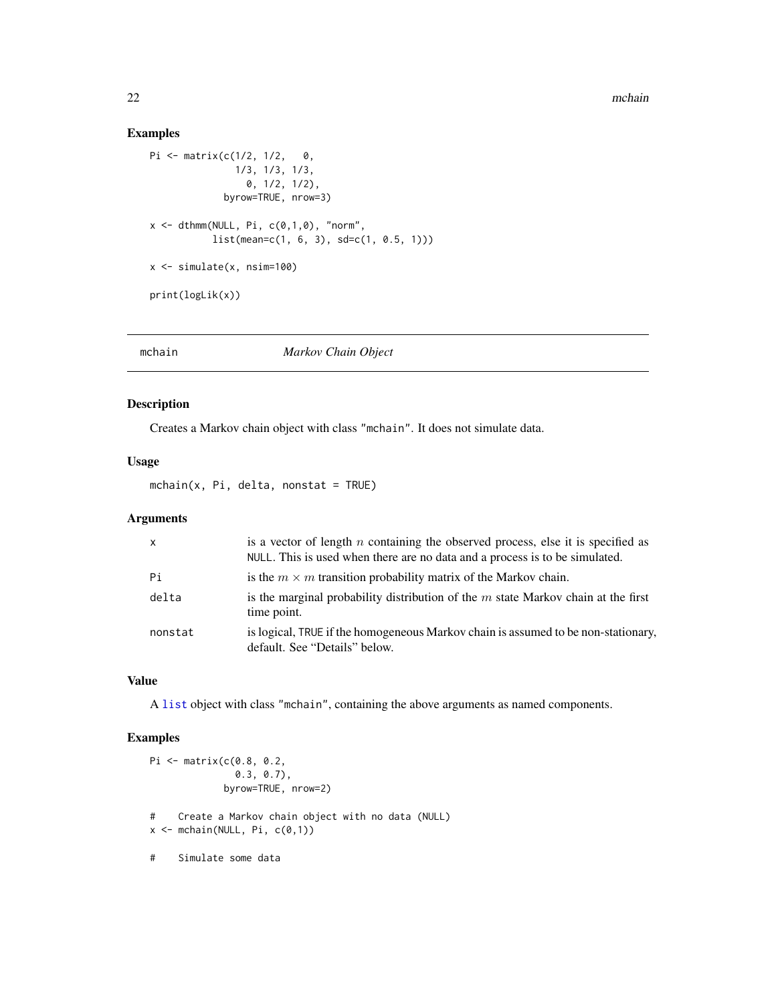# Examples

```
Pi <- matrix(c(1/2, 1/2, 0,
                1/3, 1/3, 1/3,
                  0, 1/2, 1/2),
              byrow=TRUE, nrow=3)
x \le - dthmm(NULL, Pi, c(\emptyset,1,\emptyset), "norm",
            list(mean=c(1, 6, 3), sd=c(1, 0.5, 1)))
x <- simulate(x, nsim=100)
print(logLik(x))
```
<span id="page-21-1"></span>

mchain *Markov Chain Object*

# Description

Creates a Markov chain object with class "mchain". It does not simulate data.

# Usage

 $mchain(x, Pi, delta, nonstat = TRUE)$ 

# Arguments

| $\mathsf{x}$ | is a vector of length $n$ containing the observed process, else it is specified as<br>NULL. This is used when there are no data and a process is to be simulated. |
|--------------|-------------------------------------------------------------------------------------------------------------------------------------------------------------------|
| Pi           | is the $m \times m$ transition probability matrix of the Markov chain.                                                                                            |
| delta        | is the marginal probability distribution of the $m$ state Markov chain at the first<br>time point.                                                                |
| nonstat      | is logical, TRUE if the homogeneous Markov chain is assumed to be non-stationary,<br>default. See "Details" below.                                                |

# Value

A [list](#page-0-0) object with class "mchain", containing the above arguments as named components.

# Examples

```
Pi <- matrix(c(0.8, 0.2,
                 0.3, 0.7),
               byrow=TRUE, nrow=2)
# Create a Markov chain object with no data (NULL)
x \leftarrow \text{mchain}(\text{NULL}, \text{Pi}, \text{c}(0,1))# Simulate some data
```
<span id="page-21-0"></span>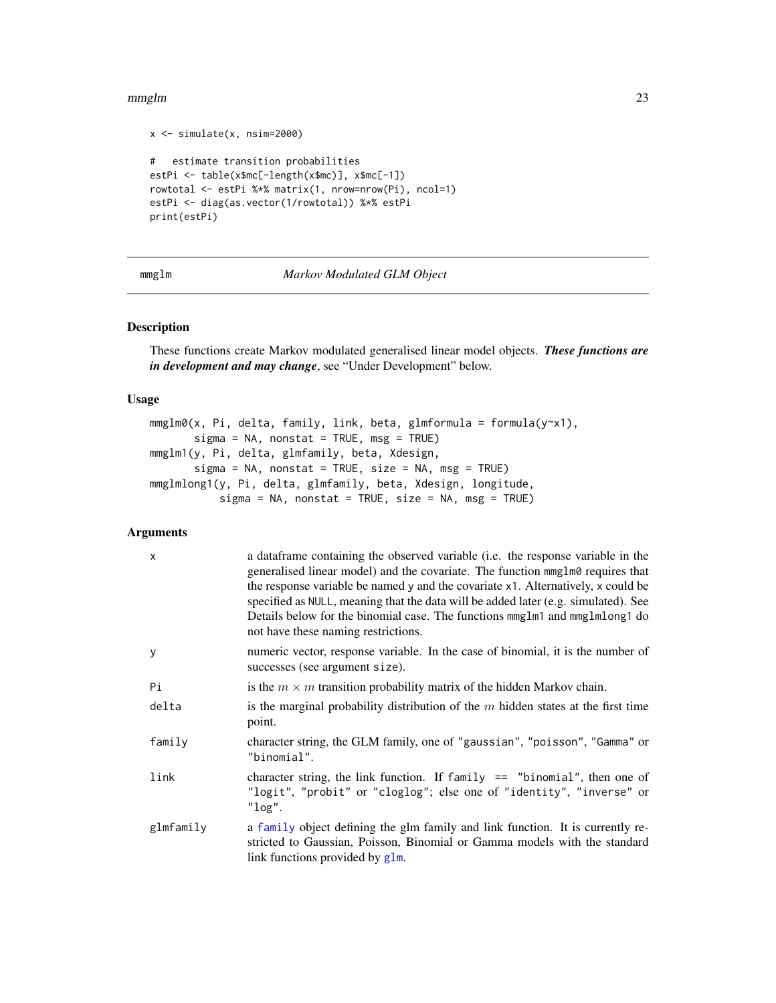```
x \le -\sin(1) simulate(x, nsim=2000)
# estimate transition probabilities
estPi <- table(x$mc[-length(x$mc)], x$mc[-1])
rowtotal <- estPi %*% matrix(1, nrow=nrow(Pi), ncol=1)
estPi <- diag(as.vector(1/rowtotal)) %*% estPi
print(estPi)
```
<span id="page-22-2"></span>mmglm *Markov Modulated GLM Object*

# <span id="page-22-1"></span>Description

These functions create Markov modulated generalised linear model objects. *These functions are in development and may change*, see "Under Development" below.

# Usage

mmglm0(x, Pi, delta, family, link, beta, glmformula = formula(y~x1), sigma = NA, nonstat = TRUE, msg = TRUE) mmglm1(y, Pi, delta, glmfamily, beta, Xdesign,  $sigma = NA$ , nonstat = TRUE, size = NA, msg = TRUE) mmglmlong1(y, Pi, delta, glmfamily, beta, Xdesign, longitude,  $sigma = NA$ , nonstat = TRUE, size = NA, msg = TRUE)

# Arguments

| $\mathsf{x}$ | a data frame containing the observed variable (i.e. the response variable in the<br>generalised linear model) and the covariate. The function mmg lm0 requires that<br>the response variable be named y and the covariate x1. Alternatively, x could be<br>specified as NULL, meaning that the data will be added later (e.g. simulated). See<br>Details below for the binomial case. The functions mmglm1 and mmglmlong1 do<br>not have these naming restrictions. |
|--------------|---------------------------------------------------------------------------------------------------------------------------------------------------------------------------------------------------------------------------------------------------------------------------------------------------------------------------------------------------------------------------------------------------------------------------------------------------------------------|
| y            | numeric vector, response variable. In the case of binomial, it is the number of<br>successes (see argument size).                                                                                                                                                                                                                                                                                                                                                   |
| Pi           | is the $m \times m$ transition probability matrix of the hidden Markov chain.                                                                                                                                                                                                                                                                                                                                                                                       |
| delta        | is the marginal probability distribution of the $m$ hidden states at the first time<br>point.                                                                                                                                                                                                                                                                                                                                                                       |
| family       | character string, the GLM family, one of "gaussian", "poisson", "Gamma" or<br>"binomial".                                                                                                                                                                                                                                                                                                                                                                           |
| link         | character string, the link function. If $family == "binomial", then one of$<br>"logit", "probit" or "cloglog"; else one of "identity", "inverse" or<br>"log".                                                                                                                                                                                                                                                                                                       |
| glmfamily    | a family object defining the glm family and link function. It is currently re-<br>stricted to Gaussian, Poisson, Binomial or Gamma models with the standard<br>link functions provided by glm.                                                                                                                                                                                                                                                                      |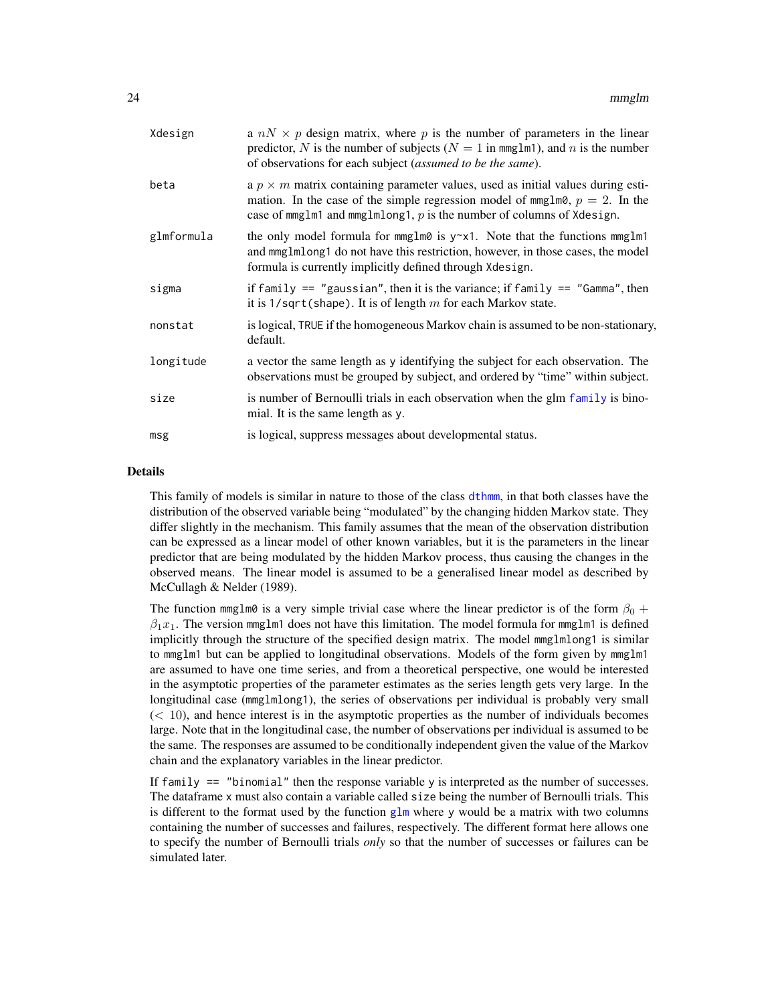<span id="page-23-0"></span>

| Xdesign    | a $nN \times p$ design matrix, where p is the number of parameters in the linear<br>predictor, N is the number of subjects ( $N = 1$ in mmglm1), and n is the number<br>of observations for each subject (assumed to be the same).                  |
|------------|-----------------------------------------------------------------------------------------------------------------------------------------------------------------------------------------------------------------------------------------------------|
| beta       | a $p \times m$ matrix containing parameter values, used as initial values during esti-<br>mation. In the case of the simple regression model of mmglm0, $p = 2$ . In the<br>case of mmglm1 and mmglmlong1, $p$ is the number of columns of Xdesign. |
| glmformula | the only model formula for mmglm0 is $y \sim x1$ . Note that the functions mmglm1<br>and mmglmlong1 do not have this restriction, however, in those cases, the model<br>formula is currently implicitly defined through Xdesign.                    |
| sigma      | if family $==$ "gaussian", then it is the variance; if family $==$ "Gamma", then<br>it is $1$ /sqrt(shape). It is of length m for each Markov state.                                                                                                |
| nonstat    | is logical, TRUE if the homogeneous Markov chain is assumed to be non-stationary,<br>default.                                                                                                                                                       |
| longitude  | a vector the same length as y identifying the subject for each observation. The<br>observations must be grouped by subject, and ordered by "time" within subject.                                                                                   |
| size       | is number of Bernoulli trials in each observation when the glm family is bino-<br>mial. It is the same length as y.                                                                                                                                 |
| msg        | is logical, suppress messages about developmental status.                                                                                                                                                                                           |
|            |                                                                                                                                                                                                                                                     |

# Details

This family of models is similar in nature to those of the class [dthmm](#page-10-1), in that both classes have the distribution of the observed variable being "modulated" by the changing hidden Markov state. They differ slightly in the mechanism. This family assumes that the mean of the observation distribution can be expressed as a linear model of other known variables, but it is the parameters in the linear predictor that are being modulated by the hidden Markov process, thus causing the changes in the observed means. The linear model is assumed to be a generalised linear model as described by McCullagh & Nelder (1989).

The function mmglm0 is a very simple trivial case where the linear predictor is of the form  $\beta_0$  +  $\beta_1x_1$ . The version mmglm1 does not have this limitation. The model formula for mmglm1 is defined implicitly through the structure of the specified design matrix. The model mmglmlong1 is similar to mmglm1 but can be applied to longitudinal observations. Models of the form given by mmglm1 are assumed to have one time series, and from a theoretical perspective, one would be interested in the asymptotic properties of the parameter estimates as the series length gets very large. In the longitudinal case (mmglmlong1), the series of observations per individual is probably very small  $(< 10$ ), and hence interest is in the asymptotic properties as the number of individuals becomes large. Note that in the longitudinal case, the number of observations per individual is assumed to be the same. The responses are assumed to be conditionally independent given the value of the Markov chain and the explanatory variables in the linear predictor.

If family  $==$  "binomial" then the response variable y is interpreted as the number of successes. The dataframe x must also contain a variable called size being the number of Bernoulli trials. This is different to the format used by the function  $g\ln x$  where y would be a matrix with two columns containing the number of successes and failures, respectively. The different format here allows one to specify the number of Bernoulli trials *only* so that the number of successes or failures can be simulated later.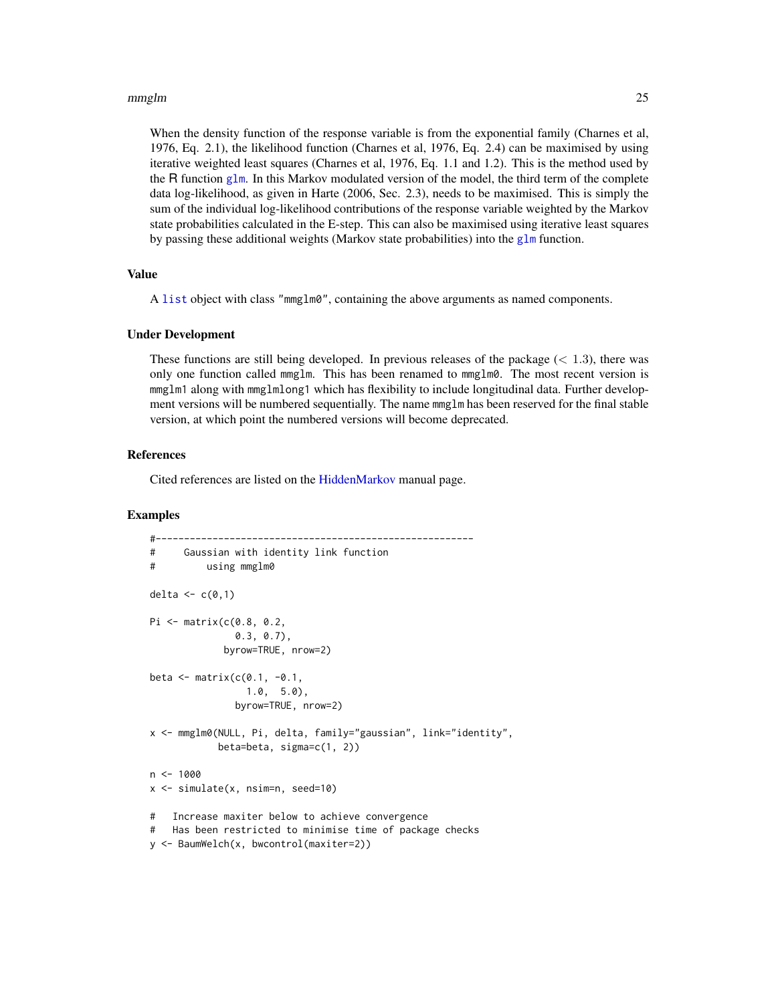<span id="page-24-0"></span>When the density function of the response variable is from the exponential family (Charnes et al, 1976, Eq. 2.1), the likelihood function (Charnes et al, 1976, Eq. 2.4) can be maximised by using iterative weighted least squares (Charnes et al, 1976, Eq. 1.1 and 1.2). This is the method used by the R function [glm](#page-0-0). In this Markov modulated version of the model, the third term of the complete data log-likelihood, as given in Harte (2006, Sec. 2.3), needs to be maximised. This is simply the sum of the individual log-likelihood contributions of the response variable weighted by the Markov state probabilities calculated in the E-step. This can also be maximised using iterative least squares by passing these additional weights (Markov state probabilities) into the [glm](#page-0-0) function.

# Value

A [list](#page-0-0) object with class "mmglm0", containing the above arguments as named components.

# Under Development

These functions are still being developed. In previous releases of the package  $(< 1.3$ ), there was only one function called mmglm. This has been renamed to mmglm0. The most recent version is mmglm1 along with mmglmlong1 which has flexibility to include longitudinal data. Further development versions will be numbered sequentially. The name mmglm has been reserved for the final stable version, at which point the numbered versions will become deprecated.

#### References

Cited references are listed on the [HiddenMarkov](#page-1-1) manual page.

# Examples

```
#--------------------------------------------------------
# Gaussian with identity link function
# using mmglm0
delta \leq c(0,1)Pi <- matrix(c(0.8, 0.2,
              0.3, 0.7),
            byrow=TRUE, nrow=2)
beta \leq matrix(c(0.1, -0.1,1.0, 5.0),
              byrow=TRUE, nrow=2)
x <- mmglm0(NULL, Pi, delta, family="gaussian", link="identity",
           beta=beta, sigma=c(1, 2))
n < - 1000x <- simulate(x, nsim=n, seed=10)
# Increase maxiter below to achieve convergence
# Has been restricted to minimise time of package checks
y <- BaumWelch(x, bwcontrol(maxiter=2))
```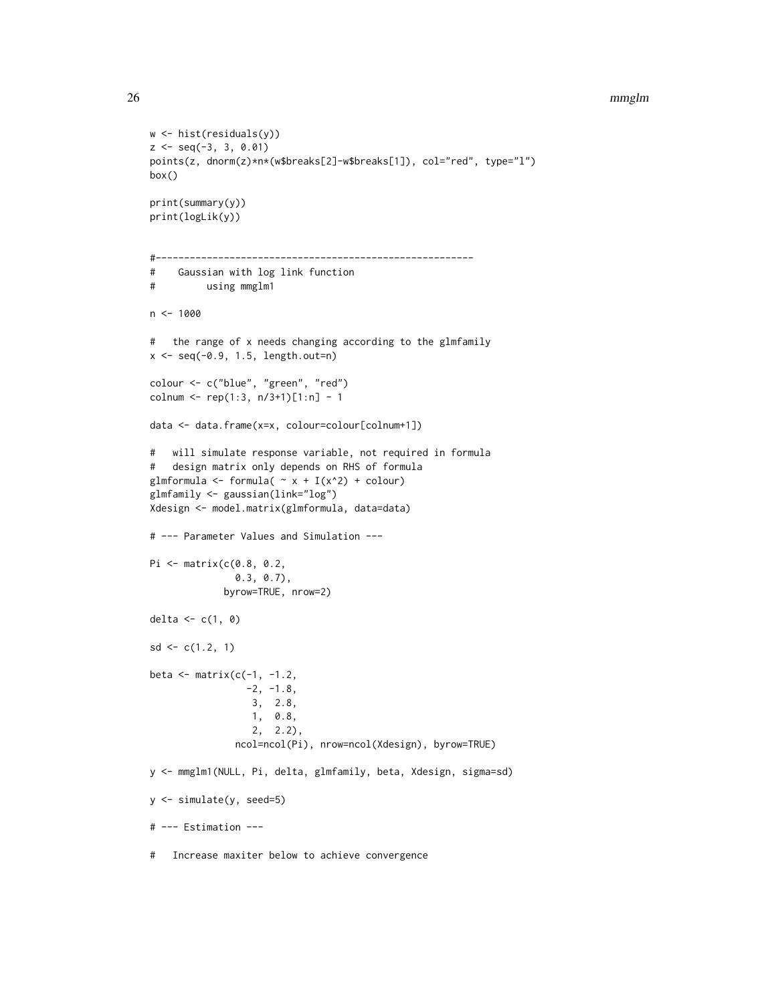```
w <- hist(residuals(y))
z \leq - seq(-3, 3, 0.01)
points(z, dnorm(z)*n*(w$breaks[2]-w$breaks[1]), col="red", type="l")
box()
print(summary(y))
print(logLik(y))
#--------------------------------------------------------
# Gaussian with log link function
# using mmglm1
n < - 1000# the range of x needs changing according to the glmfamily
x \leq -\text{seq}(-0.9, 1.5, length.out=n)colour <- c("blue", "green", "red")
colnum <- rep(1:3, n/3+1)[1:n] - 1data <- data.frame(x=x, colour=colour[colnum+1])
# will simulate response variable, not required in formula
# design matrix only depends on RHS of formula
glmformula \le formula( \sim x + I(x^2) + colour)
glmfamily <- gaussian(link="log")
Xdesign <- model.matrix(glmformula, data=data)
# --- Parameter Values and Simulation ---
Pi <- matrix(c(0.8, 0.2,
               0.3, 0.7),
             byrow=TRUE, nrow=2)
delta \leftarrow c(1, 0)
sd \leq c(1.2, 1)beta \leq matrix(c(-1, -1.2,
                 -2, -1.8,
                  3, 2.8,
                 1, 0.8,
                  2, 2.2),
               ncol=ncol(Pi), nrow=ncol(Xdesign), byrow=TRUE)
y <- mmglm1(NULL, Pi, delta, glmfamily, beta, Xdesign, sigma=sd)
y <- simulate(y, seed=5)
# --- Estimation ---
# Increase maxiter below to achieve convergence
```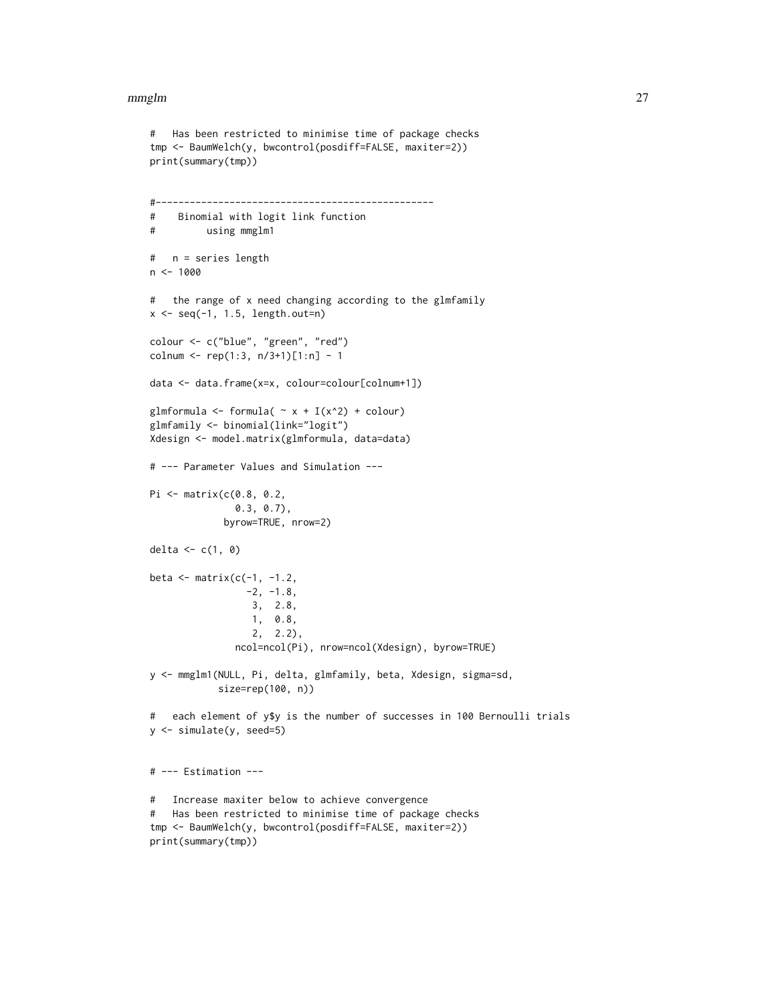```
# Has been restricted to minimise time of package checks
tmp <- BaumWelch(y, bwcontrol(posdiff=FALSE, maxiter=2))
print(summary(tmp))
#-------------------------------------------------
# Binomial with logit link function
# using mmglm1
# n = series length
n <- 1000
# the range of x need changing according to the glmfamily
x \leftarrow \text{seq}(-1, 1.5, \text{length.out=n})colour <- c("blue", "green", "red")
colnum <- rep(1:3, n/3+1)[1:n] - 1
data <- data.frame(x=x, colour=colour[colnum+1])
glmformula <- formula( \sim x + I(x^2) + \text{colour})
glmfamily <- binomial(link="logit")
Xdesign <- model.matrix(glmformula, data=data)
# --- Parameter Values and Simulation ---
Pi <- matrix(c(0.8, 0.2,
               0.3, 0.7),
             byrow=TRUE, nrow=2)
delta \leftarrow c(1, 0)
beta \leq matrix(c(-1, -1.2,
                 -2, -1.8,3, 2.8,
                  1, 0.8,
                  2, 2.2),
               ncol=ncol(Pi), nrow=ncol(Xdesign), byrow=TRUE)
y <- mmglm1(NULL, Pi, delta, glmfamily, beta, Xdesign, sigma=sd,
            size=rep(100, n))
# each element of y$y is the number of successes in 100 Bernoulli trials
y <- simulate(y, seed=5)
# --- Estimation ---
# Increase maxiter below to achieve convergence
# Has been restricted to minimise time of package checks
tmp <- BaumWelch(y, bwcontrol(posdiff=FALSE, maxiter=2))
print(summary(tmp))
```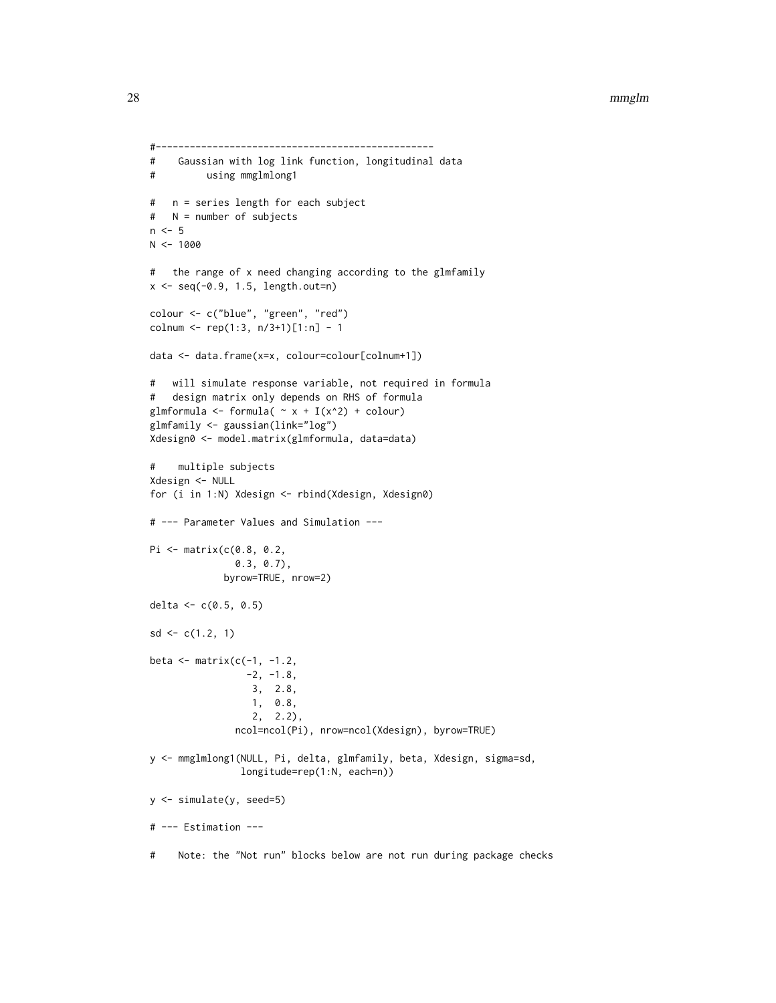```
#-------------------------------------------------
# Gaussian with log link function, longitudinal data
# using mmglmlong1
# n = series length for each subject
# N = number of subjects
n < -5N < - 1000# the range of x need changing according to the glmfamily
x <- seq(-0.9, 1.5, length.out=n)
colour <- c("blue", "green", "red")
colnum <- rep(1:3, n/3+1)[1:n] - 1
data <- data.frame(x=x, colour=colour[colnum+1])
# will simulate response variable, not required in formula
# design matrix only depends on RHS of formula
glmformula <- formula( \sim x + I(x^2) + \text{colour})
glmfamily <- gaussian(link="log")
Xdesign0 <- model.matrix(glmformula, data=data)
# multiple subjects
Xdesign <- NULL
for (i in 1:N) Xdesign <- rbind(Xdesign, Xdesign0)
# --- Parameter Values and Simulation ---
Pi <- matrix(c(0.8, 0.2,
              0.3, 0.7),
             byrow=TRUE, nrow=2)
delta <-c(0.5, 0.5)sd \leq c(1.2, 1)beta \leq matrix(c(-1, -1.2,
                 -2, -1.8,3, 2.8,
                 1, 0.8,
                  2, 2.2),
               ncol=ncol(Pi), nrow=ncol(Xdesign), byrow=TRUE)
y <- mmglmlong1(NULL, Pi, delta, glmfamily, beta, Xdesign, sigma=sd,
               longitude=rep(1:N, each=n))
y <- simulate(y, seed=5)
# --- Estimation ---
# Note: the "Not run" blocks below are not run during package checks
```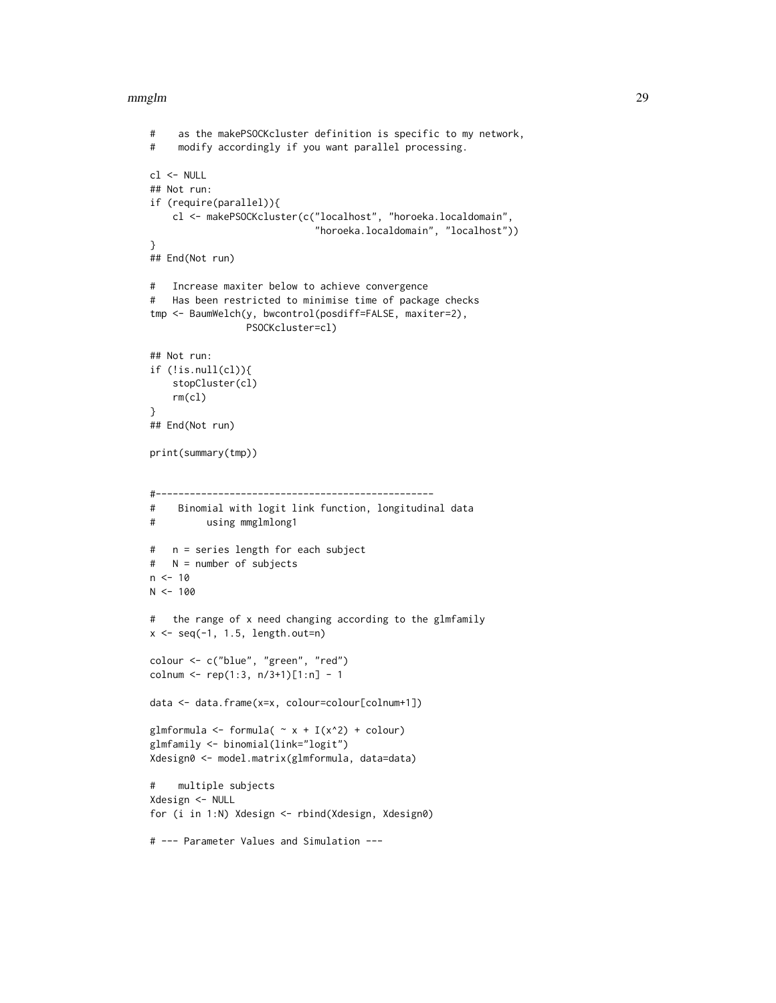```
# as the makePSOCKcluster definition is specific to my network,
# modify accordingly if you want parallel processing.
cl <- NULL
## Not run:
if (require(parallel)){
    cl <- makePSOCKcluster(c("localhost", "horoeka.localdomain",
                             "horoeka.localdomain", "localhost"))
}
## End(Not run)
# Increase maxiter below to achieve convergence
# Has been restricted to minimise time of package checks
tmp <- BaumWelch(y, bwcontrol(posdiff=FALSE, maxiter=2),
                 PSOCKcluster=cl)
## Not run:
if (!is.null(cl)){
    stopCluster(cl)
    rm(cl)
}
## End(Not run)
print(summary(tmp))
#-------------------------------------------------
# Binomial with logit link function, longitudinal data
# using mmglmlong1
# n = series length for each subject
# N = number of subjects
n < -10N < - 100# the range of x need changing according to the glmfamily
x \leftarrow \text{seq}(-1, 1.5, \text{length.out=n})colour <- c("blue", "green", "red")
colnum <- rep(1:3, n/3+1)[1:n] - 1data <- data.frame(x=x, colour=colour[colnum+1])
glmformula <- formula( \sim x + I(x^2) + \text{colour})
glmfamily <- binomial(link="logit")
Xdesign0 <- model.matrix(glmformula, data=data)
# multiple subjects
Xdesign <- NULL
for (i in 1:N) Xdesign <- rbind(Xdesign, Xdesign0)
# --- Parameter Values and Simulation ---
```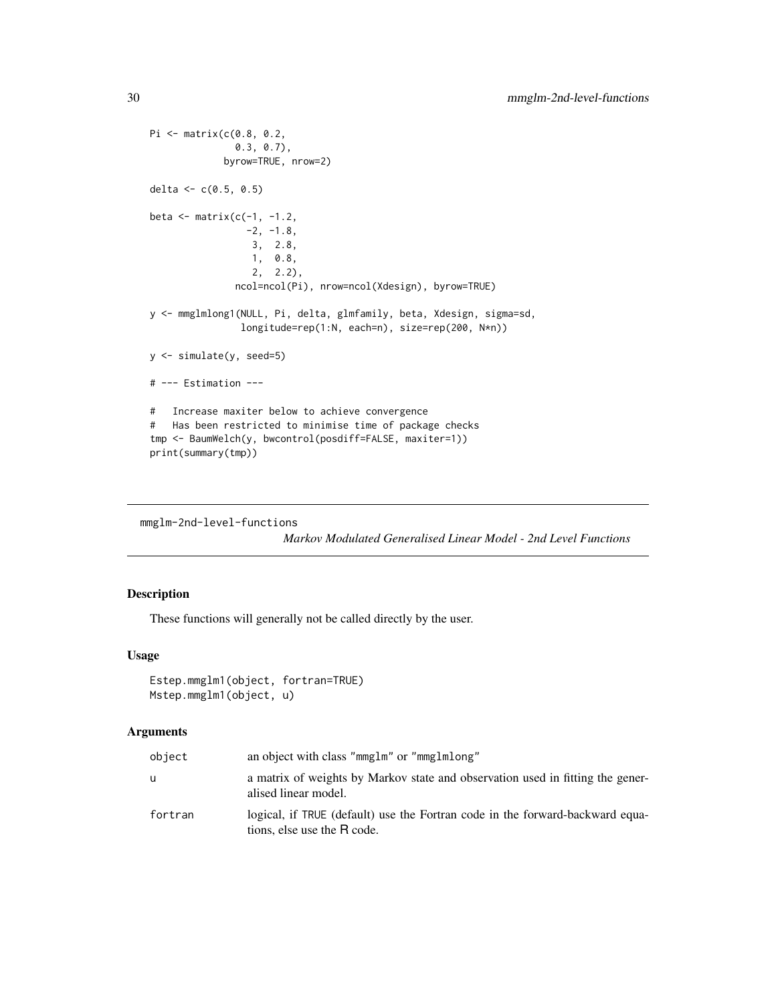```
Pi <- matrix(c(0.8, 0.2,
              0.3, 0.7),
            byrow=TRUE, nrow=2)
delta <- c(0.5, 0.5)beta \leq matrix(c(-1, -1.2,
                -2, -1.8,3, 2.8,
                 1, 0.8,
                 2, 2.2),
               ncol=ncol(Pi), nrow=ncol(Xdesign), byrow=TRUE)
y <- mmglmlong1(NULL, Pi, delta, glmfamily, beta, Xdesign, sigma=sd,
                longitude=rep(1:N, each=n), size=rep(200, N*n))
y <- simulate(y, seed=5)
# --- Estimation ---
# Increase maxiter below to achieve convergence
# Has been restricted to minimise time of package checks
tmp <- BaumWelch(y, bwcontrol(posdiff=FALSE, maxiter=1))
print(summary(tmp))
```
mmglm-2nd-level-functions

*Markov Modulated Generalised Linear Model - 2nd Level Functions*

# Description

These functions will generally not be called directly by the user.

# Usage

```
Estep.mmglm1(object, fortran=TRUE)
Mstep.mmglm1(object, u)
```
# Arguments

| object  | an object with class "mmglm" or "mmglmlong"                                                                  |
|---------|--------------------------------------------------------------------------------------------------------------|
| u       | a matrix of weights by Markov state and observation used in fitting the gener-<br>alised linear model.       |
| fortran | logical, if TRUE (default) use the Fortran code in the forward-backward equa-<br>tions, else use the R code. |

<span id="page-29-0"></span>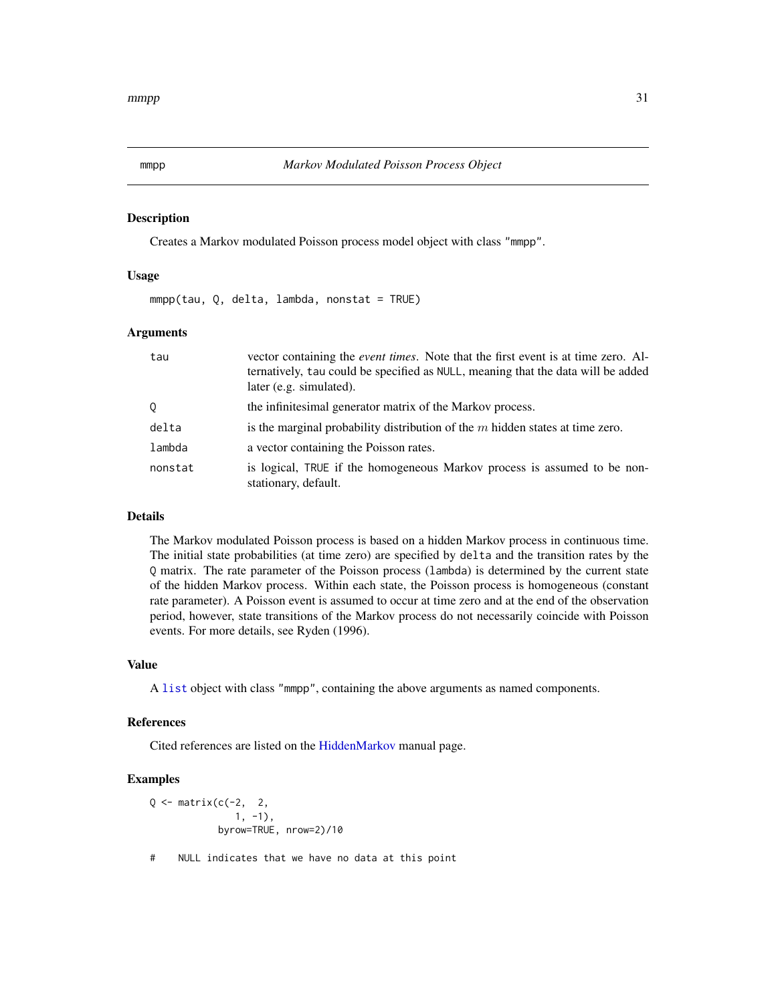# Description

Creates a Markov modulated Poisson process model object with class "mmpp".

#### Usage

mmpp(tau, Q, delta, lambda, nonstat = TRUE)

# Arguments

| tau     | vector containing the <i>event times</i> . Note that the first event is at time zero. Al-<br>ternatively, tau could be specified as NULL, meaning that the data will be added<br>later (e.g. simulated). |
|---------|----------------------------------------------------------------------------------------------------------------------------------------------------------------------------------------------------------|
| Q       | the infinitesimal generator matrix of the Markov process.                                                                                                                                                |
| delta   | is the marginal probability distribution of the $m$ hidden states at time zero.                                                                                                                          |
| lambda  | a vector containing the Poisson rates.                                                                                                                                                                   |
| nonstat | is logical, TRUE if the homogeneous Markov process is assumed to be non-<br>stationary, default.                                                                                                         |

# Details

The Markov modulated Poisson process is based on a hidden Markov process in continuous time. The initial state probabilities (at time zero) are specified by delta and the transition rates by the Q matrix. The rate parameter of the Poisson process (lambda) is determined by the current state of the hidden Markov process. Within each state, the Poisson process is homogeneous (constant rate parameter). A Poisson event is assumed to occur at time zero and at the end of the observation period, however, state transitions of the Markov process do not necessarily coincide with Poisson events. For more details, see Ryden (1996).

#### Value

A [list](#page-0-0) object with class "mmpp", containing the above arguments as named components.

#### References

Cited references are listed on the [HiddenMarkov](#page-1-1) manual page.

# Examples

 $Q \leftarrow$  matrix(c(-2, 2,  $1, -1),$ byrow=TRUE, nrow=2)/10

# NULL indicates that we have no data at this point

<span id="page-30-1"></span><span id="page-30-0"></span>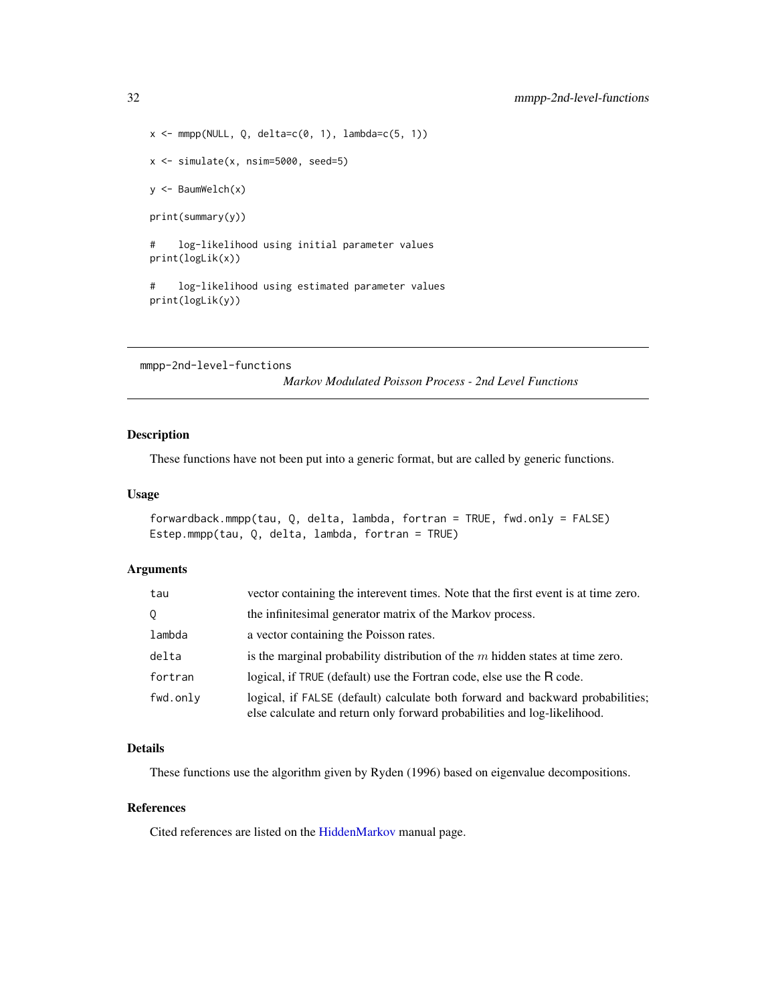```
x \leq -mmpp(NULL, Q, delta=c(0, 1), lambda=c(5, 1))
x <- simulate(x, nsim=5000, seed=5)
y <- BaumWelch(x)
print(summary(y))
# log-likelihood using initial parameter values
print(logLik(x))
# log-likelihood using estimated parameter values
print(logLik(y))
```
<span id="page-31-1"></span>mmpp-2nd-level-functions

*Markov Modulated Poisson Process - 2nd Level Functions*

# <span id="page-31-2"></span>Description

These functions have not been put into a generic format, but are called by generic functions.

# Usage

```
forwardback.mmpp(tau, Q, delta, lambda, fortran = TRUE, fwd.only = FALSE)
Estep.mmpp(tau, Q, delta, lambda, fortran = TRUE)
```
## Arguments

| tau      | vector containing the interevent times. Note that the first event is at time zero.                                                                         |
|----------|------------------------------------------------------------------------------------------------------------------------------------------------------------|
| 0        | the infinitesimal generator matrix of the Markov process.                                                                                                  |
| lambda   | a vector containing the Poisson rates.                                                                                                                     |
| delta    | is the marginal probability distribution of the $m$ hidden states at time zero.                                                                            |
| fortran  | logical, if TRUE (default) use the Fortran code, else use the R code.                                                                                      |
| fwd.onlv | logical, if FALSE (default) calculate both forward and backward probabilities;<br>else calculate and return only forward probabilities and log-likelihood. |

# Details

These functions use the algorithm given by Ryden (1996) based on eigenvalue decompositions.

# References

Cited references are listed on the [HiddenMarkov](#page-1-1) manual page.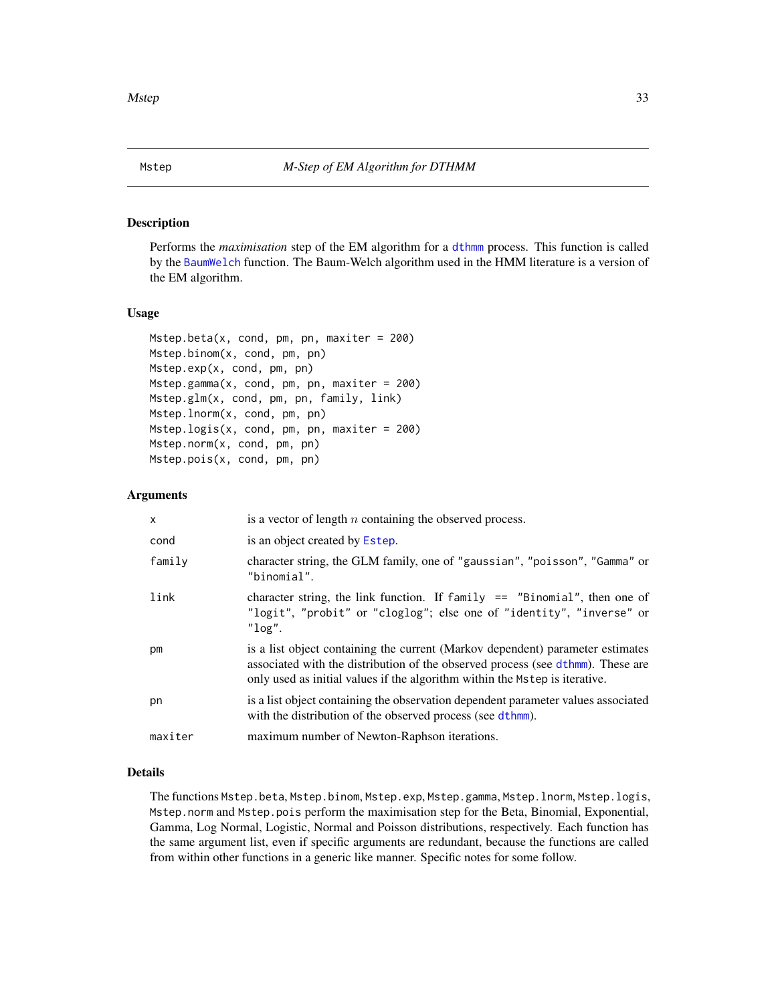# <span id="page-32-2"></span><span id="page-32-1"></span><span id="page-32-0"></span>Description

Performs the *maximisation* step of the EM algorithm for a [dthmm](#page-10-1) process. This function is called by the [BaumWelch](#page-3-1) function. The Baum-Welch algorithm used in the HMM literature is a version of the EM algorithm.

# Usage

```
Mstep.beta(x, cond, pm, pn, maxiter = 200)
Mstep.binom(x, cond, pm, pn)
Mstep.exp(x, cond, pm, pn)
Mstep.gamma(x, cond, pm, pn, maxiter = 200)
Mstep.glm(x, cond, pm, pn, family, link)
Mstep.lnorm(x, cond, pm, pn)
Mstep.logis(x, cond, pm, pn, maxiter = 200)
Mstep.norm(x, cond, pm, pn)
Mstep.pois(x, cond, pm, pn)
```
# Arguments

| $\mathsf{x}$ | is a vector of length $n$ containing the observed process.                                                                                                                                                                                       |
|--------------|--------------------------------------------------------------------------------------------------------------------------------------------------------------------------------------------------------------------------------------------------|
| cond         | is an object created by Estep.                                                                                                                                                                                                                   |
| family       | character string, the GLM family, one of "gaussian", "poisson", "Gamma" or<br>"binomial".                                                                                                                                                        |
| link         | character string, the link function. If $f$ amily == "Binomial", then one of<br>"logit", "probit" or "cloglog"; else one of "identity", "inverse" or<br>$"$ log".                                                                                |
| pm           | is a list object containing the current (Markov dependent) parameter estimates<br>associated with the distribution of the observed process (see dthmm). These are<br>only used as initial values if the algorithm within the Mstep is iterative. |
| pn           | is a list object containing the observation dependent parameter values associated<br>with the distribution of the observed process (see dthmm).                                                                                                  |
| maxiter      | maximum number of Newton-Raphson iterations.                                                                                                                                                                                                     |

# Details

The functions Mstep.beta, Mstep.binom, Mstep.exp, Mstep.gamma, Mstep.lnorm, Mstep.logis, Mstep.norm and Mstep.pois perform the maximisation step for the Beta, Binomial, Exponential, Gamma, Log Normal, Logistic, Normal and Poisson distributions, respectively. Each function has the same argument list, even if specific arguments are redundant, because the functions are called from within other functions in a generic like manner. Specific notes for some follow.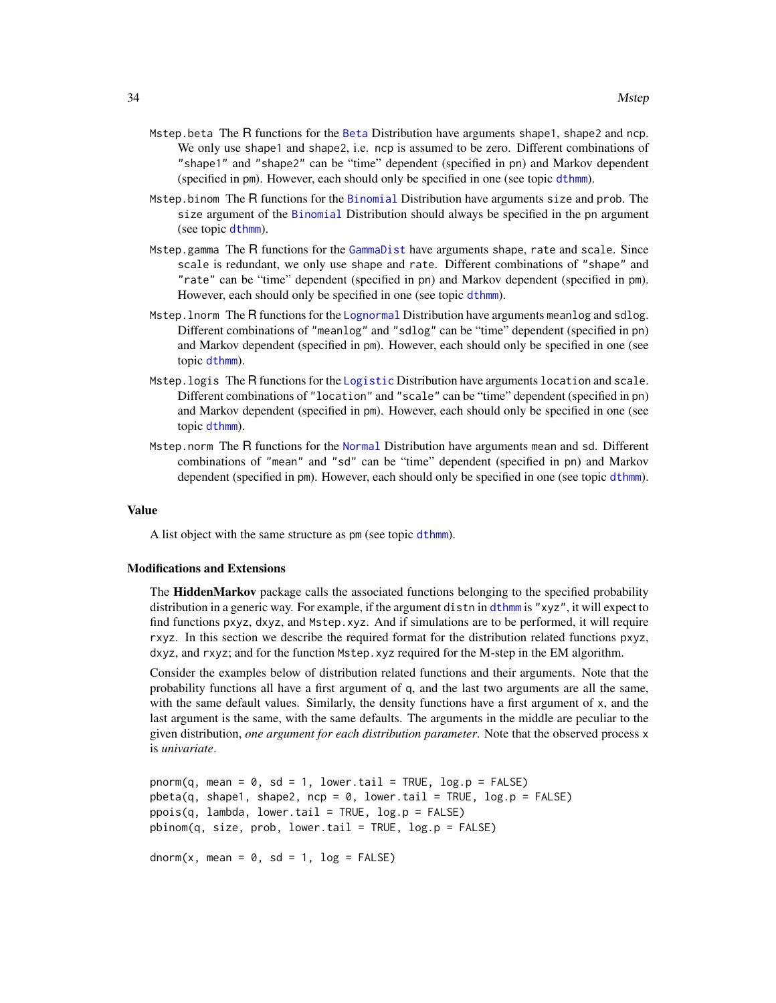- <span id="page-33-0"></span>Mstep.beta The R functions for the [Beta](#page-0-0) Distribution have arguments shape1, shape2 and ncp. We only use shape1 and shape2, i.e. ncp is assumed to be zero. Different combinations of "shape1" and "shape2" can be "time" dependent (specified in pn) and Markov dependent (specified in pm). However, each should only be specified in one (see topic [dthmm](#page-10-1)).
- Mstep.binom The R functions for the [Binomial](#page-0-0) Distribution have arguments size and prob. The size argument of the [Binomial](#page-0-0) Distribution should always be specified in the pn argument (see topic [dthmm](#page-10-1)).
- Mstep.gamma The R functions for the [GammaDist](#page-0-0) have arguments shape, rate and scale. Since scale is redundant, we only use shape and rate. Different combinations of "shape" and "rate" can be "time" dependent (specified in pn) and Markov dependent (specified in pm). However, each should only be specified in one (see topic [dthmm](#page-10-1)).
- Mstep.lnorm The R functions for the [Lognormal](#page-0-0) Distribution have arguments meanlog and sdlog. Different combinations of "meanlog" and "sdlog" can be "time" dependent (specified in pn) and Markov dependent (specified in pm). However, each should only be specified in one (see topic [dthmm](#page-10-1)).
- Mstep.logis The R functions for the [Logistic](#page-0-0) Distribution have arguments location and scale. Different combinations of "location" and "scale" can be "time" dependent (specified in pn) and Markov dependent (specified in pm). However, each should only be specified in one (see topic [dthmm](#page-10-1)).
- Mstep.norm The R functions for the [Normal](#page-0-0) Distribution have arguments mean and sd. Different combinations of "mean" and "sd" can be "time" dependent (specified in pn) and Markov dependent (specified in pm). However, each should only be specified in one (see topic [dthmm](#page-10-1)).

#### Value

A list object with the same structure as pm (see topic [dthmm](#page-10-1)).

# Modifications and Extensions

The HiddenMarkov package calls the associated functions belonging to the specified probability distribution in a generic way. For example, if the argument distn in [dthmm](#page-10-1) is "xyz", it will expect to find functions pxyz, dxyz, and Mstep.xyz. And if simulations are to be performed, it will require rxyz. In this section we describe the required format for the distribution related functions pxyz, dxyz, and rxyz; and for the function Mstep.xyz required for the M-step in the EM algorithm.

Consider the examples below of distribution related functions and their arguments. Note that the probability functions all have a first argument of q, and the last two arguments are all the same, with the same default values. Similarly, the density functions have a first argument of x, and the last argument is the same, with the same defaults. The arguments in the middle are peculiar to the given distribution, *one argument for each distribution parameter*. Note that the observed process x is *univariate*.

```
pnorm(q, mean = 0, sd = 1, lower.tail = TRUE, log.p = FALSE)
pbeta(q, shape1, shape2, nep = 0, lowertail = TRUE, <math>log.p = FALSE)
ppois(q, lambda, lower.tail = TRUE, log.p = FALSE)pbinom(q, size, prob, lower.tail = TRUE, log.p = FALSE)
dnorm(x, \text{mean} = 0, \text{sd} = 1, \text{log} = \text{FALSE})
```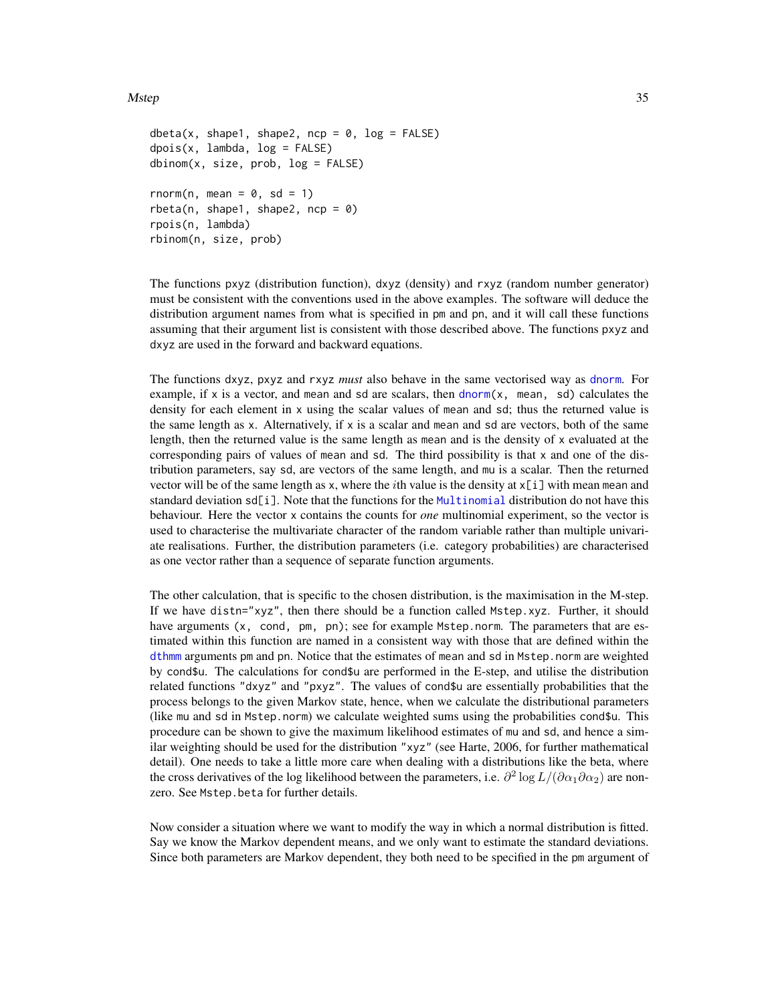# <span id="page-34-0"></span>Mstep 35

```
dbeta(x, shape1, shape2, ncp = 0, log = FALSE)
dpois(x, lambda, log = FALSE)dbinom(x, size, prob, log = FALSE)rnorm(n, mean = 0, sd = 1)
rbeta(n, shape1, shape2, ncp = <math>0</math>)rpois(n, lambda)
rbinom(n, size, prob)
```
The functions pxyz (distribution function), dxyz (density) and rxyz (random number generator) must be consistent with the conventions used in the above examples. The software will deduce the distribution argument names from what is specified in pm and pn, and it will call these functions assuming that their argument list is consistent with those described above. The functions pxyz and dxyz are used in the forward and backward equations.

The functions dxyz, pxyz and rxyz *must* also behave in the same vectorised way as [dnorm](#page-0-0). For example, if x is a vector, and mean and sd are scalars, then [dnorm\(](#page-0-0)x, mean, sd) calculates the density for each element in x using the scalar values of mean and sd; thus the returned value is the same length as x. Alternatively, if x is a scalar and mean and sd are vectors, both of the same length, then the returned value is the same length as mean and is the density of x evaluated at the corresponding pairs of values of mean and sd. The third possibility is that x and one of the distribution parameters, say sd, are vectors of the same length, and mu is a scalar. Then the returned vector will be of the same length as x, where the *i*th value is the density at  $x[i]$  with mean mean and standard deviation sd[i]. Note that the functions for the [Multinomial](#page-0-0) distribution do not have this behaviour. Here the vector x contains the counts for *one* multinomial experiment, so the vector is used to characterise the multivariate character of the random variable rather than multiple univariate realisations. Further, the distribution parameters (i.e. category probabilities) are characterised as one vector rather than a sequence of separate function arguments.

The other calculation, that is specific to the chosen distribution, is the maximisation in the M-step. If we have distn="xyz", then there should be a function called Mstep.xyz. Further, it should have arguments (x, cond, pm, pn); see for example Mstep.norm. The parameters that are estimated within this function are named in a consistent way with those that are defined within the [dthmm](#page-10-1) arguments pm and pn. Notice that the estimates of mean and sd in Mstep.norm are weighted by cond\$u. The calculations for cond\$u are performed in the E-step, and utilise the distribution related functions "dxyz" and "pxyz". The values of cond\$u are essentially probabilities that the process belongs to the given Markov state, hence, when we calculate the distributional parameters (like mu and sd in Mstep.norm) we calculate weighted sums using the probabilities cond\$u. This procedure can be shown to give the maximum likelihood estimates of mu and sd, and hence a similar weighting should be used for the distribution "xyz" (see Harte, 2006, for further mathematical detail). One needs to take a little more care when dealing with a distributions like the beta, where the cross derivatives of the log likelihood between the parameters, i.e.  $\partial^2 \log L/(\partial \alpha_1 \partial \alpha_2)$  are nonzero. See Mstep.beta for further details.

Now consider a situation where we want to modify the way in which a normal distribution is fitted. Say we know the Markov dependent means, and we only want to estimate the standard deviations. Since both parameters are Markov dependent, they both need to be specified in the pm argument of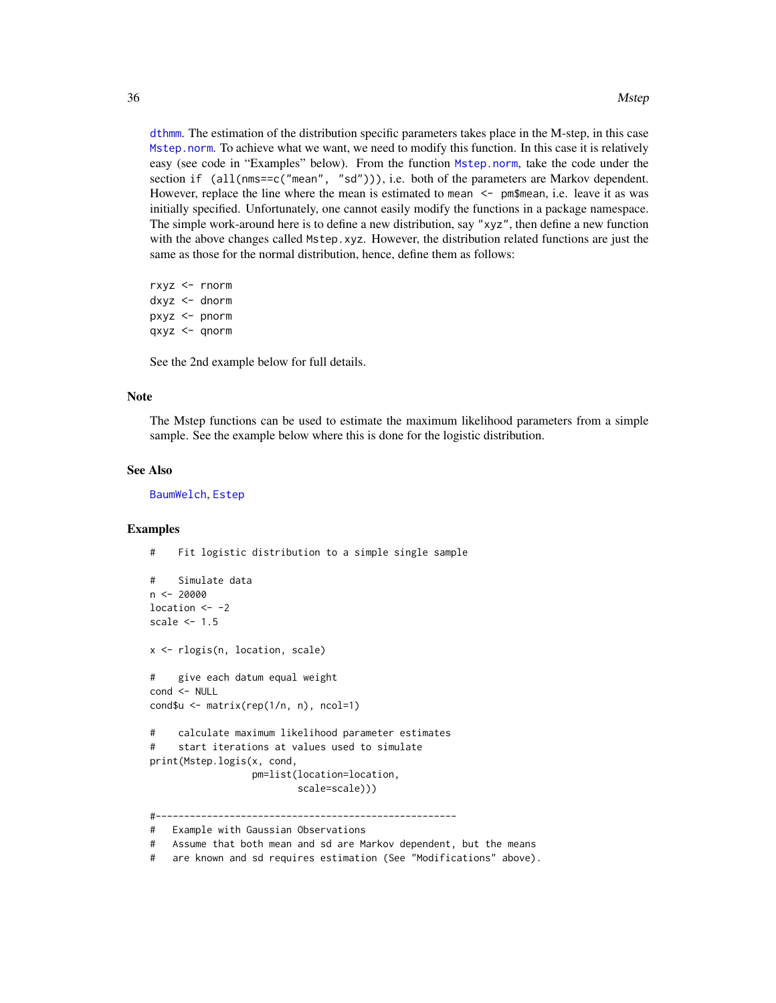<span id="page-35-0"></span>[dthmm](#page-10-1). The estimation of the distribution specific parameters takes place in the M-step, in this case [Mstep.norm](#page-32-2). To achieve what we want, we need to modify this function. In this case it is relatively easy (see code in "Examples" below). From the function [Mstep.norm](#page-32-2), take the code under the section if  $(al(mm s=c("mean", "sd")))$ , i.e. both of the parameters are Markov dependent. However, replace the line where the mean is estimated to mean  $\leq$ - pm\$mean, i.e. leave it as was initially specified. Unfortunately, one cannot easily modify the functions in a package namespace. The simple work-around here is to define a new distribution, say "xyz", then define a new function with the above changes called Mstep.xyz. However, the distribution related functions are just the same as those for the normal distribution, hence, define them as follows:

rxyz <- rnorm dxyz <- dnorm pxyz <- pnorm qxyz <- qnorm

See the 2nd example below for full details.

#### Note

The Mstep functions can be used to estimate the maximum likelihood parameters from a simple sample. See the example below where this is done for the logistic distribution.

#### See Also

[BaumWelch](#page-3-1), [Estep](#page-16-1)

# Examples

# Fit logistic distribution to a simple single sample

```
# Simulate data
n < -20000location <-2scale <-1.5x <- rlogis(n, location, scale)
# give each datum equal weight
cond <- NULL
cond$u <- matrix(rep(1/n, n), ncol=1)
# calculate maximum likelihood parameter estimates
# start iterations at values used to simulate
print(Mstep.logis(x, cond,
                  pm=list(location=location,
                          scale=scale)))
#-----------------------------------------------------
# Example with Gaussian Observations
```
<sup>#</sup> Assume that both mean and sd are Markov dependent, but the means

<sup>#</sup> are known and sd requires estimation (See "Modifications" above).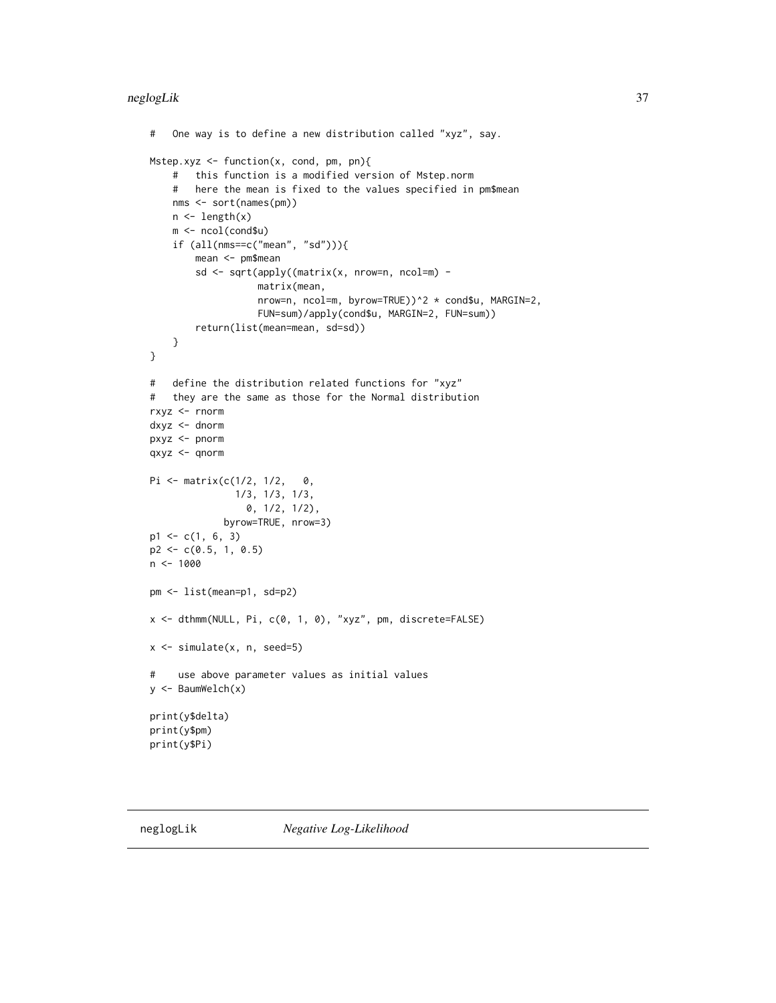```
# One way is to define a new distribution called "xyz", say.
Mstep.xyz <- function(x, cond, pm, pn){
    # this function is a modified version of Mstep.norm
    # here the mean is fixed to the values specified in pm$mean
   nms <- sort(names(pm))
   n \leftarrow length(x)m <- ncol(cond$u)
    if (all(nms==c("mean", "sd"))){
        mean <- pm$mean
        sd <- sqrt(apply((matrix(x, nrow=n, ncol=m) -
                   matrix(mean,
                   nrow=n, ncol=m, byrow=TRUE))^2 * cond$u, MARGIN=2,
                   FUN=sum)/apply(cond$u, MARGIN=2, FUN=sum))
        return(list(mean=mean, sd=sd))
   }
}
# define the distribution related functions for "xyz"
# they are the same as those for the Normal distribution
rxyz <- rnorm
dxyz <- dnorm
pxyz <- pnorm
qxyz <- qnorm
Pi <- matrix(c(1/2, 1/2, 0,
               1/3, 1/3, 1/3,
                 0, 1/2, 1/2),
             byrow=TRUE, nrow=3)
p1 \leftarrow c(1, 6, 3)p2 <- c(0.5, 1, 0.5)
n <- 1000
pm <- list(mean=p1, sd=p2)
x <- dthmm(NULL, Pi, c(0, 1, 0), "xyz", pm, discrete=FALSE)
x \leftarrow simulate(x, n, seed=5)
# use above parameter values as initial values
y <- BaumWelch(x)
print(y$delta)
print(y$pm)
print(y$Pi)
```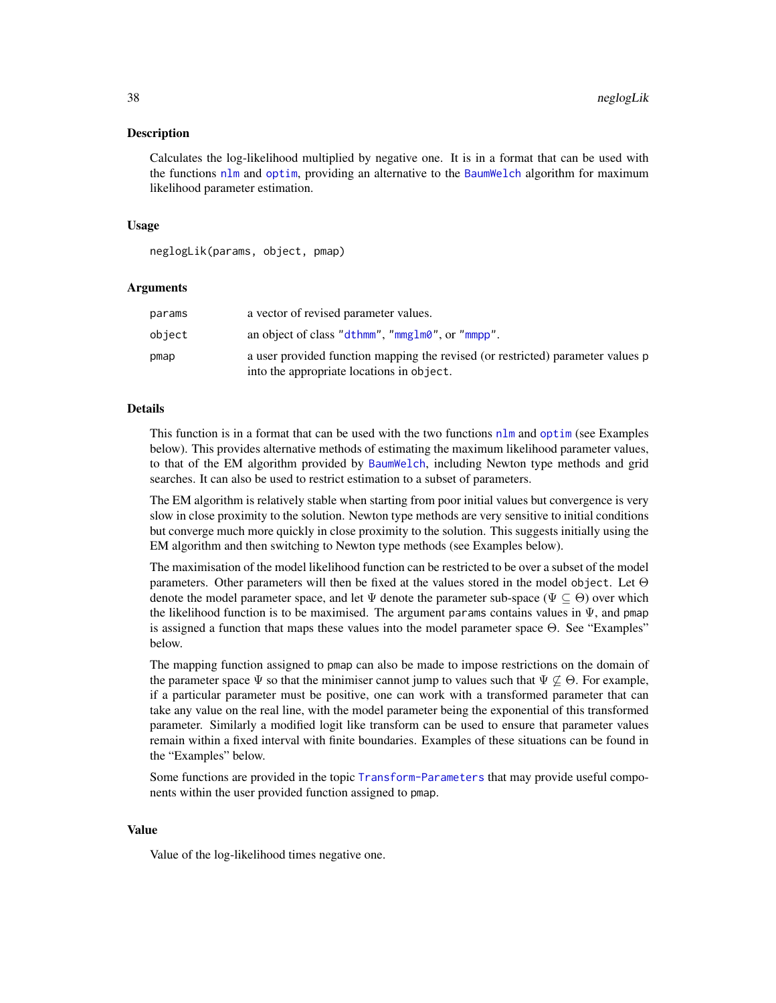#### <span id="page-37-0"></span>Description

Calculates the log-likelihood multiplied by negative one. It is in a format that can be used with the functions [nlm](#page-0-0) and [optim](#page-0-0), providing an alternative to the [BaumWelch](#page-3-1) algorithm for maximum likelihood parameter estimation.

# Usage

neglogLik(params, object, pmap)

# Arguments

| params | a vector of revised parameter values.                                                                                        |
|--------|------------------------------------------------------------------------------------------------------------------------------|
| object | an object of class "dthmm", "mmglm0", or "mmpp".                                                                             |
| pmap   | a user provided function mapping the revised (or restricted) parameter values p<br>into the appropriate locations in object. |

# Details

This function is in a format that can be used with the two functions [nlm](#page-0-0) and [optim](#page-0-0) (see Examples below). This provides alternative methods of estimating the maximum likelihood parameter values, to that of the EM algorithm provided by [BaumWelch](#page-3-1), including Newton type methods and grid searches. It can also be used to restrict estimation to a subset of parameters.

The EM algorithm is relatively stable when starting from poor initial values but convergence is very slow in close proximity to the solution. Newton type methods are very sensitive to initial conditions but converge much more quickly in close proximity to the solution. This suggests initially using the EM algorithm and then switching to Newton type methods (see Examples below).

The maximisation of the model likelihood function can be restricted to be over a subset of the model parameters. Other parameters will then be fixed at the values stored in the model object. Let  $\Theta$ denote the model parameter space, and let  $\Psi$  denote the parameter sub-space ( $\Psi \subset \Theta$ ) over which the likelihood function is to be maximised. The argument params contains values in  $\Psi$ , and pmap is assigned a function that maps these values into the model parameter space Θ. See "Examples" below.

The mapping function assigned to pmap can also be made to impose restrictions on the domain of the parameter space  $\Psi$  so that the minimiser cannot jump to values such that  $\Psi \not\subseteq \Theta$ . For example, if a particular parameter must be positive, one can work with a transformed parameter that can take any value on the real line, with the model parameter being the exponential of this transformed parameter. Similarly a modified logit like transform can be used to ensure that parameter values remain within a fixed interval with finite boundaries. Examples of these situations can be found in the "Examples" below.

Some functions are provided in the topic [Transform-Parameters](#page-46-2) that may provide useful components within the user provided function assigned to pmap.

# Value

Value of the log-likelihood times negative one.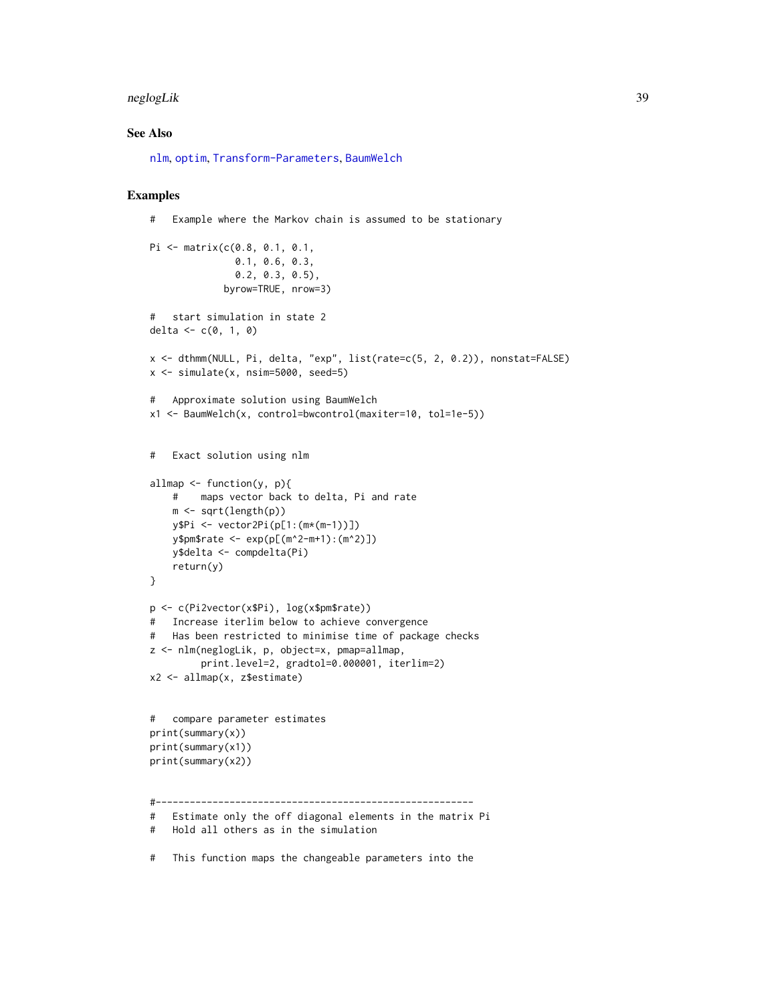#### <span id="page-38-0"></span>neglogLik 39

# See Also

[nlm](#page-0-0), [optim](#page-0-0), [Transform-Parameters](#page-46-2), [BaumWelch](#page-3-1)

# Examples

```
# Example where the Markov chain is assumed to be stationary
```

```
Pi <- matrix(c(0.8, 0.1, 0.1,
               0.1, 0.6, 0.3,
               0.2, 0.3, 0.5),
             byrow=TRUE, nrow=3)
# start simulation in state 2
delta <-c(0, 1, 0)x <- dthmm(NULL, Pi, delta, "exp", list(rate=c(5, 2, 0.2)), nonstat=FALSE)
x <- simulate(x, nsim=5000, seed=5)
# Approximate solution using BaumWelch
x1 <- BaumWelch(x, control=bwcontrol(maxiter=10, tol=1e-5))
# Exact solution using nlm
allmap <- function(y, p){
   # maps vector back to delta, Pi and rate
   m \leftarrow sqrt(length(p))y$Pi <- vector2Pi(p[1:(m*(m-1))])
   y$pm$rate <- exp(p[(m^2-m+1):(m^2)])
   y$delta <- compdelta(Pi)
   return(y)
}
p <- c(Pi2vector(x$Pi), log(x$pm$rate))
# Increase iterlim below to achieve convergence
# Has been restricted to minimise time of package checks
z <- nlm(neglogLik, p, object=x, pmap=allmap,
         print.level=2, gradtol=0.000001, iterlim=2)
x2 <- allmap(x, z$estimate)
# compare parameter estimates
print(summary(x))
print(summary(x1))
print(summary(x2))
#--------------------------------------------------------
# Estimate only the off diagonal elements in the matrix Pi
# Hold all others as in the simulation
# This function maps the changeable parameters into the
```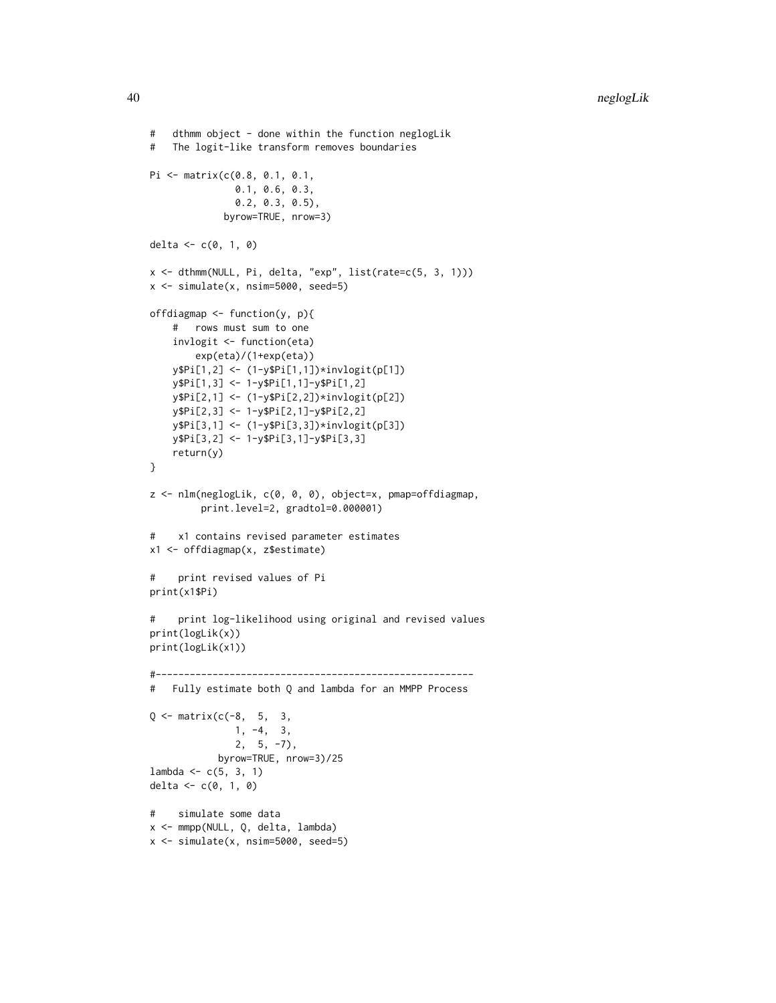```
# dthmm object - done within the function neglogLik
# The logit-like transform removes boundaries
Pi <- matrix(c(0.8, 0.1, 0.1,
              0.1, 0.6, 0.3,
              0.2, 0.3, 0.5),
             byrow=TRUE, nrow=3)
delta <- c(0, 1, 0)x <- dthmm(NULL, Pi, delta, "exp", list(rate=c(5, 3, 1)))
x <- simulate(x, nsim=5000, seed=5)
offdiagmap \leq function(y, p){
    # rows must sum to one
    invlogit <- function(eta)
       exp(eta)/(1+exp(eta))
    y$Pi[1,2] <- (1-y$Pi[1,1])*invlogit(p[1])
   y$Pi[1,3] <- 1-y$Pi[1,1]-y$Pi[1,2]
   y$Pi[2,1] <- (1-y$Pi[2,2])*invlogit(p[2])
   y$Pi[2,3] <- 1-y$Pi[2,1]-y$Pi[2,2]
   y$Pi[3,1] <- (1-y$Pi[3,3])*invlogit(p[3])
   y$Pi[3,2] <- 1-y$Pi[3,1]-y$Pi[3,3]
   return(y)
}
z <- nlm(neglogLik, c(0, 0, 0), object=x, pmap=offdiagmap,
         print.level=2, gradtol=0.000001)
# x1 contains revised parameter estimates
x1 <- offdiagmap(x, z$estimate)
# print revised values of Pi
print(x1$Pi)
# print log-likelihood using original and revised values
print(logLik(x))
print(logLik(x1))
#--------------------------------------------------------
# Fully estimate both Q and lambda for an MMPP Process
Q \leq - matrix(c(-8, 5, 3,
              1, -4, 3,
               2, 5, -7),
            byrow=TRUE, nrow=3)/25
lambda < -c(5, 3, 1)delta <- c(0, 1, 0)# simulate some data
x <- mmpp(NULL, Q, delta, lambda)
x \le simulate(x, nsim=5000, seed=5)
```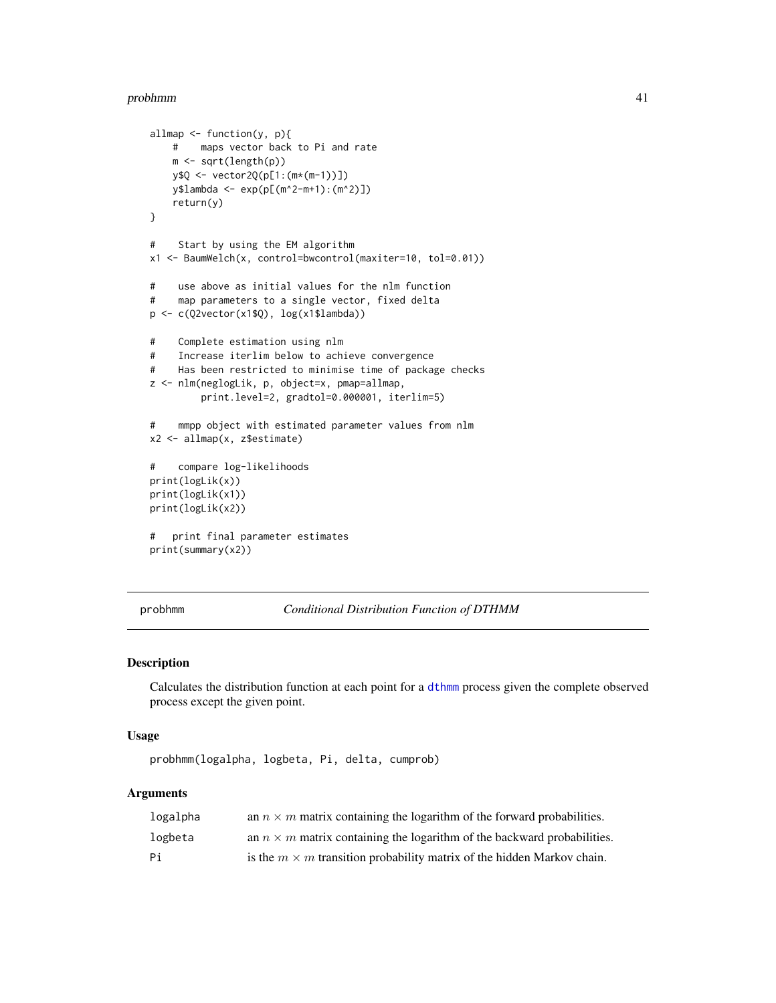#### <span id="page-40-0"></span>probhmm 41

```
allmap \leq function(y, p){
   # maps vector back to Pi and rate
   m <- sqrt(length(p))
   y$Q <- vector2Q(p[1:(m*(m-1))])
   y$lambda <- exp(p[(m^2-m+1):(m^2)])
   return(y)
}
# Start by using the EM algorithm
x1 <- BaumWelch(x, control=bwcontrol(maxiter=10, tol=0.01))
# use above as initial values for the nlm function
# map parameters to a single vector, fixed delta
p <- c(Q2vector(x1$Q), log(x1$lambda))
# Complete estimation using nlm
# Increase iterlim below to achieve convergence
# Has been restricted to minimise time of package checks
z <- nlm(neglogLik, p, object=x, pmap=allmap,
         print.level=2, gradtol=0.000001, iterlim=5)
# mmpp object with estimated parameter values from nlm
x2 <- allmap(x, z$estimate)
# compare log-likelihoods
print(logLik(x))
print(logLik(x1))
print(logLik(x2))
# print final parameter estimates
print(summary(x2))
```
<span id="page-40-1"></span>probhmm *Conditional Distribution Function of DTHMM*

# Description

Calculates the distribution function at each point for a [dthmm](#page-10-1) process given the complete observed process except the given point.

# Usage

```
probhmm(logalpha, logbeta, Pi, delta, cumprob)
```
# Arguments

| logalpha | an $n \times m$ matrix containing the logarithm of the forward probabilities.  |
|----------|--------------------------------------------------------------------------------|
| logbeta  | an $n \times m$ matrix containing the logarithm of the backward probabilities. |
| Pi       | is the $m \times m$ transition probability matrix of the hidden Markov chain.  |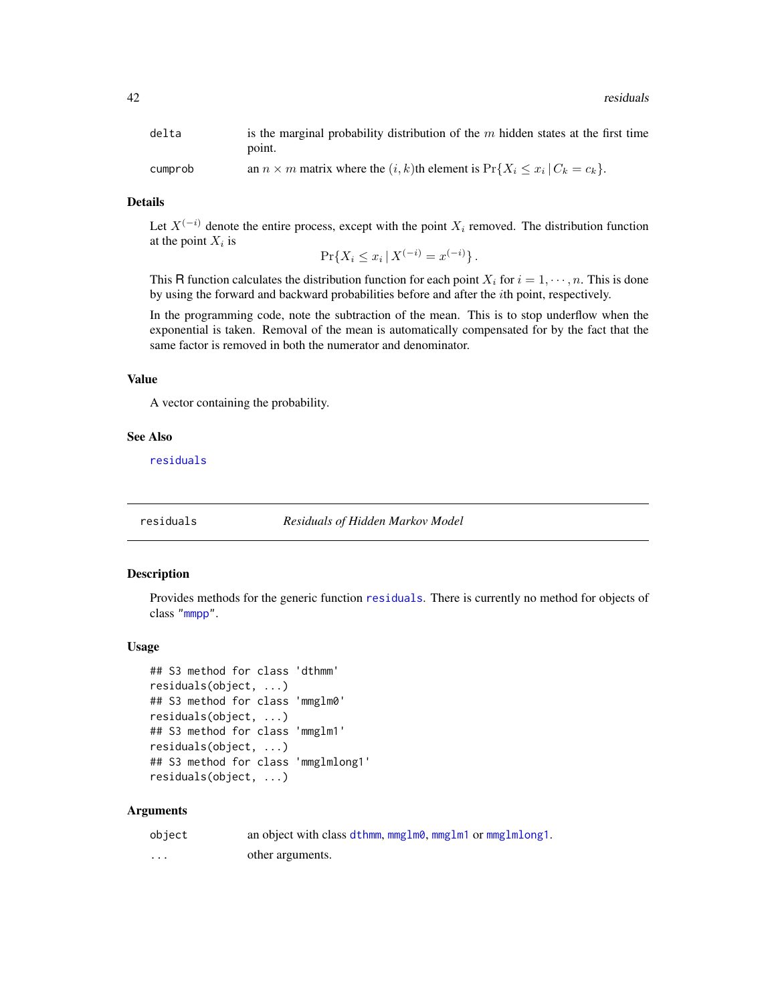<span id="page-41-0"></span>

| delta   | is the marginal probability distribution of the $m$ hidden states at the first time      |
|---------|------------------------------------------------------------------------------------------|
|         | point.                                                                                   |
| cumprob | an $n \times m$ matrix where the $(i, k)$ th element is $Pr{X_i \leq x_i   C_k = c_k}$ . |

# Details

Let  $X^{(-i)}$  denote the entire process, except with the point  $X_i$  removed. The distribution function at the point  $X_i$  is  $\sim$ i $\sim$ 

$$
\Pr\{X_i \le x_i \, | \, X^{(-i)} = x^{(-i)}\}.
$$

This R function calculates the distribution function for each point  $X_i$  for  $i = 1, \dots, n$ . This is done by using the forward and backward probabilities before and after the ith point, respectively.

In the programming code, note the subtraction of the mean. This is to stop underflow when the exponential is taken. Removal of the mean is automatically compensated for by the fact that the same factor is removed in both the numerator and denominator.

# Value

A vector containing the probability.

# See Also

[residuals](#page-41-1)

<span id="page-41-1"></span>residuals *Residuals of Hidden Markov Model*

# <span id="page-41-2"></span>Description

Provides methods for the generic function [residuals](#page-41-1). There is currently no method for objects of class ["mmpp"](#page-30-1).

## Usage

```
## S3 method for class 'dthmm'
residuals(object, ...)
## S3 method for class 'mmglm0'
residuals(object, ...)
## S3 method for class 'mmglm1'
residuals(object, ...)
## S3 method for class 'mmglmlong1'
residuals(object, ...)
```
# Arguments

| object  | an object with class dthmm, mmglm0, mmglm1 or mmglmlong1. |
|---------|-----------------------------------------------------------|
| $\cdot$ | other arguments.                                          |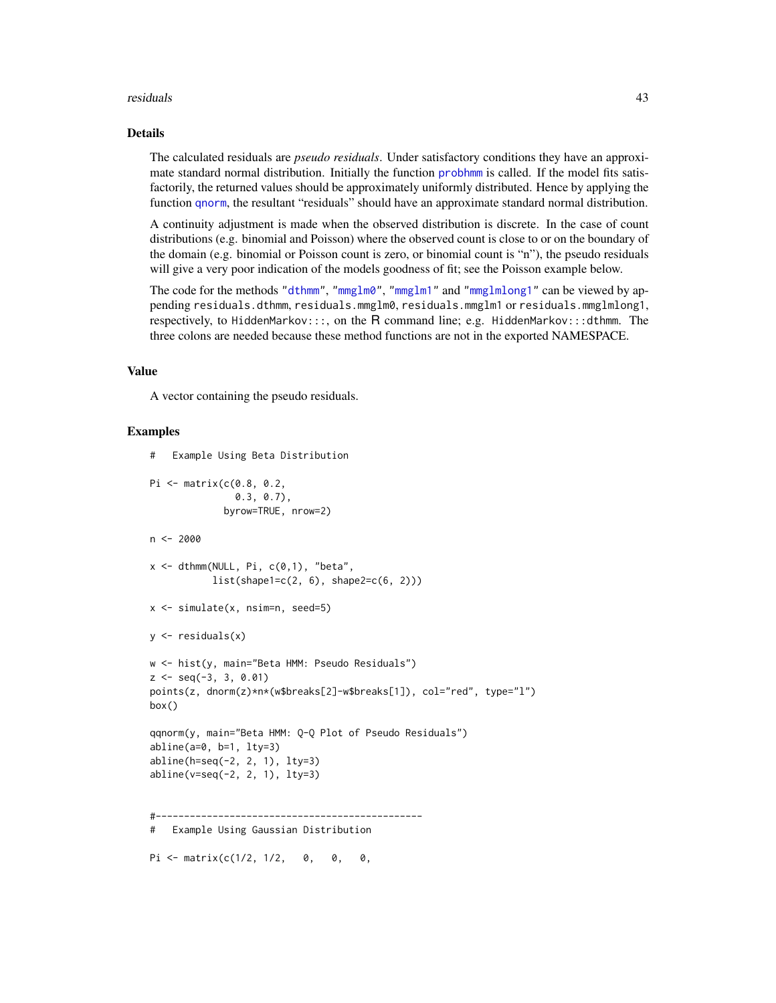#### <span id="page-42-0"></span>residuals 43

# Details

The calculated residuals are *pseudo residuals*. Under satisfactory conditions they have an approximate standard normal distribution. Initially the function [probhmm](#page-40-1) is called. If the model fits satisfactorily, the returned values should be approximately uniformly distributed. Hence by applying the function [qnorm](#page-0-0), the resultant "residuals" should have an approximate standard normal distribution.

A continuity adjustment is made when the observed distribution is discrete. In the case of count distributions (e.g. binomial and Poisson) where the observed count is close to or on the boundary of the domain (e.g. binomial or Poisson count is zero, or binomial count is "n"), the pseudo residuals will give a very poor indication of the models goodness of fit; see the Poisson example below.

The code for the methods ["dthmm"](#page-10-1), ["mmglm0"](#page-22-1), ["mmglm1"](#page-22-1) and ["mmglmlong1"](#page-22-1) can be viewed by appending residuals.dthmm, residuals.mmglm0, residuals.mmglm1 or residuals.mmglmlong1, respectively, to HiddenMarkov:::, on the R command line; e.g. HiddenMarkov:::dthmm. The three colons are needed because these method functions are not in the exported NAMESPACE.

#### Value

A vector containing the pseudo residuals.

Pi <- matrix( $c(1/2, 1/2, 0, 0, 0, 0, 0)$ 

#### Examples

```
# Example Using Beta Distribution
Pi <- matrix(c(0.8, 0.2,
               0.3, 0.7),
             byrow=TRUE, nrow=2)
n < -2000x \le - dthmm(NULL, Pi, c(0,1), "beta",
           list(shape1=c(2, 6), shape2=c(6, 2)))x <- simulate(x, nsim=n, seed=5)
y \leftarrow residuals(x)
w <- hist(y, main="Beta HMM: Pseudo Residuals")
z \leq - seq(-3, 3, 0.01)
points(z, dnorm(z)*n*(w$breaks[2]-w$breaks[1]), col="red", type="l")
box()
qqnorm(y, main="Beta HMM: Q-Q Plot of Pseudo Residuals")
abline(a=0, b=1, lty=3)
abline(h=seq(-2, 2, 1), lty=3)
abline(v=seq(-2, 2, 1), lty=3)
  #-----------------------------------------------
# Example Using Gaussian Distribution
```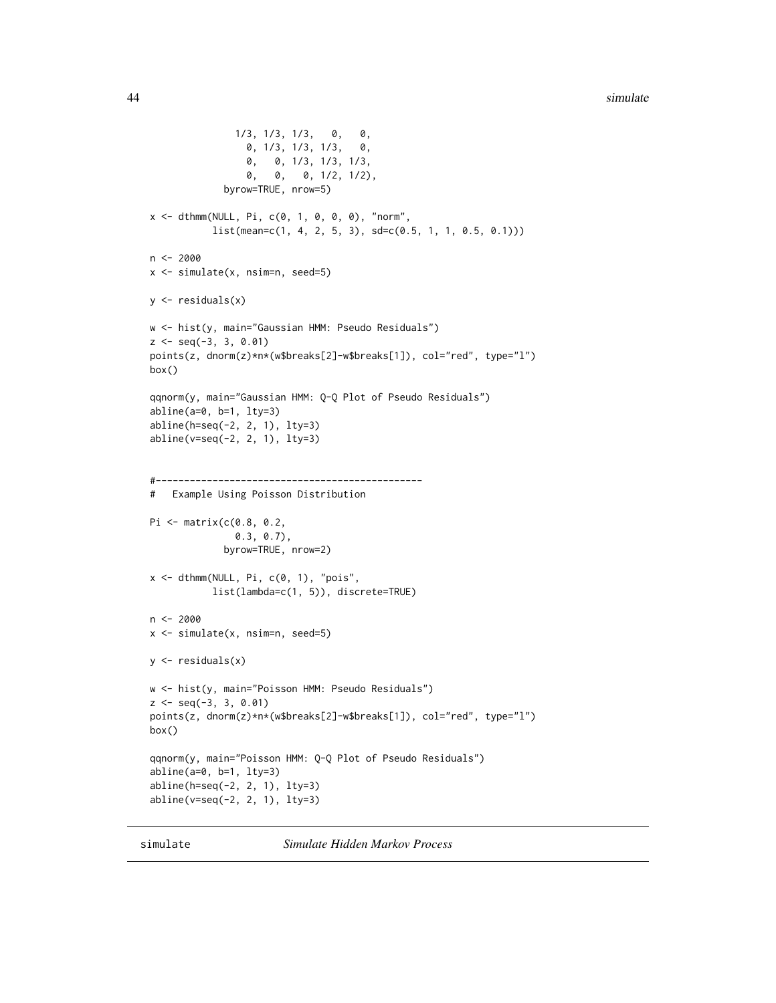```
1/3, 1/3, 1/3, 0, 0,
                 0, 1/3, 1/3, 1/3, 0,
                 0, 0, 1/3, 1/3, 1/3,
                 0, 0, 0, 1/2, 1/2),
             byrow=TRUE, nrow=5)
x \le - dthmm(NULL, Pi, c(0, 1, 0, 0, 0), "norm",
           list(mean=c(1, 4, 2, 5, 3), sd=c(0.5, 1, 1, 0.5, 0.1)))n < -2000x <- simulate(x, nsim=n, seed=5)
y \leftarrow residuals(x)w <- hist(y, main="Gaussian HMM: Pseudo Residuals")
z \leq - seq(-3, 3, 0.01)
points(z, dnorm(z)*n*(w$breaks[2]-w$breaks[1]), col="red", type="l")
box()
qqnorm(y, main="Gaussian HMM: Q-Q Plot of Pseudo Residuals")
abline(a=0, b=1, lty=3)
abline(h=seq(-2, 2, 1), lty=3)
abline(v=seq(-2, 2, 1), lty=3)
#-----------------------------------------------
# Example Using Poisson Distribution
Pi <- matrix(c(0.8, 0.2,
               0.3, 0.7),
             byrow=TRUE, nrow=2)
x \le - dthmm(NULL, Pi, c(0, 1), "pois",
           list(lambda=c(1, 5)), discrete=TRUE)
n < -2000x <- simulate(x, nsim=n, seed=5)
y <- residuals(x)
w <- hist(y, main="Poisson HMM: Pseudo Residuals")
z <- seq(-3, 3, 0.01)
points(z, dnorm(z)*n*(w$breaks[2]-w$breaks[1]), col="red", type="l")
box()
qqnorm(y, main="Poisson HMM: Q-Q Plot of Pseudo Residuals")
abline(a=0, b=1, lty=3)
abline(h=seq(-2, 2, 1), lty=3)
abline(v=seq(-2, 2, 1), lty=3)
```
<span id="page-43-1"></span>simulate *Simulate Hidden Markov Process*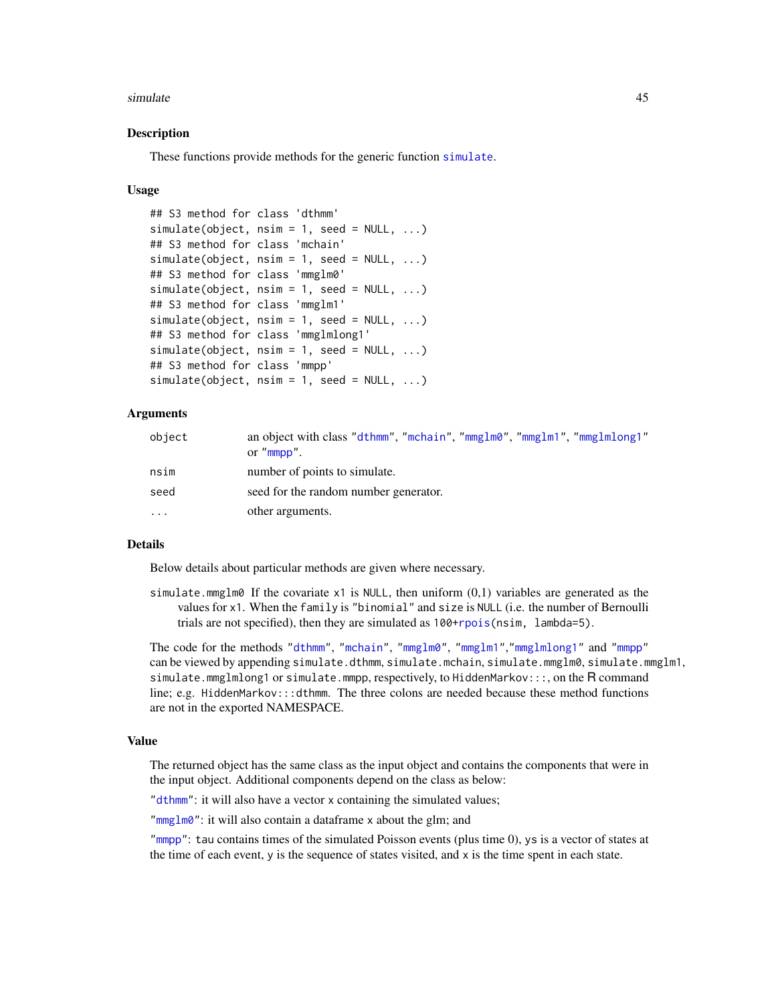#### <span id="page-44-1"></span>simulate 45

# <span id="page-44-0"></span>**Description**

These functions provide methods for the generic function [simulate](#page-43-1).

#### Usage

```
## S3 method for class 'dthmm'
simulate(object, nsim = 1, seed = NULL, ...)## S3 method for class 'mchain'
simulate(object, nsim = 1, seed = NULL, ...)## S3 method for class 'mmglm0'
simulate(object, nsim = 1, seed = NULL, ...)## S3 method for class 'mmglm1'
simulate(object, nsim = 1, seed = NULL, ...)## S3 method for class 'mmglmlong1'
simulate(objject, nsim = 1, seed = NULL, ...)## S3 method for class 'mmpp'
simulate(object, nsim = 1, seed = NULL, ...)
```
# Arguments

| object | an object with class "dthmm", "mchain", "mmglm0", "mmglm1", "mmglmlong1"<br>or $"mmpp"$ . |
|--------|-------------------------------------------------------------------------------------------|
| nsim   | number of points to simulate.                                                             |
| seed   | seed for the random number generator.                                                     |
| .      | other arguments.                                                                          |

# Details

Below details about particular methods are given where necessary.

simulate.mmglm0 If the covariate  $x1$  is NULL, then uniform  $(0,1)$  variables are generated as the values for x1. When the family is "binomial" and size is NULL (i.e. the number of Bernoulli trials are not specified), then they are simulated as  $100+$ rpois(nsim, lambda=5).

The code for the methods ["dthmm"](#page-10-1), ["mchain"](#page-21-1), ["mmglm0"](#page-22-1), ["mmglm1"](#page-22-1),["mmglmlong1"](#page-22-1) and ["mmpp"](#page-30-1) can be viewed by appending simulate.dthmm, simulate.mchain, simulate.mmglm0, simulate.mmglm1, simulate.mmglmlong1 or simulate.mmpp, respectively, to HiddenMarkov:::, on the R command line; e.g. HiddenMarkov:::dthmm. The three colons are needed because these method functions are not in the exported NAMESPACE.

#### Value

The returned object has the same class as the input object and contains the components that were in the input object. Additional components depend on the class as below:

["dthmm"](#page-10-1): it will also have a vector x containing the simulated values;

["mmglm0"](#page-22-1): it will also contain a dataframe x about the glm; and

["mmpp"](#page-30-1): tau contains times of the simulated Poisson events (plus time 0), ys is a vector of states at the time of each event,  $y$  is the sequence of states visited, and  $x$  is the time spent in each state.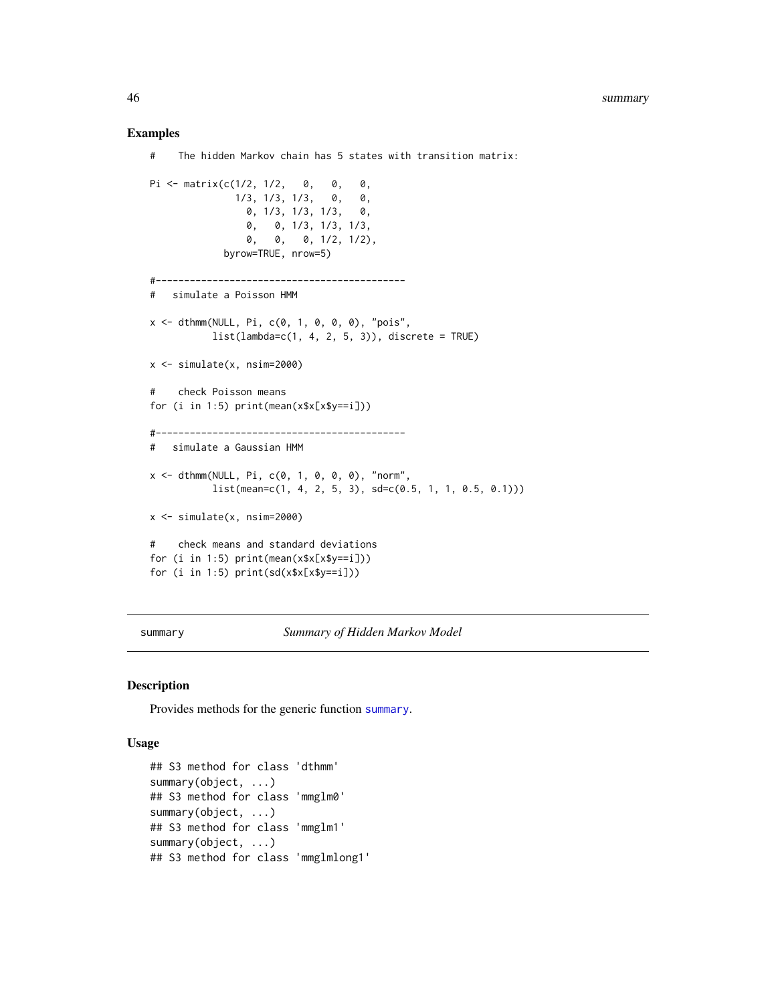# Examples

```
# The hidden Markov chain has 5 states with transition matrix:
Pi <- matrix(c(1/2, 1/2, 0, 0, 0,
              1/3, 1/3, 1/3, 0, 0,
                0, 1/3, 1/3, 1/3, 0,
                0, 0, 1/3, 1/3, 1/3,
                0, 0, 0, 1/2, 1/2),
            byrow=TRUE, nrow=5)
#--------------------------------------------
# simulate a Poisson HMM
x \le - dthmm(NULL, Pi, c(0, 1, 0, 0, 0), "pois",
          list(lambda=c(1, 4, 2, 5, 3)), discrete = TRUE)
x \le -\sin(1) simulate(x, nsim=2000)
# check Poisson means
for (i in 1:5) print(mean(x$x[x$y==i]))
#--------------------------------------------
# simulate a Gaussian HMM
x <- dthmm(NULL, Pi, c(0, 1, 0, 0, 0), "norm",
          list(mean = c(1, 4, 2, 5, 3), sd = c(0.5, 1, 1, 0.5, 0.1)))x <- simulate(x, nsim=2000)
# check means and standard deviations
for (i in 1:5) print(mean(x$x[x$y==i]))
for (i in 1:5) print(sd(x*x[x$y==i]))
```
<span id="page-45-1"></span>summary *Summary of Hidden Markov Model*

# Description

Provides methods for the generic function [summary](#page-45-1).

# Usage

```
## S3 method for class 'dthmm'
summary(object, ...)
## S3 method for class 'mmglm0'
summary(object, ...)
## S3 method for class 'mmglm1'
summary(object, ...)
## S3 method for class 'mmglmlong1'
```
<span id="page-45-0"></span>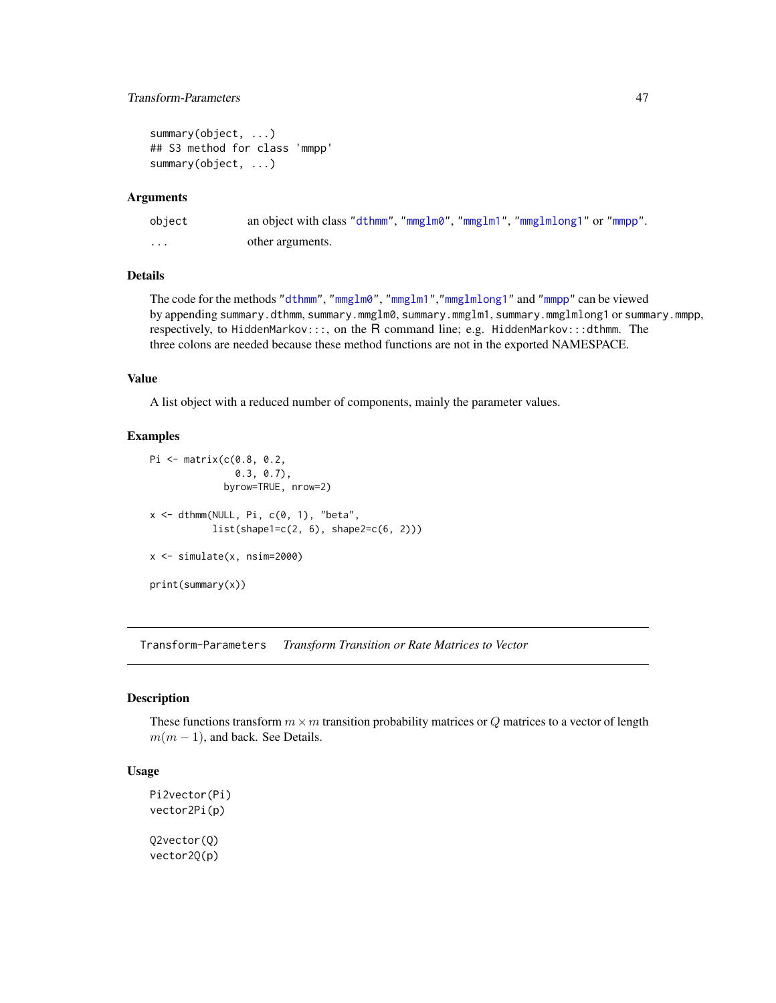# <span id="page-46-0"></span>Transform-Parameters 47

```
summary(object, ...)
## S3 method for class 'mmpp'
summary(object, ...)
```
# Arguments

| object            | an object with class "dthmm", "mmglm0", "mmglm1", "mmglmlong1" or "mmpp". |
|-------------------|---------------------------------------------------------------------------|
| $\cdot\cdot\cdot$ | other arguments.                                                          |

# **Details**

The code for the methods ["dthmm"](#page-10-1), ["mmglm0"](#page-22-1), ["mmglm1"](#page-22-1),["mmglmlong1"](#page-22-1) and ["mmpp"](#page-30-1) can be viewed by appending summary.dthmm, summary.mmglm0, summary.mmglm1, summary.mmglmlong1 or summary.mmpp, respectively, to HiddenMarkov:::, on the R command line; e.g. HiddenMarkov:::dthmm. The three colons are needed because these method functions are not in the exported NAMESPACE.

# Value

A list object with a reduced number of components, mainly the parameter values.

# Examples

```
Pi <- matrix(c(0.8, 0.2,
               0.3, 0.7),
             byrow=TRUE, nrow=2)
x \le - dthmm(NULL, Pi, c(0, 1), "beta",
           list(shape1=c(2, 6), shape2=c(6, 2)))x <- simulate(x, nsim=2000)
print(summary(x))
```
<span id="page-46-2"></span>Transform-Parameters *Transform Transition or Rate Matrices to Vector*

# <span id="page-46-1"></span>Description

These functions transform  $m \times m$  transition probability matrices or Q matrices to a vector of length  $m(m-1)$ , and back. See Details.

# Usage

```
Pi2vector(Pi)
vector2Pi(p)
Q2vector(Q)
vector2Q(p)
```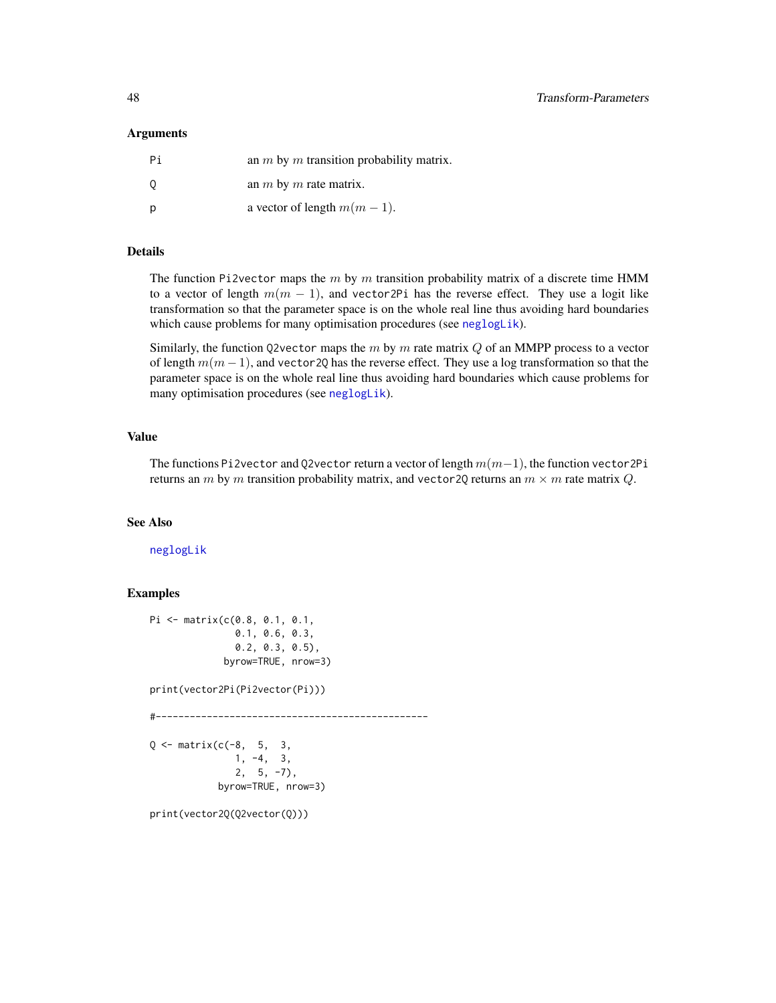# <span id="page-47-0"></span>Arguments

| Pi  | an $m$ by $m$ transition probability matrix. |
|-----|----------------------------------------------|
| - 0 | an $m$ by $m$ rate matrix.                   |
| D   | a vector of length $m(m-1)$ .                |

# Details

The function Pi2vector maps the  $m$  by  $m$  transition probability matrix of a discrete time HMM to a vector of length  $m(m - 1)$ , and vector2Pi has the reverse effect. They use a logit like transformation so that the parameter space is on the whole real line thus avoiding hard boundaries which cause problems for many optimisation procedures (see [neglogLik](#page-36-1)).

Similarly, the function Q2vector maps the  $m$  by  $m$  rate matrix  $Q$  of an MMPP process to a vector of length  $m(m - 1)$ , and vector 2Q has the reverse effect. They use a log transformation so that the parameter space is on the whole real line thus avoiding hard boundaries which cause problems for many optimisation procedures (see [neglogLik](#page-36-1)).

# Value

The functions Pi2vector and Q2vector return a vector of length  $m(m-1)$ , the function vector2Pi returns an m by m transition probability matrix, and vector 20 returns an  $m \times m$  rate matrix Q.

# See Also

[neglogLik](#page-36-1)

# **Examples**

```
Pi <- matrix(c(0.8, 0.1, 0.1,
              0.1, 0.6, 0.3,
              0.2, 0.3, 0.5),
             byrow=TRUE, nrow=3)
print(vector2Pi(Pi2vector(Pi)))
#------------------------------------------------
Q \le - matrix(c(-8, 5, 3,
              1, -4, 3,
              2, 5, -7,
            byrow=TRUE, nrow=3)
print(vector2Q(Q2vector(Q)))
```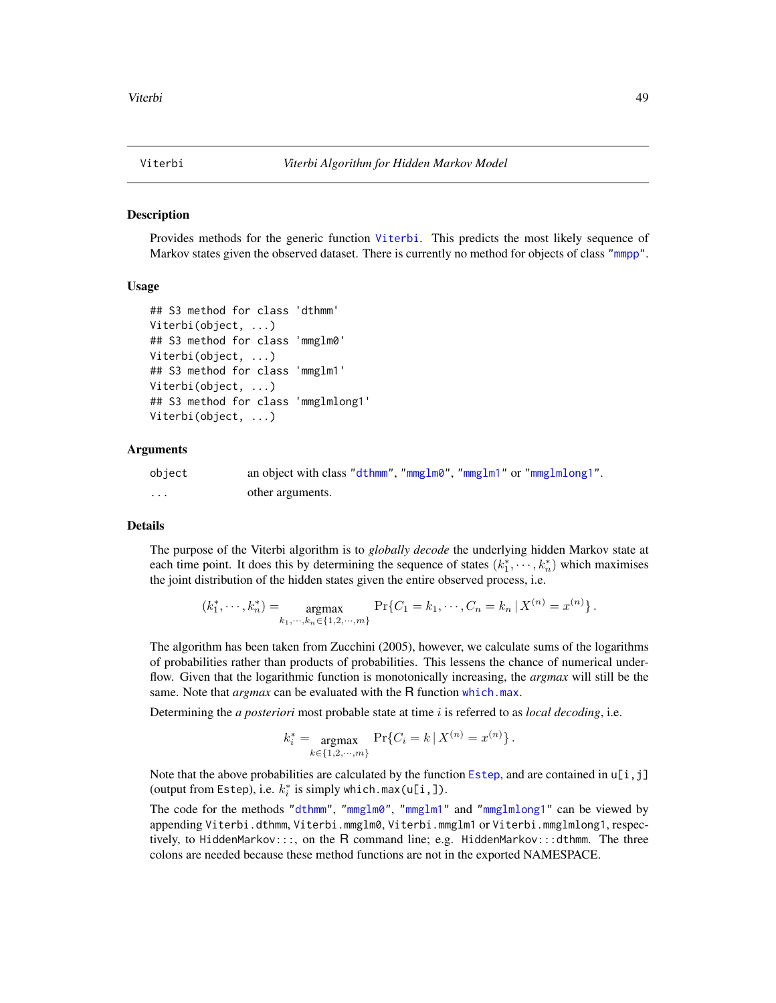<span id="page-48-1"></span><span id="page-48-0"></span>

#### <span id="page-48-2"></span>Description

Provides methods for the generic function [Viterbi](#page-48-1). This predicts the most likely sequence of Markov states given the observed dataset. There is currently no method for objects of class ["mmpp"](#page-30-1).

#### Usage

```
## S3 method for class 'dthmm'
Viterbi(object, ...)
## S3 method for class 'mmglm0'
Viterbi(object, ...)
## S3 method for class 'mmglm1'
Viterbi(object, ...)
## S3 method for class 'mmglmlong1'
Viterbi(object, ...)
```
#### Arguments

| object | an object with class "dthmm", "mmglm0", "mmglm1" or "mmglmlong1". |
|--------|-------------------------------------------------------------------|
| .      | other arguments.                                                  |

# Details

The purpose of the Viterbi algorithm is to *globally decode* the underlying hidden Markov state at each time point. It does this by determining the sequence of states  $(k_1^*, \dots, k_n^*)$  which maximises the joint distribution of the hidden states given the entire observed process, i.e.

$$
(k_1^*, \cdots, k_n^*) = \underset{k_1, \cdots, k_n \in \{1, 2, \cdots, m\}}{\text{argmax}} \Pr\{C_1 = k_1, \cdots, C_n = k_n \, | \, X^{(n)} = x^{(n)}\}.
$$

The algorithm has been taken from Zucchini (2005), however, we calculate sums of the logarithms of probabilities rather than products of probabilities. This lessens the chance of numerical underflow. Given that the logarithmic function is monotonically increasing, the *argmax* will still be the same. Note that *argmax* can be evaluated with the R function [which.max](#page-0-0).

Determining the *a posteriori* most probable state at time i is referred to as *local decoding*, i.e.

$$
k_i^* = \underset{k \in \{1, 2, \cdots, m\}}{\text{argmax}} \Pr\{C_i = k \, | \, X^{(n)} = x^{(n)}\}.
$$

Note that the above probabilities are calculated by the function [Estep](#page-16-1), and are contained in  $\iota[i,j]$ (output from Estep), i.e.  $k_i^*$  is simply which.max(u[i,]).

The code for the methods ["dthmm"](#page-10-1), ["mmglm0"](#page-22-1), ["mmglm1"](#page-22-1) and ["mmglmlong1"](#page-22-1) can be viewed by appending Viterbi.dthmm, Viterbi.mmglm0, Viterbi.mmglm1 or Viterbi.mmglmlong1, respectively, to HiddenMarkov:::, on the R command line; e.g. HiddenMarkov:::dthmm. The three colons are needed because these method functions are not in the exported NAMESPACE.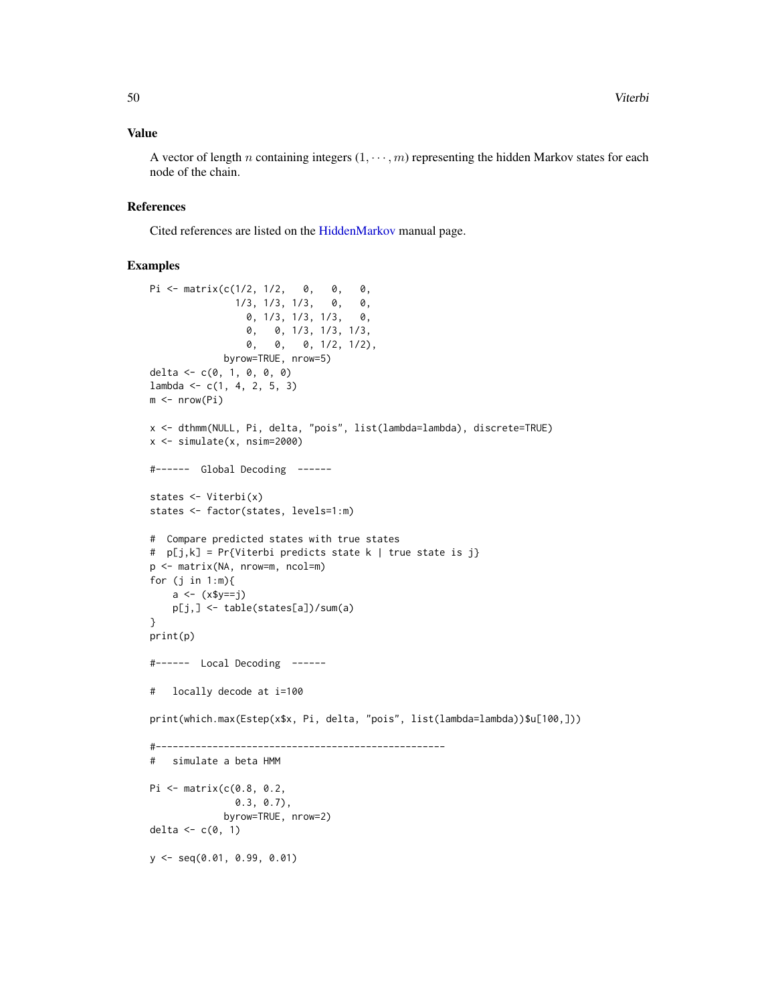# <span id="page-49-0"></span>Value

A vector of length n containing integers  $(1, \dots, m)$  representing the hidden Markov states for each node of the chain.

# References

Cited references are listed on the [HiddenMarkov](#page-1-1) manual page.

# Examples

```
Pi <- matrix(c(1/2, 1/2, 0, 0, 0,
               1/3, 1/3, 1/3, 0, 0,
                 0, 1/3, 1/3, 1/3, 0,
                 0, 0, 1/3, 1/3, 1/3,
                 0, 0, 0, 1/2, 1/2),
             byrow=TRUE, nrow=5)
delta <- c(0, 1, 0, 0, 0)
lambda < -c(1, 4, 2, 5, 3)m \leftarrow nrow(Pi)x <- dthmm(NULL, Pi, delta, "pois", list(lambda=lambda), discrete=TRUE)
x \le -\sin(1) simulate(x, nsim=2000)
#------ Global Decoding ------
states <- Viterbi(x)
states <- factor(states, levels=1:m)
# Compare predicted states with true states
# p[j,k] = Pr{Viterbi predicts state k | true state is j}
p <- matrix(NA, nrow=m, ncol=m)
for (j in 1:m){
   a \leftarrow (x\ y==j)
   p[j,] <- table(states[a])/sum(a)
}
print(p)
#------ Local Decoding ------
# locally decode at i=100
print(which.max(Estep(x$x, Pi, delta, "pois", list(lambda=lambda))$u[100,]))
#---------------------------------------------------
# simulate a beta HMM
Pi <- matrix(c(0.8, 0.2,
              0.3, 0.7),
             byrow=TRUE, nrow=2)
delta \leq c(0, 1)y <- seq(0.01, 0.99, 0.01)
```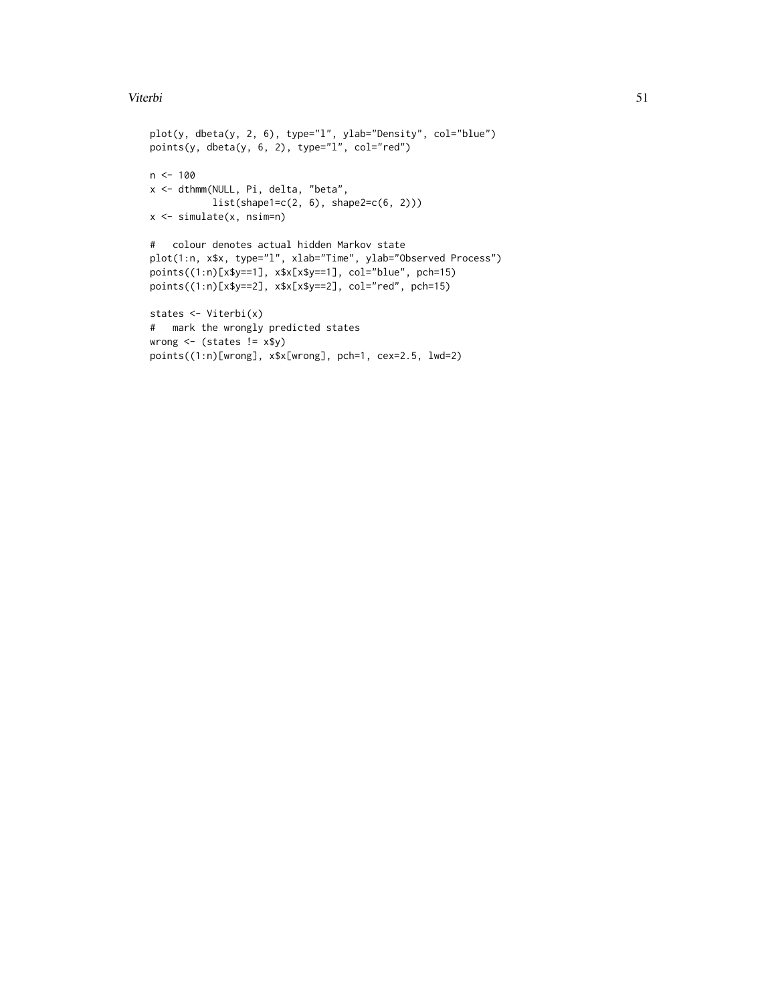# Viterbi 51

```
plot(y, dbeta(y, 2, 6), type="l", ylab="Density", col="blue")
points(y, dbeta(y, 6, 2), type="l", col="red")
n < - 100x <- dthmm(NULL, Pi, delta, "beta",
           list(shape1=c(2, 6), shape2=c(6, 2)))
x <- simulate(x, nsim=n)
# colour denotes actual hidden Markov state
plot(1:n, x$x, type="l", xlab="Time", ylab="Observed Process")
points((1:n)[x$y==1], x$x[x$y==1], col="blue", pch=15)
points((1:n)[x$y==2], x$x[x$y==2], col="red", pch=15)
states <- Viterbi(x)
# mark the wrongly predicted states
wrong \leq (states != x\y)
points((1:n)[wrong], x$x[wrong], pch=1, cex=2.5, lwd=2)
```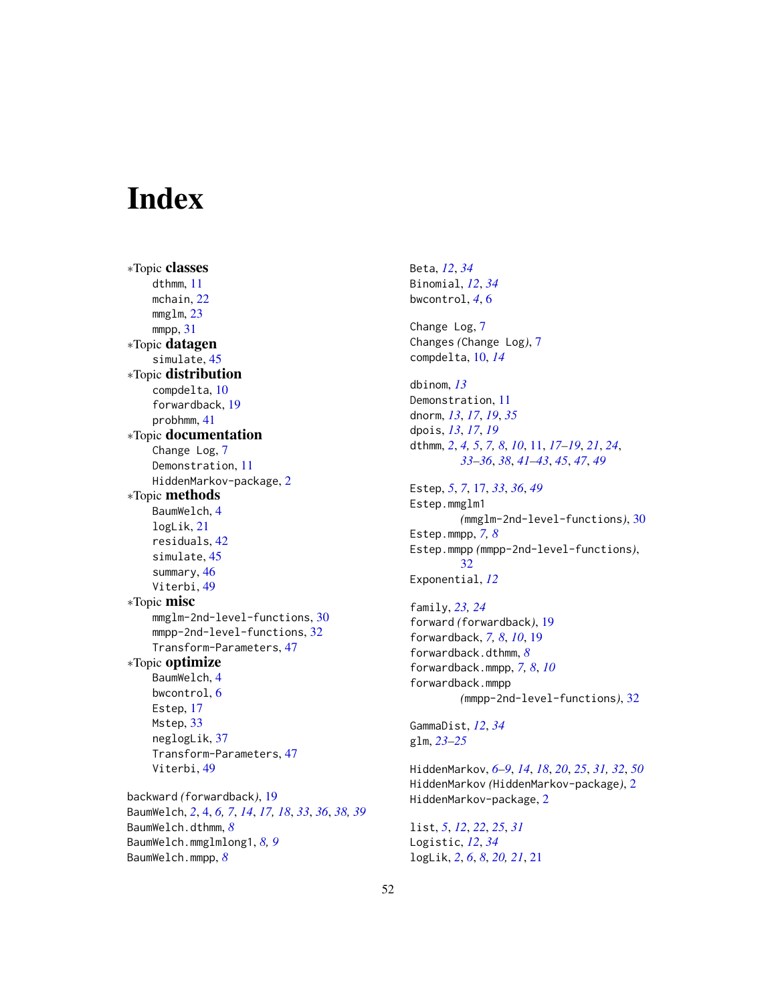# <span id="page-51-0"></span>**Index**

∗Topic classes dthmm, [11](#page-10-0) mchain, [22](#page-21-0) mmglm, [23](#page-22-0) mmpp, [31](#page-30-0) ∗Topic datagen simulate, [45](#page-44-1) ∗Topic distribution compdelta, [10](#page-9-0) forwardback, [19](#page-18-0) probhmm, [41](#page-40-0) ∗Topic documentation Change Log, [7](#page-6-0) Demonstration, [11](#page-10-0) HiddenMarkov-package, [2](#page-1-0) ∗Topic methods BaumWelch, [4](#page-3-0) logLik, [21](#page-20-0) residuals, [42](#page-41-0) simulate, [45](#page-44-1) summary, [46](#page-45-0) Viterbi, [49](#page-48-0) ∗Topic misc mmglm-2nd-level-functions, [30](#page-29-0) mmpp-2nd-level-functions, [32](#page-31-0) Transform-Parameters, [47](#page-46-0) ∗Topic optimize BaumWelch, [4](#page-3-0) bwcontrol, [6](#page-5-0) Estep, [17](#page-16-0) Mstep, [33](#page-32-0) neglogLik, [37](#page-36-0) Transform-Parameters, [47](#page-46-0) Viterbi, [49](#page-48-0) backward *(*forwardback*)*, [19](#page-18-0) BaumWelch, *[2](#page-1-0)*, [4,](#page-3-0) *[6,](#page-5-0) [7](#page-6-0)*, *[14](#page-13-0)*, *[17,](#page-16-0) [18](#page-17-0)*, *[33](#page-32-0)*, *[36](#page-35-0)*, *[38,](#page-37-0) [39](#page-38-0)* BaumWelch.dthmm, *[8](#page-7-0)* BaumWelch.mmglmlong1, *[8,](#page-7-0) [9](#page-8-0)* BaumWelch.mmpp, *[8](#page-7-0)*

Beta, *[12](#page-11-0)*, *[34](#page-33-0)* Binomial, *[12](#page-11-0)*, *[34](#page-33-0)* bwcontrol, *[4](#page-3-0)*, [6](#page-5-0) Change Log, [7](#page-6-0) Changes *(*Change Log*)*, [7](#page-6-0) compdelta, [10,](#page-9-0) *[14](#page-13-0)* dbinom, *[13](#page-12-0)* Demonstration, [11](#page-10-0) dnorm, *[13](#page-12-0)*, *[17](#page-16-0)*, *[19](#page-18-0)*, *[35](#page-34-0)* dpois, *[13](#page-12-0)*, *[17](#page-16-0)*, *[19](#page-18-0)* dthmm, *[2](#page-1-0)*, *[4,](#page-3-0) [5](#page-4-0)*, *[7,](#page-6-0) [8](#page-7-0)*, *[10](#page-9-0)*, [11,](#page-10-0) *[17](#page-16-0)[–19](#page-18-0)*, *[21](#page-20-0)*, *[24](#page-23-0)*, *[33](#page-32-0)[–36](#page-35-0)*, *[38](#page-37-0)*, *[41](#page-40-0)[–43](#page-42-0)*, *[45](#page-44-1)*, *[47](#page-46-0)*, *[49](#page-48-0)* Estep, *[5](#page-4-0)*, *[7](#page-6-0)*, [17,](#page-16-0) *[33](#page-32-0)*, *[36](#page-35-0)*, *[49](#page-48-0)* Estep.mmglm1 *(*mmglm-2nd-level-functions*)*, [30](#page-29-0) Estep.mmpp, *[7,](#page-6-0) [8](#page-7-0)* Estep.mmpp *(*mmpp-2nd-level-functions*)*, [32](#page-31-0) Exponential, *[12](#page-11-0)* family, *[23,](#page-22-0) [24](#page-23-0)* forward *(*forwardback*)*, [19](#page-18-0) forwardback, *[7,](#page-6-0) [8](#page-7-0)*, *[10](#page-9-0)*, [19](#page-18-0) forwardback.dthmm, *[8](#page-7-0)* forwardback.mmpp, *[7,](#page-6-0) [8](#page-7-0)*, *[10](#page-9-0)* forwardback.mmpp *(*mmpp-2nd-level-functions*)*, [32](#page-31-0) GammaDist, *[12](#page-11-0)*, *[34](#page-33-0)* glm, *[23–](#page-22-0)[25](#page-24-0)* HiddenMarkov, *[6](#page-5-0)[–9](#page-8-0)*, *[14](#page-13-0)*, *[18](#page-17-0)*, *[20](#page-19-0)*, *[25](#page-24-0)*, *[31,](#page-30-0) [32](#page-31-0)*, *[50](#page-49-0)* HiddenMarkov *(*HiddenMarkov-package*)*, [2](#page-1-0) HiddenMarkov-package, [2](#page-1-0)

list, *[5](#page-4-0)*, *[12](#page-11-0)*, *[22](#page-21-0)*, *[25](#page-24-0)*, *[31](#page-30-0)* Logistic, *[12](#page-11-0)*, *[34](#page-33-0)* logLik, *[2](#page-1-0)*, *[6](#page-5-0)*, *[8](#page-7-0)*, *[20,](#page-19-0) [21](#page-20-0)*, [21](#page-20-0)